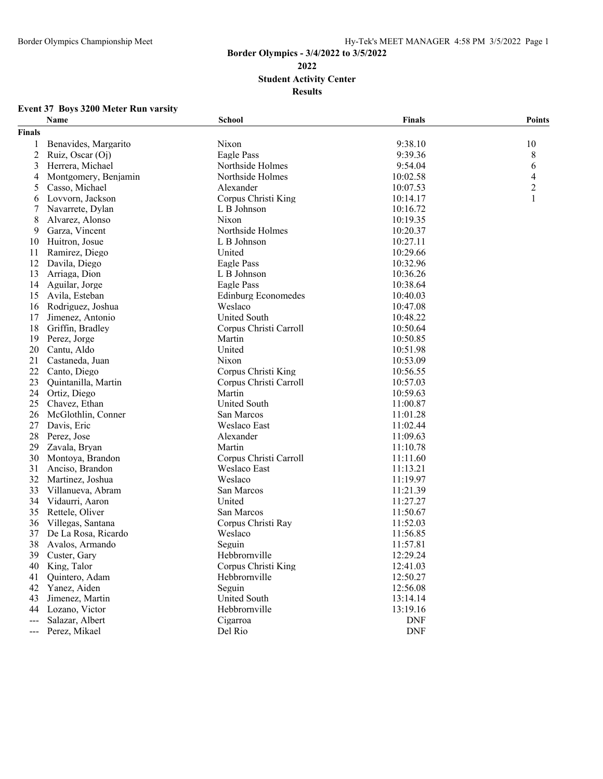## **Border Olympics - 3/4/2022 to 3/5/2022 Student Activity Center Results**

### **Event 37 Boys 3200 Meter Run varsity**

| <b>Finals</b><br>9:38.10<br>Benavides, Margarito<br>Nixon<br>10<br>9:39.36<br>2<br>Ruiz, Oscar (Oj)<br>Eagle Pass<br>8<br>6<br>3<br>Herrera, Michael<br>Northside Holmes<br>9:54.04<br>Montgomery, Benjamin<br>Northside Holmes<br>10:02.58<br>4<br>4<br>2<br>Casso, Michael<br>Alexander<br>10:07.53<br>5<br>Lovvorn, Jackson<br>Corpus Christi King<br>1<br>10:14.17<br>6<br>Navarrete, Dylan<br>L B Johnson<br>10:16.72<br>7<br>8<br>Alvarez, Alonso<br>Nixon<br>10:19.35<br>Garza, Vincent<br>Northside Holmes<br>10:20.37<br>9<br>Huitron, Josue<br>L B Johnson<br>10:27.11<br>10<br>United<br>Ramirez, Diego<br>10:29.66<br>11<br>Eagle Pass<br>10:32.96<br>12<br>Davila, Diego<br>Arriaga, Dion<br>13<br>L B Johnson<br>10:36.26<br>14<br>Aguilar, Jorge<br>Eagle Pass<br>10:38.64<br>15<br>Avila, Esteban<br><b>Edinburg Economedes</b><br>10:40.03<br>Weslaco<br>Rodriguez, Joshua<br>10:47.08<br>16<br>Jimenez, Antonio<br><b>United South</b><br>10:48.22<br>17<br>18<br>Corpus Christi Carroll<br>Griffin, Bradley<br>10:50.64<br>Martin<br>19<br>Perez, Jorge<br>10:50.85<br>Cantu, Aldo<br>United<br>20<br>10:51.98<br>21<br>Castaneda, Juan<br>Nixon<br>10:53.09<br>22<br>Corpus Christi King<br>Canto, Diego<br>10:56.55<br>Corpus Christi Carroll<br>23<br>Quintanilla, Martin<br>10:57.03<br>Martin<br>24<br>Ortiz, Diego<br>10:59.63<br><b>United South</b><br>25<br>Chavez, Ethan<br>11:00.87<br>San Marcos<br>26<br>McGlothlin, Conner<br>11:01.28<br>27<br>Davis, Eric<br>Weslaco East<br>11:02.44<br>28<br>Perez, Jose<br>Alexander<br>11:09.63<br>Martin<br>11:10.78<br>29<br>Zavala, Bryan<br>Montoya, Brandon<br>Corpus Christi Carroll<br>30<br>11:11.60<br>Weslaco East<br>31<br>Anciso, Brandon<br>11:13.21<br>32<br>Martinez, Joshua<br>Weslaco<br>11:19.97<br>33<br>Villanueva, Abram<br>San Marcos<br>11:21.39<br>Vidaurri, Aaron<br>United<br>34<br>11:27.27<br>Rettele, Oliver<br>San Marcos<br>11:50.67<br>35<br>Villegas, Santana<br>Corpus Christi Ray<br>36<br>11:52.03<br>37<br>De La Rosa, Ricardo<br>Weslaco<br>11:56.85<br>38<br>Avalos, Armando<br>Seguin<br>11:57.81<br>Hebbrornville<br>39 Custer, Gary<br>12:29.24<br>Corpus Christi King<br>12:41.03<br>40<br>King, Talor<br>Hebbrornville<br>12:50.27<br>Quintero, Adam<br>41<br>Yanez, Aiden<br>Seguin<br>12:56.08<br>42<br>Jimenez, Martin<br><b>United South</b><br>13:14.14<br>43<br>Hebbrornville<br>13:19.16<br>44<br>Lozano, Victor<br>Salazar, Albert<br>Cigarroa<br><b>DNF</b><br>$--$<br><b>DNF</b><br>Perez, Mikael<br>Del Rio<br>$\qquad \qquad - -$ | Name | <b>School</b> | <b>Finals</b> | <b>Points</b> |
|------------------------------------------------------------------------------------------------------------------------------------------------------------------------------------------------------------------------------------------------------------------------------------------------------------------------------------------------------------------------------------------------------------------------------------------------------------------------------------------------------------------------------------------------------------------------------------------------------------------------------------------------------------------------------------------------------------------------------------------------------------------------------------------------------------------------------------------------------------------------------------------------------------------------------------------------------------------------------------------------------------------------------------------------------------------------------------------------------------------------------------------------------------------------------------------------------------------------------------------------------------------------------------------------------------------------------------------------------------------------------------------------------------------------------------------------------------------------------------------------------------------------------------------------------------------------------------------------------------------------------------------------------------------------------------------------------------------------------------------------------------------------------------------------------------------------------------------------------------------------------------------------------------------------------------------------------------------------------------------------------------------------------------------------------------------------------------------------------------------------------------------------------------------------------------------------------------------------------------------------------------------------------------------------------------------------------------------------------------------------------------------------------------------------------------------------------------------------------------------------------------------------------------------------------------------|------|---------------|---------------|---------------|
|                                                                                                                                                                                                                                                                                                                                                                                                                                                                                                                                                                                                                                                                                                                                                                                                                                                                                                                                                                                                                                                                                                                                                                                                                                                                                                                                                                                                                                                                                                                                                                                                                                                                                                                                                                                                                                                                                                                                                                                                                                                                                                                                                                                                                                                                                                                                                                                                                                                                                                                                                                  |      |               |               |               |
|                                                                                                                                                                                                                                                                                                                                                                                                                                                                                                                                                                                                                                                                                                                                                                                                                                                                                                                                                                                                                                                                                                                                                                                                                                                                                                                                                                                                                                                                                                                                                                                                                                                                                                                                                                                                                                                                                                                                                                                                                                                                                                                                                                                                                                                                                                                                                                                                                                                                                                                                                                  |      |               |               |               |
|                                                                                                                                                                                                                                                                                                                                                                                                                                                                                                                                                                                                                                                                                                                                                                                                                                                                                                                                                                                                                                                                                                                                                                                                                                                                                                                                                                                                                                                                                                                                                                                                                                                                                                                                                                                                                                                                                                                                                                                                                                                                                                                                                                                                                                                                                                                                                                                                                                                                                                                                                                  |      |               |               |               |
|                                                                                                                                                                                                                                                                                                                                                                                                                                                                                                                                                                                                                                                                                                                                                                                                                                                                                                                                                                                                                                                                                                                                                                                                                                                                                                                                                                                                                                                                                                                                                                                                                                                                                                                                                                                                                                                                                                                                                                                                                                                                                                                                                                                                                                                                                                                                                                                                                                                                                                                                                                  |      |               |               |               |
|                                                                                                                                                                                                                                                                                                                                                                                                                                                                                                                                                                                                                                                                                                                                                                                                                                                                                                                                                                                                                                                                                                                                                                                                                                                                                                                                                                                                                                                                                                                                                                                                                                                                                                                                                                                                                                                                                                                                                                                                                                                                                                                                                                                                                                                                                                                                                                                                                                                                                                                                                                  |      |               |               |               |
|                                                                                                                                                                                                                                                                                                                                                                                                                                                                                                                                                                                                                                                                                                                                                                                                                                                                                                                                                                                                                                                                                                                                                                                                                                                                                                                                                                                                                                                                                                                                                                                                                                                                                                                                                                                                                                                                                                                                                                                                                                                                                                                                                                                                                                                                                                                                                                                                                                                                                                                                                                  |      |               |               |               |
|                                                                                                                                                                                                                                                                                                                                                                                                                                                                                                                                                                                                                                                                                                                                                                                                                                                                                                                                                                                                                                                                                                                                                                                                                                                                                                                                                                                                                                                                                                                                                                                                                                                                                                                                                                                                                                                                                                                                                                                                                                                                                                                                                                                                                                                                                                                                                                                                                                                                                                                                                                  |      |               |               |               |
|                                                                                                                                                                                                                                                                                                                                                                                                                                                                                                                                                                                                                                                                                                                                                                                                                                                                                                                                                                                                                                                                                                                                                                                                                                                                                                                                                                                                                                                                                                                                                                                                                                                                                                                                                                                                                                                                                                                                                                                                                                                                                                                                                                                                                                                                                                                                                                                                                                                                                                                                                                  |      |               |               |               |
|                                                                                                                                                                                                                                                                                                                                                                                                                                                                                                                                                                                                                                                                                                                                                                                                                                                                                                                                                                                                                                                                                                                                                                                                                                                                                                                                                                                                                                                                                                                                                                                                                                                                                                                                                                                                                                                                                                                                                                                                                                                                                                                                                                                                                                                                                                                                                                                                                                                                                                                                                                  |      |               |               |               |
|                                                                                                                                                                                                                                                                                                                                                                                                                                                                                                                                                                                                                                                                                                                                                                                                                                                                                                                                                                                                                                                                                                                                                                                                                                                                                                                                                                                                                                                                                                                                                                                                                                                                                                                                                                                                                                                                                                                                                                                                                                                                                                                                                                                                                                                                                                                                                                                                                                                                                                                                                                  |      |               |               |               |
|                                                                                                                                                                                                                                                                                                                                                                                                                                                                                                                                                                                                                                                                                                                                                                                                                                                                                                                                                                                                                                                                                                                                                                                                                                                                                                                                                                                                                                                                                                                                                                                                                                                                                                                                                                                                                                                                                                                                                                                                                                                                                                                                                                                                                                                                                                                                                                                                                                                                                                                                                                  |      |               |               |               |
|                                                                                                                                                                                                                                                                                                                                                                                                                                                                                                                                                                                                                                                                                                                                                                                                                                                                                                                                                                                                                                                                                                                                                                                                                                                                                                                                                                                                                                                                                                                                                                                                                                                                                                                                                                                                                                                                                                                                                                                                                                                                                                                                                                                                                                                                                                                                                                                                                                                                                                                                                                  |      |               |               |               |
|                                                                                                                                                                                                                                                                                                                                                                                                                                                                                                                                                                                                                                                                                                                                                                                                                                                                                                                                                                                                                                                                                                                                                                                                                                                                                                                                                                                                                                                                                                                                                                                                                                                                                                                                                                                                                                                                                                                                                                                                                                                                                                                                                                                                                                                                                                                                                                                                                                                                                                                                                                  |      |               |               |               |
|                                                                                                                                                                                                                                                                                                                                                                                                                                                                                                                                                                                                                                                                                                                                                                                                                                                                                                                                                                                                                                                                                                                                                                                                                                                                                                                                                                                                                                                                                                                                                                                                                                                                                                                                                                                                                                                                                                                                                                                                                                                                                                                                                                                                                                                                                                                                                                                                                                                                                                                                                                  |      |               |               |               |
|                                                                                                                                                                                                                                                                                                                                                                                                                                                                                                                                                                                                                                                                                                                                                                                                                                                                                                                                                                                                                                                                                                                                                                                                                                                                                                                                                                                                                                                                                                                                                                                                                                                                                                                                                                                                                                                                                                                                                                                                                                                                                                                                                                                                                                                                                                                                                                                                                                                                                                                                                                  |      |               |               |               |
|                                                                                                                                                                                                                                                                                                                                                                                                                                                                                                                                                                                                                                                                                                                                                                                                                                                                                                                                                                                                                                                                                                                                                                                                                                                                                                                                                                                                                                                                                                                                                                                                                                                                                                                                                                                                                                                                                                                                                                                                                                                                                                                                                                                                                                                                                                                                                                                                                                                                                                                                                                  |      |               |               |               |
|                                                                                                                                                                                                                                                                                                                                                                                                                                                                                                                                                                                                                                                                                                                                                                                                                                                                                                                                                                                                                                                                                                                                                                                                                                                                                                                                                                                                                                                                                                                                                                                                                                                                                                                                                                                                                                                                                                                                                                                                                                                                                                                                                                                                                                                                                                                                                                                                                                                                                                                                                                  |      |               |               |               |
|                                                                                                                                                                                                                                                                                                                                                                                                                                                                                                                                                                                                                                                                                                                                                                                                                                                                                                                                                                                                                                                                                                                                                                                                                                                                                                                                                                                                                                                                                                                                                                                                                                                                                                                                                                                                                                                                                                                                                                                                                                                                                                                                                                                                                                                                                                                                                                                                                                                                                                                                                                  |      |               |               |               |
|                                                                                                                                                                                                                                                                                                                                                                                                                                                                                                                                                                                                                                                                                                                                                                                                                                                                                                                                                                                                                                                                                                                                                                                                                                                                                                                                                                                                                                                                                                                                                                                                                                                                                                                                                                                                                                                                                                                                                                                                                                                                                                                                                                                                                                                                                                                                                                                                                                                                                                                                                                  |      |               |               |               |
|                                                                                                                                                                                                                                                                                                                                                                                                                                                                                                                                                                                                                                                                                                                                                                                                                                                                                                                                                                                                                                                                                                                                                                                                                                                                                                                                                                                                                                                                                                                                                                                                                                                                                                                                                                                                                                                                                                                                                                                                                                                                                                                                                                                                                                                                                                                                                                                                                                                                                                                                                                  |      |               |               |               |
|                                                                                                                                                                                                                                                                                                                                                                                                                                                                                                                                                                                                                                                                                                                                                                                                                                                                                                                                                                                                                                                                                                                                                                                                                                                                                                                                                                                                                                                                                                                                                                                                                                                                                                                                                                                                                                                                                                                                                                                                                                                                                                                                                                                                                                                                                                                                                                                                                                                                                                                                                                  |      |               |               |               |
|                                                                                                                                                                                                                                                                                                                                                                                                                                                                                                                                                                                                                                                                                                                                                                                                                                                                                                                                                                                                                                                                                                                                                                                                                                                                                                                                                                                                                                                                                                                                                                                                                                                                                                                                                                                                                                                                                                                                                                                                                                                                                                                                                                                                                                                                                                                                                                                                                                                                                                                                                                  |      |               |               |               |
|                                                                                                                                                                                                                                                                                                                                                                                                                                                                                                                                                                                                                                                                                                                                                                                                                                                                                                                                                                                                                                                                                                                                                                                                                                                                                                                                                                                                                                                                                                                                                                                                                                                                                                                                                                                                                                                                                                                                                                                                                                                                                                                                                                                                                                                                                                                                                                                                                                                                                                                                                                  |      |               |               |               |
|                                                                                                                                                                                                                                                                                                                                                                                                                                                                                                                                                                                                                                                                                                                                                                                                                                                                                                                                                                                                                                                                                                                                                                                                                                                                                                                                                                                                                                                                                                                                                                                                                                                                                                                                                                                                                                                                                                                                                                                                                                                                                                                                                                                                                                                                                                                                                                                                                                                                                                                                                                  |      |               |               |               |
|                                                                                                                                                                                                                                                                                                                                                                                                                                                                                                                                                                                                                                                                                                                                                                                                                                                                                                                                                                                                                                                                                                                                                                                                                                                                                                                                                                                                                                                                                                                                                                                                                                                                                                                                                                                                                                                                                                                                                                                                                                                                                                                                                                                                                                                                                                                                                                                                                                                                                                                                                                  |      |               |               |               |
|                                                                                                                                                                                                                                                                                                                                                                                                                                                                                                                                                                                                                                                                                                                                                                                                                                                                                                                                                                                                                                                                                                                                                                                                                                                                                                                                                                                                                                                                                                                                                                                                                                                                                                                                                                                                                                                                                                                                                                                                                                                                                                                                                                                                                                                                                                                                                                                                                                                                                                                                                                  |      |               |               |               |
|                                                                                                                                                                                                                                                                                                                                                                                                                                                                                                                                                                                                                                                                                                                                                                                                                                                                                                                                                                                                                                                                                                                                                                                                                                                                                                                                                                                                                                                                                                                                                                                                                                                                                                                                                                                                                                                                                                                                                                                                                                                                                                                                                                                                                                                                                                                                                                                                                                                                                                                                                                  |      |               |               |               |
|                                                                                                                                                                                                                                                                                                                                                                                                                                                                                                                                                                                                                                                                                                                                                                                                                                                                                                                                                                                                                                                                                                                                                                                                                                                                                                                                                                                                                                                                                                                                                                                                                                                                                                                                                                                                                                                                                                                                                                                                                                                                                                                                                                                                                                                                                                                                                                                                                                                                                                                                                                  |      |               |               |               |
|                                                                                                                                                                                                                                                                                                                                                                                                                                                                                                                                                                                                                                                                                                                                                                                                                                                                                                                                                                                                                                                                                                                                                                                                                                                                                                                                                                                                                                                                                                                                                                                                                                                                                                                                                                                                                                                                                                                                                                                                                                                                                                                                                                                                                                                                                                                                                                                                                                                                                                                                                                  |      |               |               |               |
|                                                                                                                                                                                                                                                                                                                                                                                                                                                                                                                                                                                                                                                                                                                                                                                                                                                                                                                                                                                                                                                                                                                                                                                                                                                                                                                                                                                                                                                                                                                                                                                                                                                                                                                                                                                                                                                                                                                                                                                                                                                                                                                                                                                                                                                                                                                                                                                                                                                                                                                                                                  |      |               |               |               |
|                                                                                                                                                                                                                                                                                                                                                                                                                                                                                                                                                                                                                                                                                                                                                                                                                                                                                                                                                                                                                                                                                                                                                                                                                                                                                                                                                                                                                                                                                                                                                                                                                                                                                                                                                                                                                                                                                                                                                                                                                                                                                                                                                                                                                                                                                                                                                                                                                                                                                                                                                                  |      |               |               |               |
|                                                                                                                                                                                                                                                                                                                                                                                                                                                                                                                                                                                                                                                                                                                                                                                                                                                                                                                                                                                                                                                                                                                                                                                                                                                                                                                                                                                                                                                                                                                                                                                                                                                                                                                                                                                                                                                                                                                                                                                                                                                                                                                                                                                                                                                                                                                                                                                                                                                                                                                                                                  |      |               |               |               |
|                                                                                                                                                                                                                                                                                                                                                                                                                                                                                                                                                                                                                                                                                                                                                                                                                                                                                                                                                                                                                                                                                                                                                                                                                                                                                                                                                                                                                                                                                                                                                                                                                                                                                                                                                                                                                                                                                                                                                                                                                                                                                                                                                                                                                                                                                                                                                                                                                                                                                                                                                                  |      |               |               |               |
|                                                                                                                                                                                                                                                                                                                                                                                                                                                                                                                                                                                                                                                                                                                                                                                                                                                                                                                                                                                                                                                                                                                                                                                                                                                                                                                                                                                                                                                                                                                                                                                                                                                                                                                                                                                                                                                                                                                                                                                                                                                                                                                                                                                                                                                                                                                                                                                                                                                                                                                                                                  |      |               |               |               |
|                                                                                                                                                                                                                                                                                                                                                                                                                                                                                                                                                                                                                                                                                                                                                                                                                                                                                                                                                                                                                                                                                                                                                                                                                                                                                                                                                                                                                                                                                                                                                                                                                                                                                                                                                                                                                                                                                                                                                                                                                                                                                                                                                                                                                                                                                                                                                                                                                                                                                                                                                                  |      |               |               |               |
|                                                                                                                                                                                                                                                                                                                                                                                                                                                                                                                                                                                                                                                                                                                                                                                                                                                                                                                                                                                                                                                                                                                                                                                                                                                                                                                                                                                                                                                                                                                                                                                                                                                                                                                                                                                                                                                                                                                                                                                                                                                                                                                                                                                                                                                                                                                                                                                                                                                                                                                                                                  |      |               |               |               |
|                                                                                                                                                                                                                                                                                                                                                                                                                                                                                                                                                                                                                                                                                                                                                                                                                                                                                                                                                                                                                                                                                                                                                                                                                                                                                                                                                                                                                                                                                                                                                                                                                                                                                                                                                                                                                                                                                                                                                                                                                                                                                                                                                                                                                                                                                                                                                                                                                                                                                                                                                                  |      |               |               |               |
|                                                                                                                                                                                                                                                                                                                                                                                                                                                                                                                                                                                                                                                                                                                                                                                                                                                                                                                                                                                                                                                                                                                                                                                                                                                                                                                                                                                                                                                                                                                                                                                                                                                                                                                                                                                                                                                                                                                                                                                                                                                                                                                                                                                                                                                                                                                                                                                                                                                                                                                                                                  |      |               |               |               |
|                                                                                                                                                                                                                                                                                                                                                                                                                                                                                                                                                                                                                                                                                                                                                                                                                                                                                                                                                                                                                                                                                                                                                                                                                                                                                                                                                                                                                                                                                                                                                                                                                                                                                                                                                                                                                                                                                                                                                                                                                                                                                                                                                                                                                                                                                                                                                                                                                                                                                                                                                                  |      |               |               |               |
|                                                                                                                                                                                                                                                                                                                                                                                                                                                                                                                                                                                                                                                                                                                                                                                                                                                                                                                                                                                                                                                                                                                                                                                                                                                                                                                                                                                                                                                                                                                                                                                                                                                                                                                                                                                                                                                                                                                                                                                                                                                                                                                                                                                                                                                                                                                                                                                                                                                                                                                                                                  |      |               |               |               |
|                                                                                                                                                                                                                                                                                                                                                                                                                                                                                                                                                                                                                                                                                                                                                                                                                                                                                                                                                                                                                                                                                                                                                                                                                                                                                                                                                                                                                                                                                                                                                                                                                                                                                                                                                                                                                                                                                                                                                                                                                                                                                                                                                                                                                                                                                                                                                                                                                                                                                                                                                                  |      |               |               |               |
|                                                                                                                                                                                                                                                                                                                                                                                                                                                                                                                                                                                                                                                                                                                                                                                                                                                                                                                                                                                                                                                                                                                                                                                                                                                                                                                                                                                                                                                                                                                                                                                                                                                                                                                                                                                                                                                                                                                                                                                                                                                                                                                                                                                                                                                                                                                                                                                                                                                                                                                                                                  |      |               |               |               |
|                                                                                                                                                                                                                                                                                                                                                                                                                                                                                                                                                                                                                                                                                                                                                                                                                                                                                                                                                                                                                                                                                                                                                                                                                                                                                                                                                                                                                                                                                                                                                                                                                                                                                                                                                                                                                                                                                                                                                                                                                                                                                                                                                                                                                                                                                                                                                                                                                                                                                                                                                                  |      |               |               |               |
|                                                                                                                                                                                                                                                                                                                                                                                                                                                                                                                                                                                                                                                                                                                                                                                                                                                                                                                                                                                                                                                                                                                                                                                                                                                                                                                                                                                                                                                                                                                                                                                                                                                                                                                                                                                                                                                                                                                                                                                                                                                                                                                                                                                                                                                                                                                                                                                                                                                                                                                                                                  |      |               |               |               |
|                                                                                                                                                                                                                                                                                                                                                                                                                                                                                                                                                                                                                                                                                                                                                                                                                                                                                                                                                                                                                                                                                                                                                                                                                                                                                                                                                                                                                                                                                                                                                                                                                                                                                                                                                                                                                                                                                                                                                                                                                                                                                                                                                                                                                                                                                                                                                                                                                                                                                                                                                                  |      |               |               |               |
|                                                                                                                                                                                                                                                                                                                                                                                                                                                                                                                                                                                                                                                                                                                                                                                                                                                                                                                                                                                                                                                                                                                                                                                                                                                                                                                                                                                                                                                                                                                                                                                                                                                                                                                                                                                                                                                                                                                                                                                                                                                                                                                                                                                                                                                                                                                                                                                                                                                                                                                                                                  |      |               |               |               |
|                                                                                                                                                                                                                                                                                                                                                                                                                                                                                                                                                                                                                                                                                                                                                                                                                                                                                                                                                                                                                                                                                                                                                                                                                                                                                                                                                                                                                                                                                                                                                                                                                                                                                                                                                                                                                                                                                                                                                                                                                                                                                                                                                                                                                                                                                                                                                                                                                                                                                                                                                                  |      |               |               |               |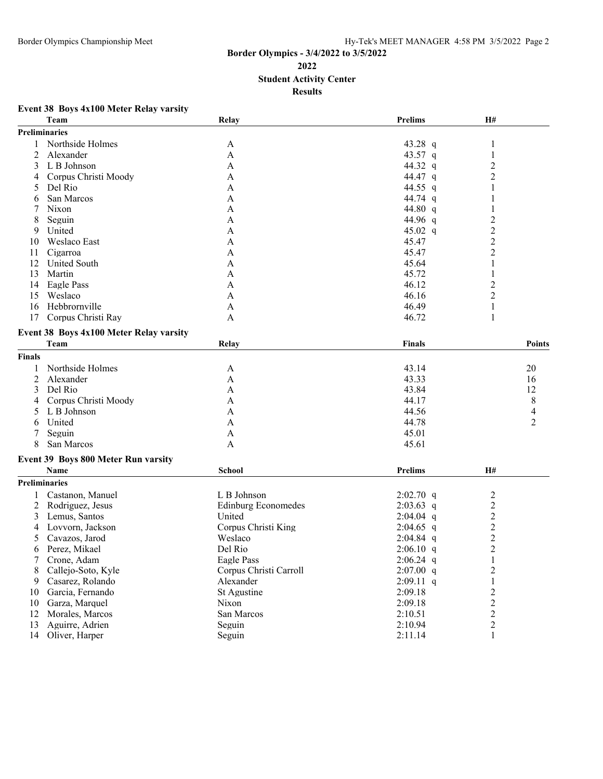## **Border Olympics - 3/4/2022 to 3/5/2022 Student Activity Center Results**

## **Event 38 Boys 4x100 Meter Relay varsity**

|               | Team                                    | Relay                      | <b>Prelims</b> | H#                      |                     |
|---------------|-----------------------------------------|----------------------------|----------------|-------------------------|---------------------|
| Preliminaries |                                         |                            |                |                         |                     |
|               | Northside Holmes                        | A                          | 43.28 q        | 1                       |                     |
| 2             | Alexander                               | A                          | 43.57 q        | 1                       |                     |
| 3             | L B Johnson                             | A                          | 44.32 q        | $\overline{2}$          |                     |
| 4             | Corpus Christi Moody                    | A                          | 44.47 q        | $\overline{2}$          |                     |
| 5             | Del Rio                                 | A                          | 44.55 q        | 1                       |                     |
| 6             | San Marcos                              | $\mathbf{A}$               | 44.74 q        | 1                       |                     |
| 7             | Nixon                                   | A                          | 44.80 q        | 1                       |                     |
| 8             | Seguin                                  | A                          | 44.96 q        | $\overline{c}$          |                     |
| 9             | United                                  | A                          | 45.02 $q$      | $\overline{c}$          |                     |
| 10            | Weslaco East                            | A                          | 45.47          | $\overline{c}$          |                     |
| 11            | Cigarroa                                | A                          | 45.47          | $\overline{2}$          |                     |
| 12            | <b>United South</b>                     | A                          | 45.64          | $\mathbf{1}$            |                     |
| 13            | Martin                                  | A                          | 45.72          | $\mathbf{1}$            |                     |
| 14            | Eagle Pass                              | A                          | 46.12          | $\overline{c}$          |                     |
| 15            | Weslaco                                 | A                          | 46.16          | $\overline{2}$          |                     |
| 16            | Hebbrornville                           | A                          | 46.49          | 1                       |                     |
| 17            | Corpus Christi Ray                      | A                          | 46.72          | 1                       |                     |
|               | Event 38 Boys 4x100 Meter Relay varsity |                            |                |                         |                     |
|               | Team                                    | Relay                      | <b>Finals</b>  |                         | <b>Points</b>       |
|               |                                         |                            |                |                         |                     |
| <b>Finals</b> |                                         |                            |                |                         |                     |
| 1             | Northside Holmes                        | A                          | 43.14          |                         | 20                  |
| 2             | Alexander                               | A                          | 43.33          |                         | 16                  |
| 3             | Del Rio                                 | A                          | 43.84          |                         | 12                  |
| 4             | Corpus Christi Moody                    | A                          | 44.17          |                         | 8                   |
| 5             | L B Johnson                             | A                          | 44.56          |                         | 4<br>$\overline{2}$ |
| 6             | United                                  | A                          | 44.78<br>45.01 |                         |                     |
| 7<br>8        | Seguin<br>San Marcos                    | A<br>A                     | 45.61          |                         |                     |
|               |                                         |                            |                |                         |                     |
|               | Event 39 Boys 800 Meter Run varsity     |                            |                |                         |                     |
|               | Name                                    | School                     | <b>Prelims</b> | H#                      |                     |
|               | Preliminaries                           |                            |                |                         |                     |
|               | Castanon, Manuel                        | L B Johnson                | $2:02.70$ q    | $\overline{c}$          |                     |
| 2             | Rodriguez, Jesus                        | <b>Edinburg Economedes</b> | $2:03.63$ q    | $\overline{2}$          |                     |
| 3             | Lemus, Santos                           | United                     | $2:04.04$ q    | $\boldsymbol{2}$        |                     |
| 4             | Lovvorn, Jackson                        | Corpus Christi King        | $2:04.65$ q    | $\overline{\mathbf{c}}$ |                     |
| 5             | Cavazos, Jarod                          | Weslaco                    | $2:04.84$ q    | $\overline{c}$          |                     |
| 6             | Perez, Mikael                           | Del Rio                    | $2:06.10$ q    | $\overline{2}$          |                     |
|               | Crone, Adam                             | Eagle Pass                 | $2:06.24$ q    | 1                       |                     |
| 8             | Callejo-Soto, Kyle                      | Corpus Christi Carroll     | $2:07.00$ q    | $\overline{2}$          |                     |
| 9             | Casarez, Rolando                        | Alexander                  | $2:09.11$ q    | $\mathbf{1}$            |                     |
| 10            | Garcia, Fernando                        | St Agustine                | 2:09.18        | $\overline{c}$          |                     |
| 10            | Garza, Marquel                          | Nixon                      | 2:09.18        | $\overline{c}$          |                     |
| 12            | Morales, Marcos                         | San Marcos                 | 2:10.51        | $\overline{c}$          |                     |
| 13            | Aguirre, Adrien                         | Seguin                     | 2:10.94        | $\overline{c}$          |                     |
| 14            | Oliver, Harper                          | Seguin                     | 2:11.14        | $\mathbf{1}$            |                     |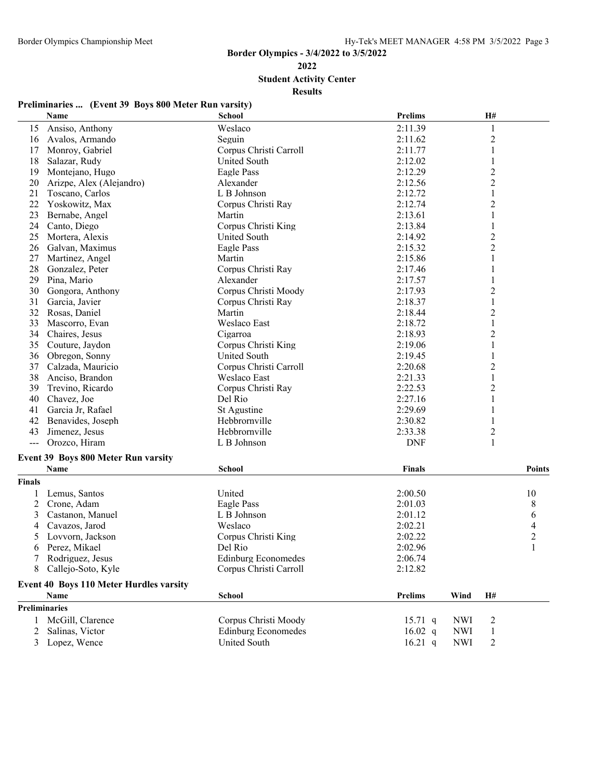**Student Activity Center**

**Results**

# **Preliminaries ... (Event 39 Boys 800 Meter Run varsity)**

|               | Name                                           | <b>School</b>              | <b>Prelims</b>    |            | H#                      |               |
|---------------|------------------------------------------------|----------------------------|-------------------|------------|-------------------------|---------------|
| 15            | Ansiso, Anthony                                | Weslaco                    | 2:11.39           |            | 1                       |               |
| 16            | Avalos, Armando                                | Seguin                     | 2:11.62           |            | $\overline{c}$          |               |
| 17            | Monroy, Gabriel                                | Corpus Christi Carroll     | 2:11.77           |            | $\mathbf{1}$            |               |
| 18            | Salazar, Rudy                                  | <b>United South</b>        | 2:12.02           |            | 1                       |               |
| 19            | Montejano, Hugo                                | Eagle Pass                 | 2:12.29           |            | $\overline{c}$          |               |
| 20            | Arizpe, Alex (Alejandro)                       | Alexander                  | 2:12.56           |            | $\overline{c}$          |               |
| 21            | Toscano, Carlos                                | L B Johnson                | 2:12.72           |            | $\mathbf{1}$            |               |
| 22            | Yoskowitz, Max                                 | Corpus Christi Ray         | 2:12.74           |            | $\overline{c}$          |               |
| 23            | Bernabe, Angel                                 | Martin                     | 2:13.61           |            | $\mathbf{1}$            |               |
| 24            | Canto, Diego                                   | Corpus Christi King        | 2:13.84           |            | 1                       |               |
| 25            | Mortera, Alexis                                | United South               | 2:14.92           |            | $\overline{c}$          |               |
| 26            | Galvan, Maximus                                | Eagle Pass                 | 2:15.32           |            | $\overline{c}$          |               |
| 27            | Martinez, Angel                                | Martin                     | 2:15.86           |            | $\mathbf{1}$            |               |
| 28            | Gonzalez, Peter                                | Corpus Christi Ray         | 2:17.46           |            | 1                       |               |
| 29            | Pina, Mario                                    | Alexander                  | 2:17.57           |            | 1                       |               |
| 30            | Gongora, Anthony                               | Corpus Christi Moody       | 2:17.93           |            | $\overline{\mathbf{c}}$ |               |
| 31            | Garcia, Javier                                 | Corpus Christi Ray         | 2:18.37           |            | $\mathbf{1}$            |               |
| 32            | Rosas, Daniel                                  | Martin                     | 2:18.44           |            | $\overline{c}$          |               |
| 33            | Mascorro, Evan                                 | Weslaco East               | 2:18.72           |            | $\mathbf{1}$            |               |
| 34            | Chaires, Jesus                                 | Cigarroa                   | 2:18.93           |            | $\overline{c}$          |               |
| 35            | Couture, Jaydon                                | Corpus Christi King        | 2:19.06           |            | $\mathbf{1}$            |               |
| 36            | Obregon, Sonny                                 | <b>United South</b>        | 2:19.45           |            | 1                       |               |
| 37            | Calzada, Mauricio                              | Corpus Christi Carroll     | 2:20.68           |            | $\overline{\mathbf{c}}$ |               |
| 38            | Anciso, Brandon                                | Weslaco East               | 2:21.33           |            | 1                       |               |
| 39            | Trevino, Ricardo                               | Corpus Christi Ray         | 2:22.53           |            | $\overline{c}$          |               |
| 40            | Chavez, Joe                                    | Del Rio                    | 2:27.16           |            | $\mathbf{1}$            |               |
| 41            | Garcia Jr, Rafael                              | St Agustine                | 2:29.69           |            | 1                       |               |
| 42            | Benavides, Joseph                              | Hebbrornville              | 2:30.82           |            |                         |               |
| 43            | Jimenez, Jesus                                 | Hebbrornville              | 2:33.38           |            | 2                       |               |
| $\frac{1}{2}$ | Orozco, Hiram                                  | L B Johnson                | <b>DNF</b>        |            | 1                       |               |
|               | <b>Event 39 Boys 800 Meter Run varsity</b>     |                            |                   |            |                         |               |
|               | Name                                           | School                     | <b>Finals</b>     |            |                         | <b>Points</b> |
| <b>Finals</b> |                                                |                            |                   |            |                         |               |
| 1             | Lemus, Santos                                  | United                     | 2:00.50           |            |                         | 10            |
| 2             | Crone, Adam                                    | Eagle Pass                 | 2:01.03           |            |                         | 8             |
| 3             | Castanon, Manuel                               | L B Johnson                | 2:01.12           |            |                         | 6             |
| 4             | Cavazos, Jarod                                 | Weslaco                    | 2:02.21           |            |                         | 4             |
| 5             | Lovvorn, Jackson                               | Corpus Christi King        | 2:02.22           |            |                         | 2             |
| 6             | Perez, Mikael                                  | Del Rio                    | 2:02.96           |            |                         | 1             |
|               | Rodriguez, Jesus                               | <b>Edinburg Economedes</b> | 2:06.74           |            |                         |               |
| 8             | Callejo-Soto, Kyle                             | Corpus Christi Carroll     | 2:12.82           |            |                         |               |
|               |                                                |                            |                   |            |                         |               |
|               | <b>Event 40 Boys 110 Meter Hurdles varsity</b> |                            |                   |            |                         |               |
|               | Name                                           | School                     | <b>Prelims</b>    | Wind       | H#                      |               |
|               | <b>Preliminaries</b>                           |                            |                   |            |                         |               |
| 1             | McGill, Clarence                               | Corpus Christi Moody       | $15.71 \text{ q}$ | <b>NWI</b> | 2                       |               |
| 2             | Salinas, Victor                                | <b>Edinburg Economedes</b> | 16.02 $q$         | <b>NWI</b> | 1                       |               |
| 3             | Lopez, Wence                                   | United South               | $16.21$ q         | <b>NWI</b> | $\overline{c}$          |               |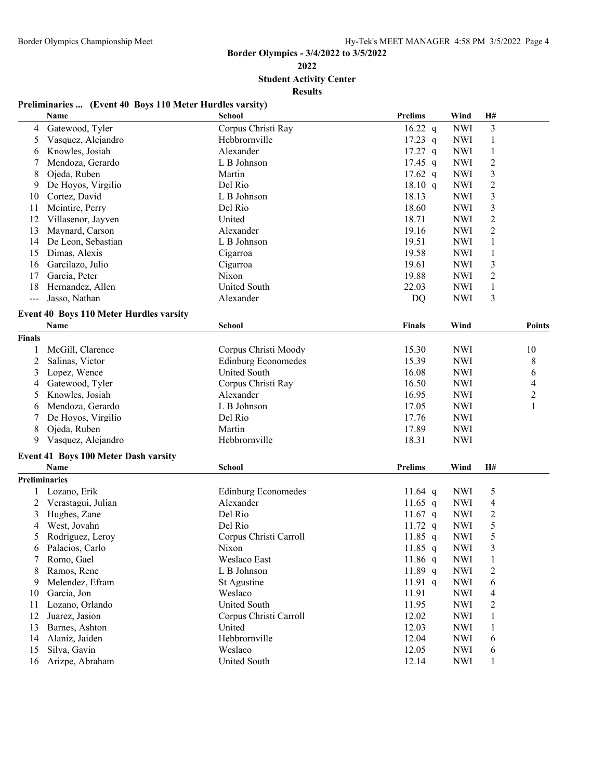**Student Activity Center**

**Results**

# **Preliminaries ... (Event 40 Boys 110 Meter Hurdles varsity)**

|               | Name                                                | <b>School</b>              | <b>Prelims</b> | Wind       | H#                      |                |
|---------------|-----------------------------------------------------|----------------------------|----------------|------------|-------------------------|----------------|
| 4             | Gatewood, Tyler                                     | Corpus Christi Ray         | $16.22$ q      | <b>NWI</b> | 3                       |                |
| 5             | Vasquez, Alejandro                                  | Hebbrornville              | $17.23$ q      | <b>NWI</b> | $\mathbf{1}$            |                |
| 6             | Knowles, Josiah                                     | Alexander                  | $17.27$ q      | <b>NWI</b> | $\mathbf{1}$            |                |
| 7             | Mendoza, Gerardo                                    | L B Johnson                | $17.45$ q      | <b>NWI</b> | $\boldsymbol{2}$        |                |
| 8             | Ojeda, Ruben                                        | Martin                     | $17.62$ q      | <b>NWI</b> | $\overline{\mathbf{3}}$ |                |
| 9             | De Hoyos, Virgilio                                  | Del Rio                    | 18.10 q        | <b>NWI</b> | $\overline{\mathbf{c}}$ |                |
| 10            | Cortez, David                                       | L B Johnson                | 18.13          | <b>NWI</b> | $\overline{\mathbf{3}}$ |                |
| 11            | Mcintire, Perry                                     | Del Rio                    | 18.60          | <b>NWI</b> | 3                       |                |
| 12            | Villasenor, Jayven                                  | United                     | 18.71          | <b>NWI</b> | $\overline{\mathbf{c}}$ |                |
| 13            | Maynard, Carson                                     | Alexander                  | 19.16          | <b>NWI</b> | $\overline{2}$          |                |
| 14            | De Leon, Sebastian                                  | L B Johnson                | 19.51          | <b>NWI</b> | $\mathbf{1}$            |                |
| 15            | Dimas, Alexis                                       | Cigarroa                   | 19.58          | <b>NWI</b> | $\mathbf{1}$            |                |
| 16            | Garcilazo, Julio                                    | Cigarroa                   | 19.61          | <b>NWI</b> | $\mathfrak{Z}$          |                |
| 17            | Garcia, Peter                                       | Nixon                      | 19.88          | <b>NWI</b> | $\overline{2}$          |                |
| 18            | Hernandez, Allen                                    | United South               | 22.03          | <b>NWI</b> | $\mathbf{1}$            |                |
| $---$         | Jasso, Nathan                                       | Alexander                  | DQ             | <b>NWI</b> | 3                       |                |
|               |                                                     |                            |                |            |                         |                |
|               | <b>Event 40 Boys 110 Meter Hurdles varsity</b>      |                            |                |            |                         |                |
|               | Name                                                | School                     | Finals         | Wind       |                         | <b>Points</b>  |
| <b>Finals</b> |                                                     |                            |                |            |                         |                |
| 1             | McGill, Clarence                                    | Corpus Christi Moody       | 15.30          | <b>NWI</b> |                         | 10             |
| 2             | Salinas, Victor                                     | <b>Edinburg Economedes</b> | 15.39          | <b>NWI</b> |                         | 8              |
| 3             | Lopez, Wence                                        | United South               | 16.08          | <b>NWI</b> |                         | 6              |
| 4             | Gatewood, Tyler                                     | Corpus Christi Ray         | 16.50          | <b>NWI</b> |                         | 4              |
| 5             | Knowles, Josiah                                     | Alexander                  | 16.95          | <b>NWI</b> |                         | $\overline{c}$ |
| 6             | Mendoza, Gerardo                                    | L B Johnson                | 17.05          | <b>NWI</b> |                         | 1              |
| 7             | De Hoyos, Virgilio                                  | Del Rio                    | 17.76          | <b>NWI</b> |                         |                |
| 8             | Ojeda, Ruben                                        | Martin                     | 17.89          | <b>NWI</b> |                         |                |
| 9             | Vasquez, Alejandro                                  | Hebbrornville              | 18.31          | <b>NWI</b> |                         |                |
|               |                                                     |                            |                |            |                         |                |
|               | <b>Event 41 Boys 100 Meter Dash varsity</b><br>Name | School                     | <b>Prelims</b> | Wind       | H#                      |                |
|               |                                                     |                            |                |            |                         |                |
| Preliminaries |                                                     |                            |                |            |                         |                |
| 1             | Lozano, Erik                                        | <b>Edinburg Economedes</b> | 11.64 q        | <b>NWI</b> | 5                       |                |
| 2             | Verastagui, Julian                                  | Alexander                  | 11.65 q        | <b>NWI</b> | 4                       |                |
| 3             | Hughes, Zane                                        | Del Rio                    | 11.67 q        | <b>NWI</b> | $\overline{\mathbf{c}}$ |                |
| 4             | West, Jovahn                                        | Del Rio                    | $11.72$ q      | <b>NWI</b> | 5                       |                |
| 5             | Rodriguez, Leroy                                    | Corpus Christi Carroll     | 11.85 $q$      | <b>NWI</b> | 5                       |                |
| 6             | Palacios, Carlo                                     | Nixon                      | $11.85$ q      | <b>NWI</b> | $\overline{3}$          |                |
| 7             | Romo, Gael                                          | Weslaco East               | 11.86 q        | <b>NWI</b> | $\mathbf{1}$            |                |
| 8             | Ramos, Rene                                         | L B Johnson                | 11.89 $q$      | <b>NWI</b> | $\overline{c}$          |                |
| 9             | Melendez, Efram                                     | St Agustine                | 11.91 q        | <b>NWI</b> | 6                       |                |
| 10            | Garcia, Jon                                         | Weslaco                    | 11.91          | <b>NWI</b> | 4                       |                |
| 11            | Lozano, Orlando                                     | United South               | 11.95          | <b>NWI</b> | 2                       |                |
| 12            | Juarez, Jasion                                      | Corpus Christi Carroll     | 12.02          | <b>NWI</b> | 1                       |                |
| 13            | Barnes, Ashton                                      | United                     | 12.03          | <b>NWI</b> | 1                       |                |
| 14            | Alaniz, Jaiden                                      | Hebbrornville              | 12.04          | <b>NWI</b> | 6                       |                |
| 15            | Silva, Gavin                                        | Weslaco                    | 12.05          | <b>NWI</b> | 6                       |                |
| 16            | Arizpe, Abraham                                     | United South               | 12.14          | <b>NWI</b> | 1                       |                |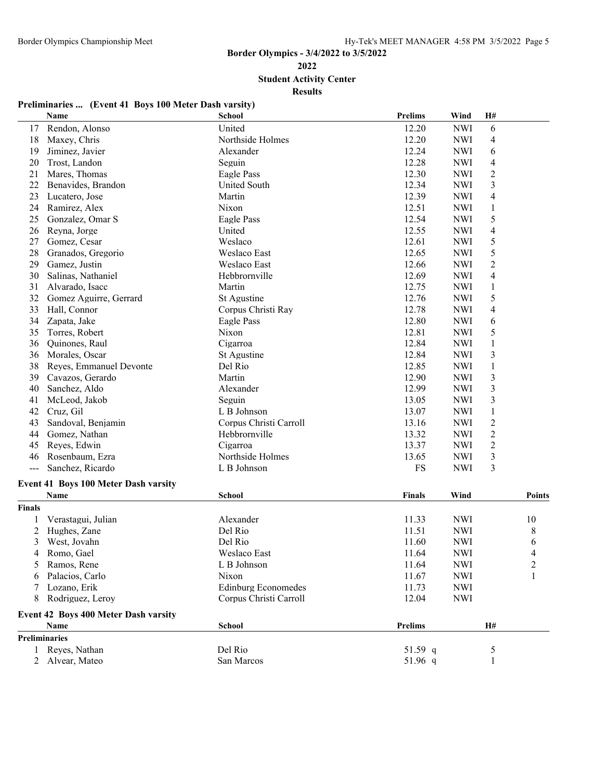**Student Activity Center**

**Results**

# **Preliminaries ... (Event 41 Boys 100 Meter Dash varsity)**

|                      | Name                                 | School                     | <b>Prelims</b> | Wind       | H#                       |                |
|----------------------|--------------------------------------|----------------------------|----------------|------------|--------------------------|----------------|
| 17                   | Rendon, Alonso                       | United                     | 12.20          | <b>NWI</b> | 6                        |                |
| 18                   | Maxey, Chris                         | Northside Holmes           | 12.20          | <b>NWI</b> | $\overline{4}$           |                |
| 19                   | Jiminez, Javier                      | Alexander                  | 12.24          | <b>NWI</b> | 6                        |                |
| 20                   | Trost, Landon                        | Seguin                     | 12.28          | <b>NWI</b> | $\overline{4}$           |                |
| 21                   | Mares, Thomas                        | Eagle Pass                 | 12.30          | <b>NWI</b> | $\overline{c}$           |                |
| 22                   | Benavides, Brandon                   | United South               | 12.34          | <b>NWI</b> | 3                        |                |
| 23                   | Lucatero, Jose                       | Martin                     | 12.39          | <b>NWI</b> | $\overline{4}$           |                |
| 24                   | Ramirez, Alex                        | Nixon                      | 12.51          | <b>NWI</b> | 1                        |                |
| 25                   | Gonzalez, Omar S                     | Eagle Pass                 | 12.54          | <b>NWI</b> | 5                        |                |
| 26                   | Reyna, Jorge                         | United                     | 12.55          | <b>NWI</b> | $\overline{\mathcal{A}}$ |                |
| 27                   | Gomez, Cesar                         | Weslaco                    | 12.61          | <b>NWI</b> | 5                        |                |
| 28                   | Granados, Gregorio                   | Weslaco East               | 12.65          | <b>NWI</b> | 5                        |                |
| 29                   | Gamez, Justin                        | Weslaco East               | 12.66          | <b>NWI</b> | $\overline{2}$           |                |
| 30                   | Salinas, Nathaniel                   | Hebbrornville              | 12.69          | <b>NWI</b> | $\overline{4}$           |                |
| 31                   | Alvarado, Isacc                      | Martin                     | 12.75          | <b>NWI</b> | $\mathbf{1}$             |                |
| 32                   | Gomez Aguirre, Gerrard               | St Agustine                | 12.76          | <b>NWI</b> | 5                        |                |
| 33                   | Hall, Connor                         | Corpus Christi Ray         | 12.78          | <b>NWI</b> | $\overline{4}$           |                |
| 34                   | Zapata, Jake                         | Eagle Pass                 | 12.80          | <b>NWI</b> | 6                        |                |
| 35                   | Torres, Robert                       | Nixon                      | 12.81          | <b>NWI</b> | 5                        |                |
| 36                   | Quinones, Raul                       | Cigarroa                   | 12.84          | <b>NWI</b> | 1                        |                |
| 36                   | Morales, Oscar                       | St Agustine                | 12.84          | <b>NWI</b> | 3                        |                |
| 38                   | Reyes, Emmanuel Devonte              | Del Rio                    | 12.85          | <b>NWI</b> | $\mathbf{1}$             |                |
| 39                   | Cavazos, Gerardo                     | Martin                     | 12.90          | <b>NWI</b> | $\mathfrak{Z}$           |                |
| 40                   | Sanchez, Aldo                        | Alexander                  | 12.99          | <b>NWI</b> | $\mathfrak{Z}$           |                |
| 41                   | McLeod, Jakob                        | Seguin                     | 13.05          | <b>NWI</b> | 3                        |                |
| 42                   | Cruz, Gil                            | L B Johnson                | 13.07          | <b>NWI</b> | $\mathbf{1}$             |                |
| 43                   | Sandoval, Benjamin                   | Corpus Christi Carroll     | 13.16          | <b>NWI</b> | $\sqrt{2}$               |                |
| 44                   | Gomez, Nathan                        | Hebbrornville              | 13.32          | <b>NWI</b> | $\overline{c}$           |                |
| 45                   | Reyes, Edwin                         | Cigarroa                   | 13.37          | <b>NWI</b> | $\overline{c}$           |                |
| 46                   | Rosenbaum, Ezra                      | Northside Holmes           | 13.65          | <b>NWI</b> | 3                        |                |
| $\qquad \qquad -$    | Sanchez, Ricardo                     | L B Johnson                | FS             | <b>NWI</b> | 3                        |                |
|                      | Event 41 Boys 100 Meter Dash varsity |                            |                |            |                          |                |
|                      | <b>Name</b>                          | <b>School</b>              | <b>Finals</b>  | Wind       |                          | <b>Points</b>  |
| <b>Finals</b>        |                                      |                            |                |            |                          |                |
|                      | Verastagui, Julian                   | Alexander                  | 11.33          | <b>NWI</b> |                          | 10             |
| 2                    | Hughes, Zane                         | Del Rio                    | 11.51          | <b>NWI</b> |                          | 8              |
| 3                    | West, Jovahn                         | Del Rio                    | 11.60          | <b>NWI</b> |                          | 6              |
|                      | 4 Romo, Gael                         | Weslaco East               | 11.64          | <b>NWI</b> |                          | 4              |
| 5                    | Ramos, Rene                          | L B Johnson                | 11.64          | <b>NWI</b> |                          | $\overline{2}$ |
|                      | Palacios, Carlo                      | Nixon                      | 11.67          | <b>NWI</b> |                          |                |
|                      | Lozano, Erik                         | <b>Edinburg Economedes</b> | 11.73          | <b>NWI</b> |                          |                |
| 8                    | Rodriguez, Leroy                     | Corpus Christi Carroll     | 12.04          | <b>NWI</b> |                          |                |
|                      | Event 42 Boys 400 Meter Dash varsity |                            |                |            |                          |                |
|                      | Name                                 | School                     | <b>Prelims</b> |            | H#                       |                |
| <b>Preliminaries</b> |                                      |                            |                |            |                          |                |
|                      | Reyes, Nathan                        | Del Rio                    | 51.59 $q$      |            | $\mathfrak{S}$           |                |
|                      | 2 Alvear, Mateo                      | San Marcos                 | 51.96 q        |            | $\mathbf{1}$             |                |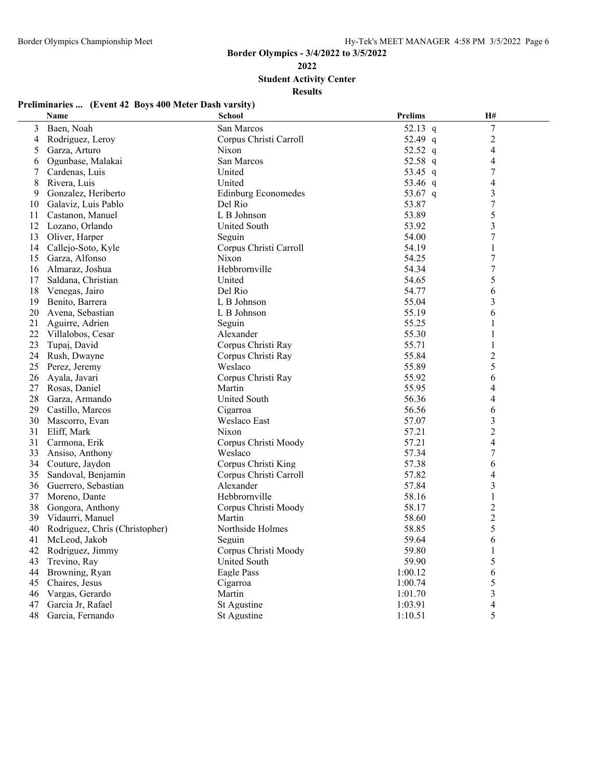**Student Activity Center**

**Results**

# **Preliminaries ... (Event 42 Boys 400 Meter Dash varsity)**

|    | Name                           | School                     | <b>Prelims</b> | H#                       |  |
|----|--------------------------------|----------------------------|----------------|--------------------------|--|
| 3  | Baen, Noah                     | San Marcos                 | 52.13 q        | $\boldsymbol{7}$         |  |
| 4  | Rodriguez, Leroy               | Corpus Christi Carroll     | 52.49 q        | $\overline{c}$           |  |
| 5  | Garza, Arturo                  | Nixon                      | 52.52 q        | $\overline{\mathcal{L}}$ |  |
| 6  | Ogunbase, Malakai              | San Marcos                 | 52.58 q        | $\overline{\mathcal{L}}$ |  |
| 7  | Cardenas, Luis                 | United                     | 53.45 q        | $\tau$                   |  |
| 8  | Rivera, Luis                   | United                     | 53.46 q        | $\overline{\mathcal{L}}$ |  |
| 9  | Gonzalez, Heriberto            | <b>Edinburg Economedes</b> | 53.67 q        | 3                        |  |
| 10 | Galaviz, Luis Pablo            | Del Rio                    | 53.87          | $\boldsymbol{7}$         |  |
| 11 | Castanon, Manuel               | L B Johnson                | 53.89          | 5                        |  |
| 12 | Lozano, Orlando                | <b>United South</b>        | 53.92          | $\overline{3}$           |  |
| 13 | Oliver, Harper                 | Seguin                     | 54.00          | 7                        |  |
| 14 | Callejo-Soto, Kyle             | Corpus Christi Carroll     | 54.19          | 1                        |  |
| 15 | Garza, Alfonso                 | <b>Nixon</b>               | 54.25          | $\boldsymbol{7}$         |  |
| 16 | Almaraz, Joshua                | Hebbrornville              | 54.34          | $\boldsymbol{7}$         |  |
| 17 | Saldana, Christian             | United                     | 54.65          | 5                        |  |
| 18 | Venegas, Jairo                 | Del Rio                    | 54.77          | 6                        |  |
| 19 | Benito, Barrera                | L B Johnson                | 55.04          | 3                        |  |
| 20 | Avena, Sebastian               | L B Johnson                | 55.19          | 6                        |  |
| 21 | Aguirre, Adrien                | Seguin                     | 55.25          | 1                        |  |
| 22 | Villalobos, Cesar              | Alexander                  | 55.30          | 1                        |  |
| 23 | Tupaj, David                   | Corpus Christi Ray         | 55.71          | 1                        |  |
| 24 | Rush, Dwayne                   | Corpus Christi Ray         | 55.84          | $\overline{2}$           |  |
| 25 | Perez, Jeremy                  | Weslaco                    | 55.89          | 5                        |  |
| 26 | Ayala, Javari                  | Corpus Christi Ray         | 55.92          | 6                        |  |
| 27 | Rosas, Daniel                  | Martin                     | 55.95          | 4                        |  |
| 28 | Garza, Armando                 | <b>United South</b>        | 56.36          | 4                        |  |
| 29 | Castillo, Marcos               | Cigarroa                   | 56.56          | 6                        |  |
| 30 | Mascorro, Evan                 | <b>Weslaco East</b>        | 57.07          | 3                        |  |
| 31 | Eliff, Mark                    | Nixon                      | 57.21          | $\overline{2}$           |  |
| 31 | Carmona, Erik                  | Corpus Christi Moody       | 57.21          | $\overline{\mathcal{L}}$ |  |
| 33 | Ansiso, Anthony                | Weslaco                    | 57.34          | $\boldsymbol{7}$         |  |
| 34 | Couture, Jaydon                | Corpus Christi King        | 57.38          | 6                        |  |
| 35 | Sandoval, Benjamin             | Corpus Christi Carroll     | 57.82          | 4                        |  |
| 36 | Guerrero, Sebastian            | Alexander                  | 57.84          | $\mathfrak{Z}$           |  |
| 37 | Moreno, Dante                  | Hebbrornville              | 58.16          | 1                        |  |
| 38 | Gongora, Anthony               | Corpus Christi Moody       | 58.17          | $\overline{2}$           |  |
| 39 | Vidaurri, Manuel               | Martin                     | 58.60          | $\overline{2}$           |  |
| 40 | Rodriguez, Chris (Christopher) | Northside Holmes           | 58.85          | 5                        |  |
| 41 | McLeod, Jakob                  | Seguin                     | 59.64          | 6                        |  |
| 42 | Rodriguez, Jimmy               | Corpus Christi Moody       | 59.80          | 1                        |  |
| 43 | Trevino, Ray                   | <b>United South</b>        | 59.90          | 5                        |  |
| 44 | Browning, Ryan                 | Eagle Pass                 | 1:00.12        | 6                        |  |
| 45 | Chaires, Jesus                 | Cigarroa                   | 1:00.74        | 5                        |  |
| 46 | Vargas, Gerardo                | Martin                     | 1:01.70        | $\overline{\mathbf{3}}$  |  |
| 47 | Garcia Jr, Rafael              | St Agustine                | 1:03.91        | 4                        |  |
| 48 | Garcia, Fernando               | St Agustine                | 1:10.51        | 5                        |  |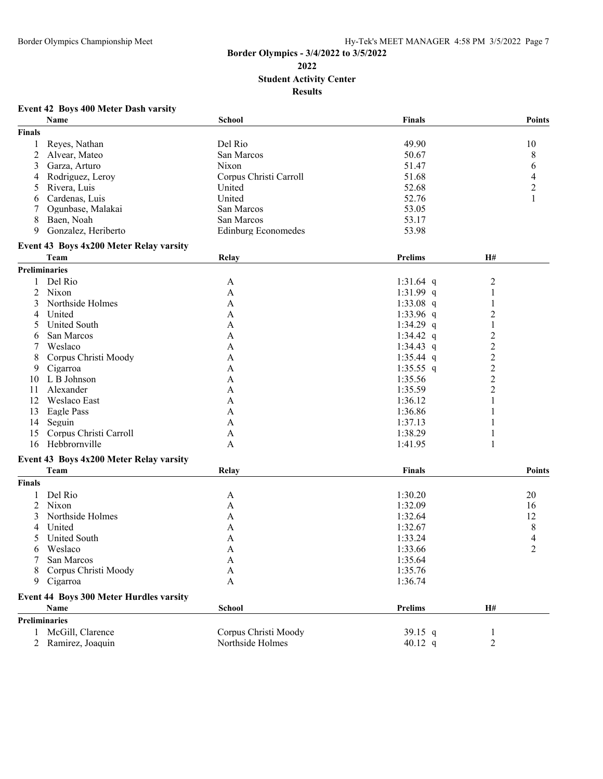## **Border Olympics - 3/4/2022 to 3/5/2022 Student Activity Center Results**

## **Event 42 Boys 400 Meter Dash varsity**

|                | Name                                    | School                     | <b>Finals</b>  |                         | <b>Points</b>  |
|----------------|-----------------------------------------|----------------------------|----------------|-------------------------|----------------|
| <b>Finals</b>  |                                         |                            |                |                         |                |
| 1              | Reyes, Nathan                           | Del Rio                    | 49.90          |                         | 10             |
| 2              | Alvear, Mateo                           | San Marcos                 | 50.67          |                         | 8              |
| 3              | Garza, Arturo                           | <b>Nixon</b>               | 51.47          |                         | 6              |
| 4              | Rodriguez, Leroy                        | Corpus Christi Carroll     | 51.68          |                         | 4              |
| 5              | Rivera, Luis                            | United                     | 52.68          |                         | $\mathbf{2}$   |
| 6              | Cardenas, Luis                          | United                     | 52.76          |                         | $\mathbf{1}$   |
| 7              | Ogunbase, Malakai                       | San Marcos                 | 53.05          |                         |                |
| 8              | Baen, Noah                              | San Marcos                 | 53.17          |                         |                |
| 9              | Gonzalez, Heriberto                     |                            | 53.98          |                         |                |
|                |                                         | <b>Edinburg Economedes</b> |                |                         |                |
|                | Event 43 Boys 4x200 Meter Relay varsity |                            |                |                         |                |
|                | Team                                    | Relay                      | <b>Prelims</b> | H#                      |                |
|                | Preliminaries                           |                            |                |                         |                |
| 1              | Del Rio                                 | A                          | 1:31.64 q      | $\overline{c}$          |                |
| 2              | Nixon                                   | A                          | 1:31.99 $q$    | $\mathbf{1}$            |                |
| 3              | Northside Holmes                        | A                          | 1:33.08 $q$    | 1                       |                |
| 4              | United                                  | A                          | 1:33.96 $q$    | $\overline{c}$          |                |
| 5              | <b>United South</b>                     | A                          | 1:34.29 q      | 1                       |                |
| 6              | San Marcos                              | A                          | 1:34.42 q      | $\overline{\mathbf{c}}$ |                |
| 7              | Weslaco                                 | A                          | 1:34.43 q      | $\overline{c}$          |                |
| 8              | Corpus Christi Moody                    | A                          | $1:35.44$ q    | $\overline{c}$          |                |
| 9              | Cigarroa                                | A                          | 1:35.55 $q$    | $\overline{\mathbf{c}}$ |                |
| 10             | L B Johnson                             | A                          | 1:35.56        | $\overline{c}$          |                |
|                | Alexander                               |                            | 1:35.59        |                         |                |
| 11             | Weslaco East                            | A                          |                | $\overline{c}$<br>1     |                |
| 12             |                                         | A                          | 1:36.12        |                         |                |
| 13             | Eagle Pass                              | A                          | 1:36.86        | 1                       |                |
| 14             | Seguin                                  | A                          | 1:37.13        | 1                       |                |
| 15             | Corpus Christi Carroll                  | A                          | 1:38.29        | 1                       |                |
| 16             | Hebbrornville                           | A                          | 1:41.95        | 1                       |                |
|                | Event 43 Boys 4x200 Meter Relay varsity |                            |                |                         |                |
|                | Team                                    | Relay                      | Finals         |                         | <b>Points</b>  |
| <b>Finals</b>  |                                         |                            |                |                         |                |
| 1              | Del Rio                                 | A                          | 1:30.20        |                         | 20             |
| 2              | Nixon                                   | A                          | 1:32.09        |                         | 16             |
| 3              | Northside Holmes                        | A                          | 1:32.64        |                         | 12             |
| 4              | United                                  | A                          | 1:32.67        |                         | 8              |
| 5              | <b>United South</b>                     | A                          | 1:33.24        |                         | 4              |
| 6              | Weslaco                                 | A                          | 1:33.66        |                         | $\overline{2}$ |
|                |                                         |                            |                |                         |                |
|                | San Marcos                              | A                          | 1:35.64        |                         |                |
| 8              | Corpus Christi Moody                    | $\mathbf{A}$               | 1:35.76        |                         |                |
| 9              | Cigarroa                                | A                          | 1:36.74        |                         |                |
|                | Event 44 Boys 300 Meter Hurdles varsity |                            |                |                         |                |
|                | Name                                    | School                     | <b>Prelims</b> | H#                      |                |
|                | <b>Preliminaries</b>                    |                            |                |                         |                |
|                | 1 McGill, Clarence                      | Corpus Christi Moody       | 39.15 $q$      | 1                       |                |
| $\overline{2}$ | Ramirez, Joaquin                        | Northside Holmes           | 40.12 $q$      | $\overline{2}$          |                |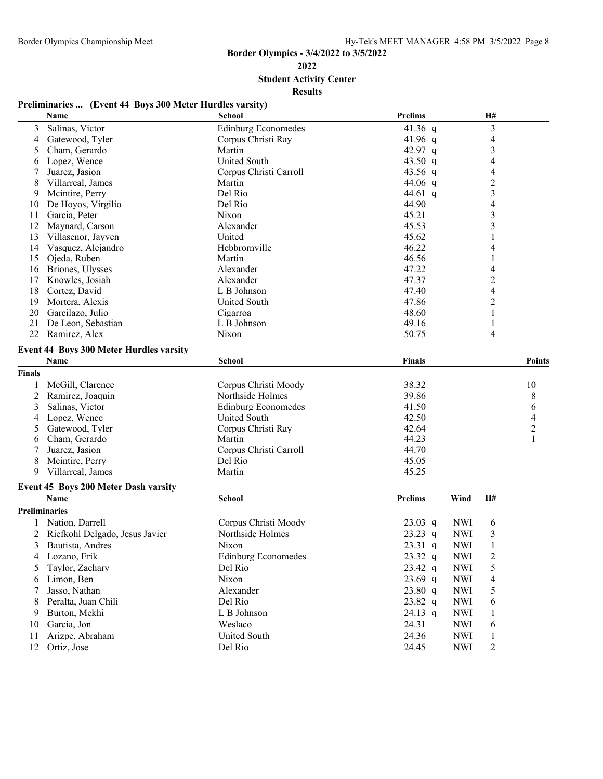**Student Activity Center**

#### **Results**

# **Preliminaries ... (Event 44 Boys 300 Meter Hurdles varsity)**

|                | Name                                                | <b>School</b>              | <b>Prelims</b> |            | H#                       |                          |
|----------------|-----------------------------------------------------|----------------------------|----------------|------------|--------------------------|--------------------------|
| 3              | Salinas, Victor                                     | <b>Edinburg Economedes</b> | 41.36 q        |            | 3                        |                          |
| $\overline{4}$ | Gatewood, Tyler                                     | Corpus Christi Ray         | 41.96 $q$      |            | $\overline{\mathcal{L}}$ |                          |
| 5              | Cham, Gerardo                                       | Martin                     | 42.97 q        |            | 3                        |                          |
| 6              | Lopez, Wence                                        | <b>United South</b>        | 43.50 q        |            | 4                        |                          |
|                | Juarez, Jasion                                      | Corpus Christi Carroll     | 43.56 $q$      |            | $\overline{\mathcal{L}}$ |                          |
| 8              | Villarreal, James                                   | Martin                     | 44.06 $q$      |            | $\overline{c}$           |                          |
| 9              | Mcintire, Perry                                     | Del Rio                    | 44.61 q        |            | 3                        |                          |
| 10             | De Hoyos, Virgilio                                  | Del Rio                    | 44.90          |            | $\overline{4}$           |                          |
| 11             | Garcia, Peter                                       | Nixon                      | 45.21          |            | 3                        |                          |
| 12             | Maynard, Carson                                     | Alexander                  | 45.53          |            | 3                        |                          |
| 13             | Villasenor, Jayven                                  | United                     | 45.62          |            |                          |                          |
| 14             | Vasquez, Alejandro                                  | Hebbrornville              | 46.22          |            | 4                        |                          |
| 15             | Ojeda, Ruben                                        | Martin                     | 46.56          |            | 1                        |                          |
| 16             | Briones, Ulysses                                    | Alexander                  | 47.22          |            | $\overline{\mathcal{L}}$ |                          |
| 17             | Knowles, Josiah                                     | Alexander                  | 47.37          |            | $\overline{\mathbf{c}}$  |                          |
| 18             | Cortez, David                                       | L B Johnson                | 47.40          |            | 4                        |                          |
| 19             | Mortera, Alexis                                     | <b>United South</b>        | 47.86          |            | 2                        |                          |
| 20             | Garcilazo, Julio                                    | Cigarroa                   | 48.60          |            | 1                        |                          |
| 21             | De Leon, Sebastian                                  | L B Johnson                | 49.16          |            | 1                        |                          |
| 22             | Ramirez, Alex                                       | Nixon                      | 50.75          |            | 4                        |                          |
|                | <b>Event 44 Boys 300 Meter Hurdles varsity</b>      |                            |                |            |                          |                          |
|                | Name                                                | <b>School</b>              | <b>Finals</b>  |            |                          | <b>Points</b>            |
| Finals         |                                                     |                            |                |            |                          |                          |
|                | McGill, Clarence                                    | Corpus Christi Moody       | 38.32          |            |                          | 10                       |
| 2              | Ramirez, Joaquin                                    | Northside Holmes           | 39.86          |            |                          | 8                        |
| 3              | Salinas, Victor                                     | <b>Edinburg Economedes</b> | 41.50          |            |                          | 6                        |
| 4              | Lopez, Wence                                        | <b>United South</b>        | 42.50          |            |                          | $\overline{\mathcal{L}}$ |
| 5              | Gatewood, Tyler                                     | Corpus Christi Ray         | 42.64          |            |                          | $\overline{c}$           |
| 6              | Cham, Gerardo                                       | Martin                     | 44.23          |            |                          | 1                        |
| 7              | Juarez, Jasion                                      | Corpus Christi Carroll     | 44.70          |            |                          |                          |
| 8              | Mcintire, Perry                                     | Del Rio                    | 45.05          |            |                          |                          |
| 9              | Villarreal, James                                   | Martin                     | 45.25          |            |                          |                          |
|                |                                                     |                            |                |            |                          |                          |
|                | Event 45 Boys 200 Meter Dash varsity<br><b>Name</b> | School                     | <b>Prelims</b> | Wind       | Н#                       |                          |
|                |                                                     |                            |                |            |                          |                          |
| Preliminaries  |                                                     |                            |                |            |                          |                          |
|                | Nation, Darrell                                     | Corpus Christi Moody       | $23.03$ q      | <b>NWI</b> | 6                        |                          |
| 2              | Riefkohl Delgado, Jesus Javier                      | Northside Holmes           | $23.23$ q      | <b>NWI</b> | $\mathfrak{Z}$           |                          |
| 3              | Bautista, Andres                                    | Nixon                      | $23.31$ q      | <b>NWI</b> | $\mathbf{1}$             |                          |
| 4              | Lozano, Erik                                        | <b>Edinburg Economedes</b> | 23.32 q        | <b>NWI</b> | $\overline{\mathbf{c}}$  |                          |
| 5              | Taylor, Zachary                                     | Del Rio                    | $23.42$ q      | <b>NWI</b> | 5                        |                          |
| 6              | Limon, Ben                                          | Nixon                      | $23.69$ q      | <b>NWI</b> | 4                        |                          |
|                | Jasso, Nathan                                       | Alexander                  | 23.80 q        | <b>NWI</b> | 5                        |                          |
| 8              | Peralta, Juan Chili                                 | Del Rio                    | 23.82 q        | <b>NWI</b> | 6                        |                          |
| 9              | Burton, Mekhi                                       | L B Johnson                | $24.13$ q      | <b>NWI</b> | 1                        |                          |
| 10             | Garcia, Jon                                         | Weslaco                    | 24.31          | <b>NWI</b> | 6                        |                          |
| 11             | Arizpe, Abraham                                     | United South               | 24.36          | <b>NWI</b> | $\mathbf{1}$             |                          |
| 12             | Ortiz, Jose                                         | Del Rio                    | 24.45          | <b>NWI</b> | $\overline{c}$           |                          |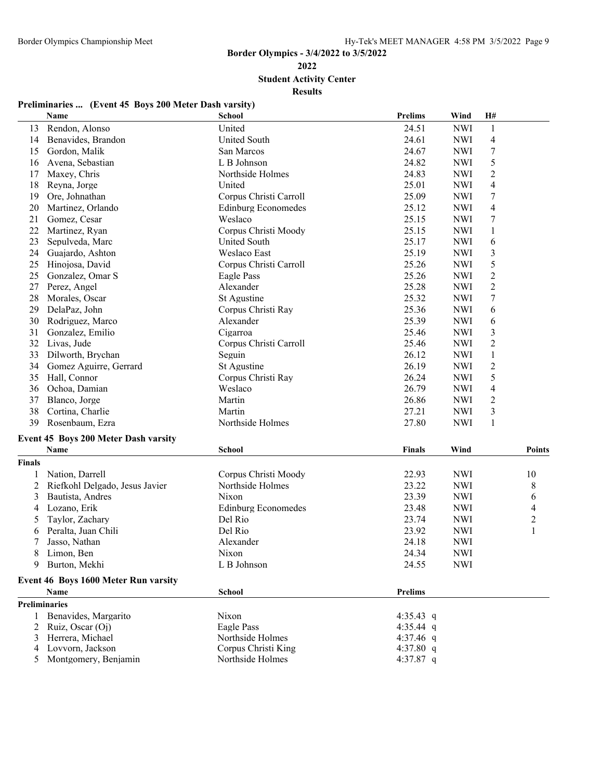**Student Activity Center**

| Preliminaries  (Event 45 Boys 200 Meter Dash varsity) |  |  |
|-------------------------------------------------------|--|--|
|                                                       |  |  |

|               | <b>Name</b>                          | <b>School</b>              | <b>Prelims</b> | Wind       | H#               |                |
|---------------|--------------------------------------|----------------------------|----------------|------------|------------------|----------------|
| 13            | Rendon, Alonso                       | United                     | 24.51          | <b>NWI</b> | $\mathbf{1}$     |                |
| 14            | Benavides, Brandon                   | <b>United South</b>        | 24.61          | <b>NWI</b> | 4                |                |
| 15            | Gordon, Malik                        | San Marcos                 | 24.67          | <b>NWI</b> | $\boldsymbol{7}$ |                |
| 16            | Avena, Sebastian                     | L B Johnson                | 24.82          | <b>NWI</b> | 5                |                |
| 17            | Maxey, Chris                         | Northside Holmes           | 24.83          | <b>NWI</b> | $\overline{c}$   |                |
| 18            | Reyna, Jorge                         | United                     | 25.01          | <b>NWI</b> | 4                |                |
| 19            | Ore, Johnathan                       | Corpus Christi Carroll     | 25.09          | <b>NWI</b> | 7                |                |
| 20            | Martinez, Orlando                    | <b>Edinburg Economedes</b> | 25.12          | <b>NWI</b> | 4                |                |
| 21            | Gomez, Cesar                         | Weslaco                    | 25.15          | <b>NWI</b> | 7                |                |
| 22            | Martinez, Ryan                       | Corpus Christi Moody       | 25.15          | <b>NWI</b> | $\mathbf{1}$     |                |
| 23            | Sepulveda, Marc                      | <b>United South</b>        | 25.17          | <b>NWI</b> | 6                |                |
| 24            | Guajardo, Ashton                     | <b>Weslaco East</b>        | 25.19          | <b>NWI</b> | $\mathfrak{Z}$   |                |
| 25            | Hinojosa, David                      | Corpus Christi Carroll     | 25.26          | <b>NWI</b> | 5                |                |
| 25            | Gonzalez, Omar S                     | Eagle Pass                 | 25.26          | <b>NWI</b> | $\boldsymbol{2}$ |                |
| 27            | Perez, Angel                         | Alexander                  | 25.28          | <b>NWI</b> | $\overline{c}$   |                |
| 28            | Morales, Oscar                       | St Agustine                | 25.32          | <b>NWI</b> | $\tau$           |                |
| 29            | DelaPaz, John                        | Corpus Christi Ray         | 25.36          | <b>NWI</b> | 6                |                |
| 30            | Rodriguez, Marco                     | Alexander                  | 25.39          | <b>NWI</b> | 6                |                |
| 31            | Gonzalez, Emilio                     | Cigarroa                   | 25.46          | <b>NWI</b> | $\mathfrak{Z}$   |                |
| 32            | Livas, Jude                          | Corpus Christi Carroll     | 25.46          | <b>NWI</b> | $\overline{2}$   |                |
| 33            | Dilworth, Brychan                    | Seguin                     | 26.12          | <b>NWI</b> | 1                |                |
| 34            | Gomez Aguirre, Gerrard               | St Agustine                | 26.19          | <b>NWI</b> | $\overline{2}$   |                |
| 35            | Hall, Connor                         | Corpus Christi Ray         | 26.24          | <b>NWI</b> | 5                |                |
| 36            | Ochoa, Damian                        | Weslaco                    | 26.79          | <b>NWI</b> | 4                |                |
| 37            | Blanco, Jorge                        | Martin                     | 26.86          | <b>NWI</b> | 2                |                |
| 38            | Cortina, Charlie                     | Martin                     | 27.21          | <b>NWI</b> | 3                |                |
| 39            | Rosenbaum, Ezra                      | Northside Holmes           | 27.80          | <b>NWI</b> | 1                |                |
|               |                                      |                            |                |            |                  |                |
|               | Event 45 Boys 200 Meter Dash varsity |                            |                |            |                  |                |
|               | Name                                 | School                     | <b>Finals</b>  | Wind       |                  | <b>Points</b>  |
| <b>Finals</b> |                                      |                            |                |            |                  |                |
| 1             | Nation, Darrell                      | Corpus Christi Moody       | 22.93          | <b>NWI</b> |                  | 10             |
| 2             | Riefkohl Delgado, Jesus Javier       | Northside Holmes           | 23.22          | <b>NWI</b> |                  | 8              |
| 3             | Bautista, Andres                     | Nixon                      | 23.39          | <b>NWI</b> |                  | 6              |
| 4             | Lozano, Erik                         | <b>Edinburg Economedes</b> | 23.48          | <b>NWI</b> |                  | 4              |
| 5             | Taylor, Zachary                      | Del Rio                    | 23.74          | <b>NWI</b> |                  | $\overline{c}$ |
| 6             | Peralta, Juan Chili                  | Del Rio                    | 23.92          | <b>NWI</b> |                  | $\mathbf{1}$   |
| 7             | Jasso, Nathan                        | Alexander                  | 24.18          | <b>NWI</b> |                  |                |
| 8             | Limon, Ben                           | Nixon                      | 24.34          | <b>NWI</b> |                  |                |
| 9             | Burton, Mekhi                        | L B Johnson                | 24.55          | <b>NWI</b> |                  |                |
|               | Event 46 Boys 1600 Meter Run varsity |                            |                |            |                  |                |
|               | Name                                 | School                     | <b>Prelims</b> |            |                  |                |
| Preliminaries |                                      |                            |                |            |                  |                |
| 1             | Benavides, Margarito                 | Nixon                      | 4:35.43 q      |            |                  |                |
|               | 2 Ruiz, Oscar (Oj)                   | Eagle Pass                 | 4:35.44 q      |            |                  |                |
| 3             | Herrera, Michael                     | Northside Holmes           | 4:37.46 q      |            |                  |                |
| 4             | Lovvorn, Jackson                     | Corpus Christi King        | 4:37.80 $q$    |            |                  |                |
| 5             | Montgomery, Benjamin                 | Northside Holmes           | 4:37.87 q      |            |                  |                |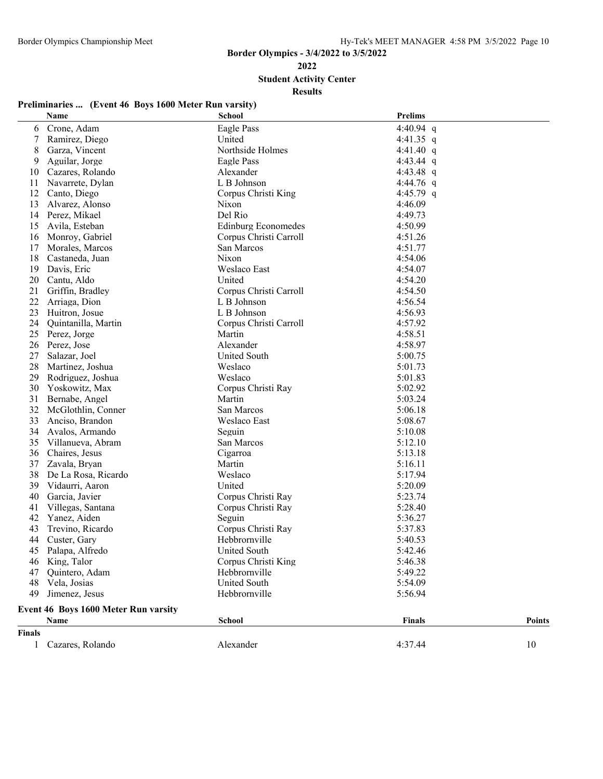**Student Activity Center**

| Preliminaries  (Event 46 Boys 1600 Meter Run varsity) |  |  |
|-------------------------------------------------------|--|--|
|                                                       |  |  |

|               | Name                                 | <b>School</b>              | <b>Prelims</b> |               |
|---------------|--------------------------------------|----------------------------|----------------|---------------|
| 6             | Crone, Adam                          | Eagle Pass                 | 4:40.94 $q$    |               |
| 7             | Ramirez, Diego                       | United                     | 4:41.35 q      |               |
| 8             | Garza, Vincent                       | Northside Holmes           | 4:41.40 $q$    |               |
| 9             | Aguilar, Jorge                       | Eagle Pass                 | 4:43.44 $q$    |               |
| 10            | Cazares, Rolando                     | Alexander                  | 4:43.48 $q$    |               |
| 11            | Navarrete, Dylan                     | L B Johnson                | 4:44.76 q      |               |
| 12            | Canto, Diego                         | Corpus Christi King        | 4:45.79 q      |               |
| 13            | Alvarez, Alonso                      | Nixon                      | 4:46.09        |               |
| 14            | Perez, Mikael                        | Del Rio                    | 4:49.73        |               |
| 15            | Avila, Esteban                       | <b>Edinburg Economedes</b> | 4:50.99        |               |
| 16            | Monroy, Gabriel                      | Corpus Christi Carroll     | 4:51.26        |               |
| 17            | Morales, Marcos                      | San Marcos                 | 4:51.77        |               |
| 18            | Castaneda, Juan                      | <b>Nixon</b>               | 4:54.06        |               |
| 19            | Davis, Eric                          | Weslaco East               | 4:54.07        |               |
| 20            | Cantu, Aldo                          | United                     | 4:54.20        |               |
| 21            | Griffin, Bradley                     | Corpus Christi Carroll     | 4:54.50        |               |
| 22            | Arriaga, Dion                        | L B Johnson                | 4:56.54        |               |
| 23            | Huitron, Josue                       | L B Johnson                | 4:56.93        |               |
| 24            | Quintanilla, Martin                  | Corpus Christi Carroll     | 4:57.92        |               |
| 25            | Perez, Jorge                         | Martin                     | 4:58.51        |               |
| 26            | Perez, Jose                          | Alexander                  | 4:58.97        |               |
| 27            | Salazar, Joel                        | <b>United South</b>        | 5:00.75        |               |
| 28            | Martinez, Joshua                     | Weslaco                    | 5:01.73        |               |
| 29            | Rodriguez, Joshua                    | Weslaco                    | 5:01.83        |               |
| 30            | Yoskowitz, Max                       | Corpus Christi Ray         | 5:02.92        |               |
| 31            | Bernabe, Angel                       | Martin                     | 5:03.24        |               |
| 32            | McGlothlin, Conner                   | San Marcos                 | 5:06.18        |               |
| 33            | Anciso, Brandon                      | Weslaco East               | 5:08.67        |               |
| 34            | Avalos, Armando                      | Seguin                     | 5:10.08        |               |
| 35            | Villanueva, Abram                    | San Marcos                 | 5:12.10        |               |
| 36            | Chaires, Jesus                       | Cigarroa                   | 5:13.18        |               |
| 37            | Zavala, Bryan                        | Martin                     | 5:16.11        |               |
| 38            | De La Rosa, Ricardo                  | Weslaco                    | 5:17.94        |               |
| 39            | Vidaurri, Aaron                      | United                     | 5:20.09        |               |
| 40            | Garcia, Javier                       | Corpus Christi Ray         | 5:23.74        |               |
| 41            | Villegas, Santana                    | Corpus Christi Ray         | 5:28.40        |               |
| 42            | Yanez, Aiden                         | Seguin                     | 5:36.27        |               |
| 43            | Trevino, Ricardo                     | Corpus Christi Ray         | 5:37.83        |               |
| 44            | Custer, Gary                         | Hebbrornville              | 5:40.53        |               |
|               | 45 Palapa, Alfredo                   | United South               | 5:42.46        |               |
| 46            | King, Talor                          | Corpus Christi King        | 5:46.38        |               |
| 47            | Quintero, Adam                       | Hebbrornville              | 5:49.22        |               |
| 48            | Vela, Josias                         | <b>United South</b>        | 5:54.09        |               |
| 49            | Jimenez, Jesus                       | Hebbrornville              | 5:56.94        |               |
|               | Event 46 Boys 1600 Meter Run varsity |                            |                |               |
|               | Name                                 | <b>School</b>              | <b>Finals</b>  | <b>Points</b> |
| <b>Finals</b> |                                      |                            |                |               |
| $\mathbf{1}$  | Cazares, Rolando                     | Alexander                  | 4:37.44        | 10            |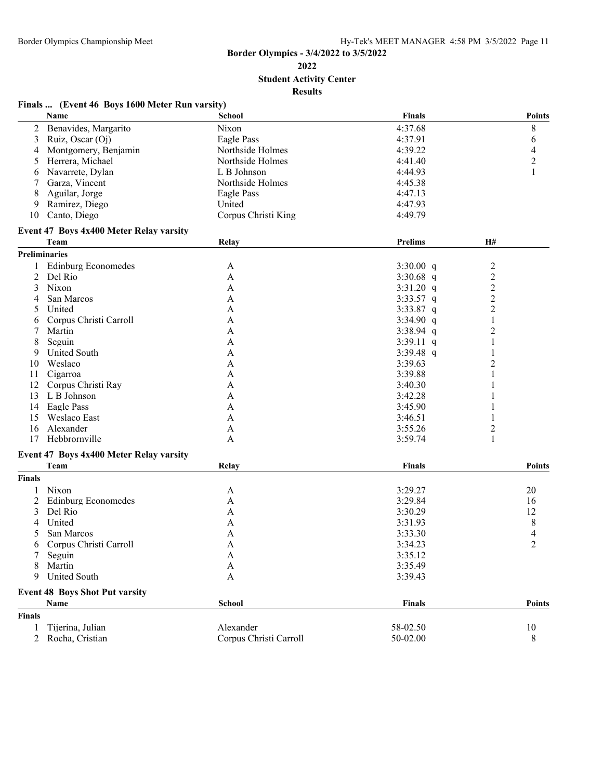**Student Activity Center**

| Finals  (Event 46 Boys 1600 Meter Run varsity) |  |  |  |
|------------------------------------------------|--|--|--|
|                                                |  |  |  |

|                | Name                                    | <b>School</b>          | <b>Finals</b>  |                         | <b>Points</b>            |
|----------------|-----------------------------------------|------------------------|----------------|-------------------------|--------------------------|
| 2              | Benavides, Margarito                    | Nixon                  | 4:37.68        |                         | 8                        |
| 3              | Ruiz, Oscar (Oj)                        | Eagle Pass             | 4:37.91        |                         | 6                        |
| 4              | Montgomery, Benjamin                    | Northside Holmes       | 4:39.22        |                         | $\overline{4}$           |
| 5              | Herrera, Michael                        | Northside Holmes       | 4:41.40        |                         | $\overline{c}$           |
| 6              | Navarrete, Dylan                        | L B Johnson            | 4:44.93        |                         | 1                        |
| 7              | Garza, Vincent                          | Northside Holmes       | 4:45.38        |                         |                          |
| 8              | Aguilar, Jorge                          | Eagle Pass             | 4:47.13        |                         |                          |
| 9              | Ramirez, Diego                          | United                 | 4:47.93        |                         |                          |
| 10             | Canto, Diego                            | Corpus Christi King    | 4:49.79        |                         |                          |
|                | Event 47 Boys 4x400 Meter Relay varsity |                        |                |                         |                          |
|                | Team                                    | Relay                  | <b>Prelims</b> | H#                      |                          |
|                | Preliminaries                           |                        |                |                         |                          |
|                | <b>Edinburg Economedes</b>              | A                      | $3:30.00$ q    | $\overline{c}$          |                          |
| $\overline{2}$ | Del Rio                                 | A                      | 3:30.68 $q$    | $\overline{c}$          |                          |
| 3              | Nixon                                   | A                      | $3:31.20$ q    | $\overline{c}$          |                          |
|                | San Marcos                              | A                      | $3:33.57$ q    | $\overline{c}$          |                          |
| 5              | United                                  | A                      | 3:33.87 q      | $\overline{c}$          |                          |
| 6              | Corpus Christi Carroll                  | A                      | $3:34.90$ q    | $\mathbf{1}$            |                          |
| 7              | Martin                                  | A                      | $3:38.94$ q    | $\overline{\mathbf{c}}$ |                          |
| 8              | Seguin                                  | $\mathbf{A}$           | $3:39.11$ q    | 1                       |                          |
| 9              | <b>United South</b>                     |                        |                |                         |                          |
|                | Weslaco                                 | A                      | 3:39.48 $q$    |                         |                          |
| 10             |                                         | A                      | 3:39.63        | $\overline{\mathbf{c}}$ |                          |
| 11             | Cigarroa                                | A                      | 3:39.88        |                         |                          |
| 12             | Corpus Christi Ray                      | A                      | 3:40.30        |                         |                          |
| 13             | L B Johnson                             | A                      | 3:42.28        |                         |                          |
|                | 14 Eagle Pass                           | A                      | 3:45.90        |                         |                          |
| 15             | Weslaco East                            | A                      | 3:46.51        |                         |                          |
| 16             | Alexander                               | A                      | 3:55.26        | 2                       |                          |
| 17             | Hebbrornville                           | A                      | 3:59.74        | 1                       |                          |
|                | Event 47 Boys 4x400 Meter Relay varsity |                        |                |                         |                          |
|                | Team                                    | Relay                  | Finals         |                         | <b>Points</b>            |
| <b>Finals</b>  |                                         |                        |                |                         |                          |
| 1              | Nixon                                   | A                      | 3:29.27        |                         | 20                       |
| 2              | <b>Edinburg Economedes</b>              | $\mathbf{A}$           | 3:29.84        |                         | 16                       |
| 3              | Del Rio                                 | A                      | 3:30.29        |                         | 12                       |
|                | United                                  | A                      | 3:31.93        |                         | 8                        |
| 5              | San Marcos                              | $\mathbf{A}$           | 3:33.30        |                         | $\overline{\mathcal{A}}$ |
| 6              | Corpus Christi Carroll                  | $\mathbf{A}$           | 3:34.23        |                         | $\overline{2}$           |
| 7              | Seguin                                  | A                      | 3:35.12        |                         |                          |
|                | Martin                                  | $\mathbf{A}$           | 3:35.49        |                         |                          |
| 9              | <b>United South</b>                     | $\mathbf{A}$           | 3:39.43        |                         |                          |
|                | <b>Event 48 Boys Shot Put varsity</b>   |                        |                |                         |                          |
|                | Name                                    | <b>School</b>          | Finals         |                         | Points                   |
| <b>Finals</b>  |                                         |                        |                |                         |                          |
| 1              | Tijerina, Julian                        | Alexander              | 58-02.50       |                         | 10                       |
| $\overline{2}$ | Rocha, Cristian                         | Corpus Christi Carroll | 50-02.00       |                         | 8                        |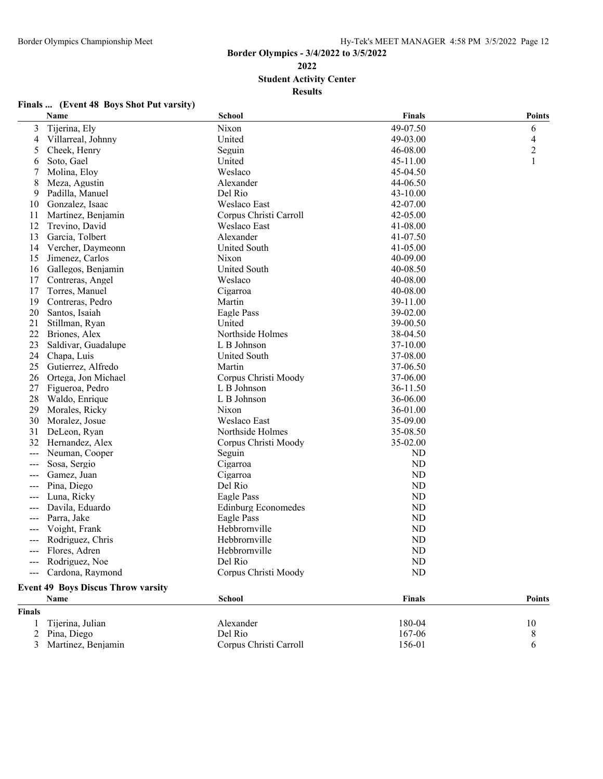**Student Activity Center**

| Finals  (Event 48 Boys Shot Put varsity) |  |  |  |
|------------------------------------------|--|--|--|
|                                          |  |  |  |

|                | Name                                      | <b>School</b>              | <b>Finals</b> | <b>Points</b>           |
|----------------|-------------------------------------------|----------------------------|---------------|-------------------------|
| 3              | Tijerina, Ely                             | Nixon                      | 49-07.50      | 6                       |
| 4              | Villarreal, Johnny                        | United                     | 49-03.00      | 4                       |
| 5              | Cheek, Henry                              | Seguin                     | 46-08.00      | $\overline{\mathbf{c}}$ |
| 6              | Soto, Gael                                | United                     | 45-11.00      |                         |
| 7              | Molina, Eloy                              | Weslaco                    | 45-04.50      |                         |
| 8              | Meza, Agustin                             | Alexander                  | 44-06.50      |                         |
| 9              | Padilla, Manuel                           | Del Rio                    | 43-10.00      |                         |
| 10             | Gonzalez, Isaac                           | Weslaco East               | 42-07.00      |                         |
| 11             | Martinez, Benjamin                        | Corpus Christi Carroll     | 42-05.00      |                         |
| 12             | Trevino, David                            | Weslaco East               | 41-08.00      |                         |
| 13             | Garcia, Tolbert                           | Alexander                  | 41-07.50      |                         |
| 14             | Vercher, Daymeonn                         | United South               | 41-05.00      |                         |
| 15             | Jimenez, Carlos                           | Nixon                      | 40-09.00      |                         |
| 16             | Gallegos, Benjamin                        | United South               | 40-08.50      |                         |
| 17             | Contreras, Angel                          | Weslaco                    | 40-08.00      |                         |
| 17             | Torres, Manuel                            | Cigarroa                   | 40-08.00      |                         |
| 19             | Contreras, Pedro                          | Martin                     | 39-11.00      |                         |
| 20             | Santos, Isaiah                            | Eagle Pass                 | 39-02.00      |                         |
| 21             | Stillman, Ryan                            | United                     | 39-00.50      |                         |
| 22             | Briones, Alex                             | Northside Holmes           | 38-04.50      |                         |
| 23             | Saldivar, Guadalupe                       | L B Johnson                | 37-10.00      |                         |
| 24             | Chapa, Luis                               | <b>United South</b>        | 37-08.00      |                         |
| 25             | Gutierrez, Alfredo                        | Martin                     | 37-06.50      |                         |
| 26             | Ortega, Jon Michael                       | Corpus Christi Moody       | 37-06.00      |                         |
| 27             | Figueroa, Pedro                           | L B Johnson                | 36-11.50      |                         |
| 28             | Waldo, Enrique                            | L B Johnson                | 36-06.00      |                         |
| 29             | Morales, Ricky                            | Nixon                      | 36-01.00      |                         |
| 30             | Moralez, Josue                            | Weslaco East               | 35-09.00      |                         |
| 31             | DeLeon, Ryan                              | Northside Holmes           | 35-08.50      |                         |
| 32             | Hernandez, Alex                           | Corpus Christi Moody       | 35-02.00      |                         |
| ---            | Neuman, Cooper                            | Seguin                     | ND            |                         |
| $---$          | Sosa, Sergio                              | Cigarroa                   | ND            |                         |
| ---            | Gamez, Juan                               | Cigarroa                   | ND            |                         |
| $---$          | Pina, Diego                               | Del Rio                    | ND            |                         |
| $---$          | Luna, Ricky                               | Eagle Pass                 | ND            |                         |
| ---            | Davila, Eduardo                           | <b>Edinburg Economedes</b> | ND            |                         |
| ---            | Parra, Jake                               | Eagle Pass                 | ${\rm ND}$    |                         |
| $---$          | Voight, Frank                             | Hebbrornville              | <b>ND</b>     |                         |
| ---            | Rodriguez, Chris                          | Hebbrornville              | <b>ND</b>     |                         |
|                | Flores, Adren                             | Hebbrornville              | $\rm ND$      |                         |
|                | Rodriguez, Noe                            | Del Rio                    | ND            |                         |
|                | Cardona, Raymond                          | Corpus Christi Moody       | <b>ND</b>     |                         |
|                | <b>Event 49 Boys Discus Throw varsity</b> |                            |               |                         |
|                | Name                                      | <b>School</b>              | <b>Finals</b> | <b>Points</b>           |
| <b>Finals</b>  |                                           |                            |               |                         |
|                | Tijerina, Julian                          | Alexander                  | 180-04        | 10                      |
| 2              | Pina, Diego                               | Del Rio                    | 167-06        | 8                       |
| $\mathfrak{Z}$ | Martinez, Benjamin                        | Corpus Christi Carroll     | 156-01        | 6                       |
|                |                                           |                            |               |                         |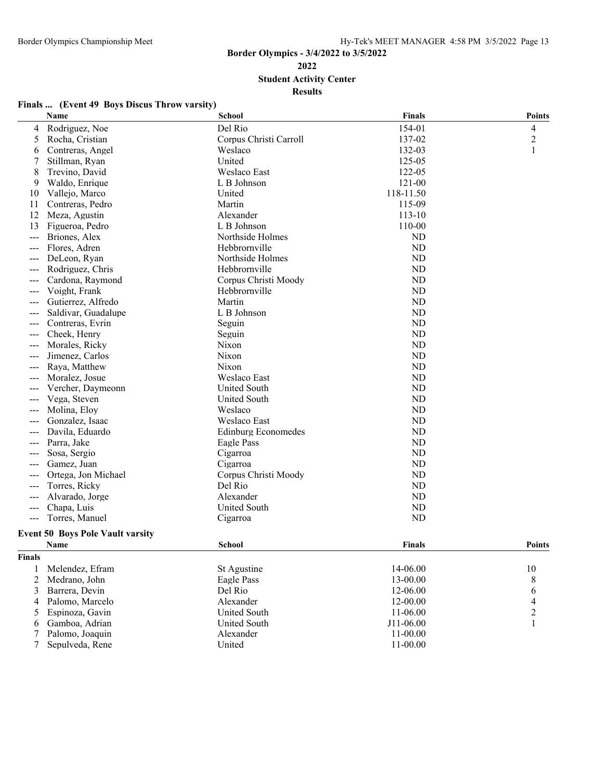**2022**

**Student Activity Center**

|  | Finals  (Event 49 Boys Discus Throw varsity) |  |
|--|----------------------------------------------|--|
|  |                                              |  |

|                | Name                                    | <b>School</b>              | <b>Finals</b> | <b>Points</b>  |
|----------------|-----------------------------------------|----------------------------|---------------|----------------|
| 4              | Rodriguez, Noe                          | Del Rio                    | 154-01        | $\overline{4}$ |
| 5              | Rocha, Cristian                         | Corpus Christi Carroll     | 137-02        | $\overline{c}$ |
| 6              | Contreras, Angel                        | Weslaco                    | 132-03        | 1              |
|                | Stillman, Ryan                          | United                     | 125-05        |                |
| 8              | Trevino, David                          | Weslaco East               | 122-05        |                |
| 9              | Waldo, Enrique                          | L B Johnson                | 121-00        |                |
| 10             | Vallejo, Marco                          | United                     | 118-11.50     |                |
| 11             | Contreras, Pedro                        | Martin                     | 115-09        |                |
| 12             | Meza, Agustin                           | Alexander                  | 113-10        |                |
| 13             | Figueroa, Pedro                         | L B Johnson                | 110-00        |                |
| $---$          | Briones, Alex                           | Northside Holmes           | ND            |                |
| ---            | Flores, Adren                           | Hebbrornville              | <b>ND</b>     |                |
| ---            | DeLeon, Ryan                            | Northside Holmes           | <b>ND</b>     |                |
| ---            | Rodriguez, Chris                        | Hebbrornville              | ND            |                |
|                | Cardona, Raymond                        | Corpus Christi Moody       | <b>ND</b>     |                |
|                | Voight, Frank                           | Hebbrornville              | <b>ND</b>     |                |
| ---            | Gutierrez, Alfredo                      | Martin                     | ND            |                |
|                | Saldivar, Guadalupe                     | L B Johnson                | ND            |                |
| ---            | Contreras, Evrin                        | Seguin                     | <b>ND</b>     |                |
| ---            | Cheek, Henry                            | Seguin                     | ND            |                |
|                | Morales, Ricky                          | Nixon                      | <b>ND</b>     |                |
|                | Jimenez, Carlos                         | Nixon                      | <b>ND</b>     |                |
| ---            | Raya, Matthew                           | Nixon                      | ND            |                |
|                | Moralez, Josue                          | Weslaco East               | ND            |                |
| ---            | Vercher, Daymeonn                       | <b>United South</b>        | <b>ND</b>     |                |
| $---$          | Vega, Steven                            | United South               | ND            |                |
|                | Molina, Eloy                            | Weslaco                    | ND            |                |
|                | Gonzalez, Isaac                         | Weslaco East               | <b>ND</b>     |                |
|                | Davila, Eduardo                         | <b>Edinburg Economedes</b> | ND            |                |
| ---            | Parra, Jake                             |                            | ND            |                |
|                |                                         | Eagle Pass<br>Cigarroa     | <b>ND</b>     |                |
| ---            | Sosa, Sergio                            | Cigarroa                   | ND            |                |
| $---$          | Gamez, Juan                             | Corpus Christi Moody       | ND            |                |
|                | Ortega, Jon Michael                     | Del Rio                    | <b>ND</b>     |                |
| $---$          | Torres, Ricky                           | Alexander                  |               |                |
| $---$          | Alvarado, Jorge                         |                            | ND            |                |
| $---$          | Chapa, Luis                             | United South               | ND            |                |
| ---            | Torres, Manuel                          | Cigarroa                   | <b>ND</b>     |                |
|                | <b>Event 50 Boys Pole Vault varsity</b> |                            |               |                |
|                | Name                                    | <b>School</b>              | Finals        | <b>Points</b>  |
| <b>Finals</b>  |                                         |                            |               |                |
| 1              | Melendez, Efram                         | St Agustine                | 14-06.00      | 10             |
| $\overline{c}$ | Medrano, John                           | Eagle Pass                 | 13-00.00      | 8              |
| 3              | Barrera, Devin                          | Del Rio                    | 12-06.00      | 6              |
| 4              | Palomo, Marcelo                         | Alexander                  | 12-00.00      | 4              |
| 5              | Espinoza, Gavin                         | <b>United South</b>        | 11-06.00      | $\mathbf{2}$   |
| 6              | Gamboa, Adrian                          | United South               | J11-06.00     | 1              |
| 7              | Palomo, Joaquin                         | Alexander                  | 11-00.00      |                |
| 7              | Sepulveda, Rene                         | United                     | 11-00.00      |                |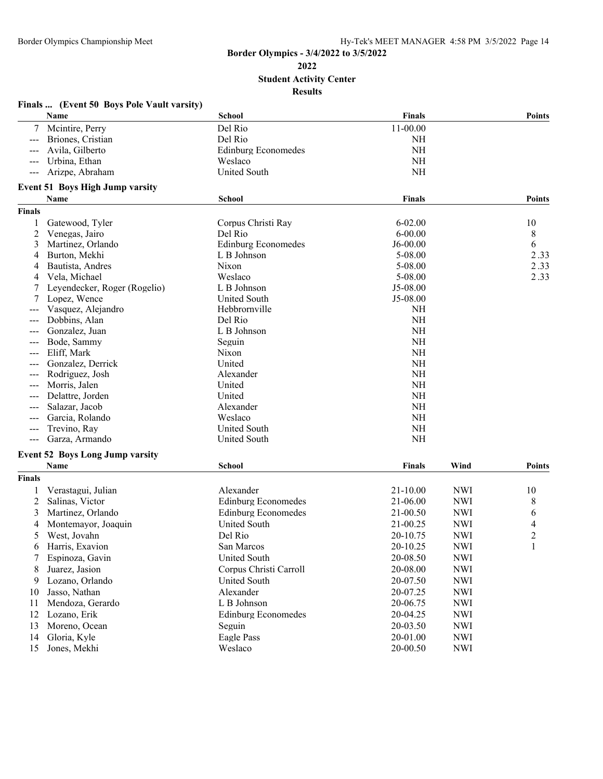**Student Activity Center**

|               | Finals  (Event 50 Boys Pole Vault varsity) |                            |               |            |               |
|---------------|--------------------------------------------|----------------------------|---------------|------------|---------------|
|               | Name                                       | School                     | <b>Finals</b> |            | <b>Points</b> |
| 7             | Mcintire, Perry                            | Del Rio                    | 11-00.00      |            |               |
| $--$          | Briones, Cristian                          | Del Rio                    | NH            |            |               |
|               | Avila, Gilberto                            | <b>Edinburg Economedes</b> | <b>NH</b>     |            |               |
|               | Urbina, Ethan                              | Weslaco                    | <b>NH</b>     |            |               |
|               | Arizpe, Abraham                            | United South               | <b>NH</b>     |            |               |
|               | <b>Event 51 Boys High Jump varsity</b>     |                            |               |            |               |
|               | Name                                       | <b>School</b>              | <b>Finals</b> |            | <b>Points</b> |
| <b>Finals</b> |                                            |                            |               |            |               |
| 1             | Gatewood, Tyler                            | Corpus Christi Ray         | $6 - 02.00$   |            | 10            |
| 2             | Venegas, Jairo                             | Del Rio                    | $6 - 00.00$   |            | 8             |
| 3             | Martinez, Orlando                          | <b>Edinburg Economedes</b> | $J6-00.00$    |            | 6             |
| 4             | Burton, Mekhi                              | L B Johnson                | 5-08.00       |            | 2.33          |
| 4             | Bautista, Andres                           | Nixon                      | 5-08.00       |            | 2.33          |
| 4             | Vela, Michael                              | Weslaco                    | 5-08.00       |            | 2.33          |
| 7             | Leyendecker, Roger (Rogelio)               | L B Johnson                | J5-08.00      |            |               |
| 7             | Lopez, Wence                               | United South               | J5-08.00      |            |               |
|               | Vasquez, Alejandro                         | Hebbrornville              | <b>NH</b>     |            |               |
| ---           | Dobbins, Alan                              | Del Rio                    | <b>NH</b>     |            |               |
|               | Gonzalez, Juan                             | L B Johnson                | <b>NH</b>     |            |               |
| ---           | Bode, Sammy                                | Seguin                     | <b>NH</b>     |            |               |
| ---           | Eliff, Mark                                | Nixon                      | <b>NH</b>     |            |               |
|               | Gonzalez, Derrick                          | United                     | <b>NH</b>     |            |               |
|               | Rodriguez, Josh                            | Alexander                  | <b>NH</b>     |            |               |
|               | Morris, Jalen                              | United                     | <b>NH</b>     |            |               |
|               | Delattre, Jorden                           | United                     | <b>NH</b>     |            |               |
| ---           | Salazar, Jacob                             | Alexander                  | <b>NH</b>     |            |               |
|               | Garcia, Rolando                            | Weslaco                    | <b>NH</b>     |            |               |
| ---           | Trevino, Ray                               | United South               | <b>NH</b>     |            |               |
| ---           | Garza, Armando                             | United South               | <b>NH</b>     |            |               |
|               | <b>Event 52 Boys Long Jump varsity</b>     |                            |               |            |               |
|               | Name                                       | <b>School</b>              | Finals        | Wind       | <b>Points</b> |
| <b>Finals</b> |                                            |                            |               |            |               |
| 1             | Verastagui, Julian                         | Alexander                  | 21-10.00      | <b>NWI</b> | 10            |
| 2             | Salinas, Victor                            | <b>Edinburg Economedes</b> | 21-06.00      | <b>NWI</b> | 8             |
| 3             | Martinez, Orlando                          | <b>Edinburg Economedes</b> | 21-00.50      | <b>NWI</b> | 6             |
| 4             | Montemayor, Joaquin                        | <b>United South</b>        | 21-00.25      | <b>NWI</b> | 4             |
| 5             | West, Jovahn                               | Del Rio                    | 20-10.75      | <b>NWI</b> | C             |
|               | Harris, Exavion                            | San Marcos                 | 20-10.25      | <b>NWI</b> | 1             |
|               | Espinoza, Gavin                            | <b>United South</b>        | 20-08.50      | <b>NWI</b> |               |
| 8             | Juarez, Jasion                             | Corpus Christi Carroll     | 20-08.00      | <b>NWI</b> |               |
| 9             | Lozano, Orlando                            | United South               | 20-07.50      | <b>NWI</b> |               |
| 10            | Jasso, Nathan                              | Alexander                  | 20-07.25      | <b>NWI</b> |               |
| 11            | Mendoza, Gerardo                           | L B Johnson                | 20-06.75      | <b>NWI</b> |               |
| 12            | Lozano, Erik                               | <b>Edinburg Economedes</b> | 20-04.25      | <b>NWI</b> |               |
| 13            | Moreno, Ocean                              | Seguin                     | 20-03.50      | <b>NWI</b> |               |
| 14            | Gloria, Kyle                               | Eagle Pass                 | 20-01.00      | <b>NWI</b> |               |
| 15            |                                            |                            |               |            |               |
|               | Jones, Mekhi                               | Weslaco                    | 20-00.50      | <b>NWI</b> |               |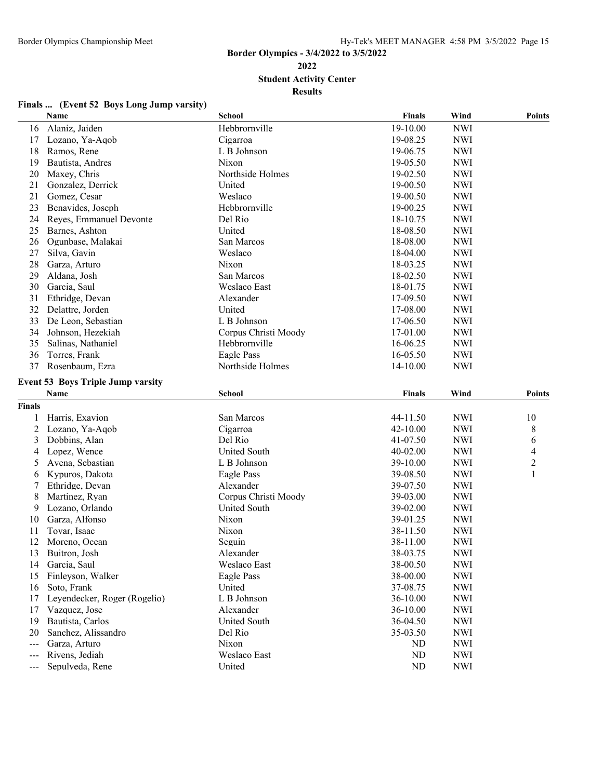**Student Activity Center**

**Results**

|        | Name                                     | <b>School</b>        | <b>Finals</b> | Wind       | <b>Points</b> |
|--------|------------------------------------------|----------------------|---------------|------------|---------------|
|        | 16 Alaniz, Jaiden                        | Hebbrornville        | 19-10.00      | <b>NWI</b> |               |
|        | 17 Lozano, Ya-Aqob                       | Cigarroa             | 19-08.25      | <b>NWI</b> |               |
| 18     | Ramos, Rene                              | L B Johnson          | 19-06.75      | <b>NWI</b> |               |
| 19     | Bautista, Andres                         | Nixon                | 19-05.50      | <b>NWI</b> |               |
| 20     | Maxey, Chris                             | Northside Holmes     | 19-02.50      | <b>NWI</b> |               |
| 21     | Gonzalez, Derrick                        | United               | 19-00.50      | <b>NWI</b> |               |
| 21     | Gomez, Cesar                             | Weslaco              | 19-00.50      | <b>NWI</b> |               |
| 23     | Benavides, Joseph                        | Hebbrornville        | 19-00.25      | <b>NWI</b> |               |
| 24     | Reyes, Emmanuel Devonte                  | Del Rio              | 18-10.75      | <b>NWI</b> |               |
| 25     | Barnes, Ashton                           | United               | 18-08.50      | <b>NWI</b> |               |
| 26     | Ogunbase, Malakai                        | San Marcos           | 18-08.00      | <b>NWI</b> |               |
| 27     | Silva, Gavin                             | Weslaco              | 18-04.00      | <b>NWI</b> |               |
| 28     | Garza, Arturo                            | Nixon                | 18-03.25      | <b>NWI</b> |               |
| 29     | Aldana, Josh                             | San Marcos           | 18-02.50      | <b>NWI</b> |               |
| 30     | Garcia, Saul                             | Weslaco East         | 18-01.75      | <b>NWI</b> |               |
| 31     | Ethridge, Devan                          | Alexander            | 17-09.50      | <b>NWI</b> |               |
| 32     | Delattre, Jorden                         | United               | 17-08.00      | <b>NWI</b> |               |
| 33     | De Leon, Sebastian                       | L B Johnson          | 17-06.50      | <b>NWI</b> |               |
| 34     | Johnson, Hezekiah                        | Corpus Christi Moody | 17-01.00      | <b>NWI</b> |               |
| 35     | Salinas, Nathaniel                       | Hebbrornville        | 16-06.25      | <b>NWI</b> |               |
| 36     | Torres, Frank                            | Eagle Pass           | 16-05.50      | <b>NWI</b> |               |
| 37     | Rosenbaum, Ezra                          | Northside Holmes     | 14-10.00      | <b>NWI</b> |               |
|        |                                          |                      |               |            |               |
|        | <b>Event 53 Boys Triple Jump varsity</b> |                      |               |            |               |
|        | Name                                     | School               | <b>Finals</b> | Wind       | <b>Points</b> |
| Finals |                                          |                      |               |            |               |
| 1      | Harris, Exavion                          | San Marcos           | 44-11.50      | <b>NWI</b> | 10            |
| 2      | Lozano, Ya-Aqob                          | Cigarroa             | 42-10.00      | <b>NWI</b> | 8             |
| 3      | Dobbins, Alan                            | Del Rio              | 41-07.50      | <b>NWI</b> | 6             |
| 4      | Lopez, Wence                             | United South         | 40-02.00      | <b>NWI</b> | 4             |
| 5      | Avena, Sebastian                         | L B Johnson          | 39-10.00      | <b>NWI</b> | 2             |
| 6      | Kypuros, Dakota                          | Eagle Pass           | 39-08.50      | <b>NWI</b> | 1             |
|        | Ethridge, Devan                          | Alexander            | 39-07.50      | <b>NWI</b> |               |
| 8      | Martinez, Ryan                           | Corpus Christi Moody | 39-03.00      | <b>NWI</b> |               |
| 9      | Lozano, Orlando                          | United South         | 39-02.00      | <b>NWI</b> |               |
| 10     | Garza, Alfonso                           | Nixon                | 39-01.25      | <b>NWI</b> |               |
| 11     | Tovar, Isaac                             | Nixon                | 38-11.50      | <b>NWI</b> |               |
| 12     | Moreno, Ocean                            | Seguin               | 38-11.00      | <b>NWI</b> |               |
|        | 13 Buitron, Josh                         | Alexander            | 38-03.75      | <b>NWI</b> |               |
|        | 14 Garcia, Saul                          | Weslaco East         | 38-00.50      | <b>NWI</b> |               |
| 15     | Finleyson, Walker                        | Eagle Pass           | 38-00.00      | <b>NWI</b> |               |
| 16     | Soto, Frank                              | United               | 37-08.75      | <b>NWI</b> |               |
| 17     | Leyendecker, Roger (Rogelio)             | L B Johnson          | 36-10.00      | <b>NWI</b> |               |
| 17     | Vazquez, Jose                            | Alexander            | 36-10.00      | <b>NWI</b> |               |
| 19     | Bautista, Carlos                         | United South         | 36-04.50      | <b>NWI</b> |               |
| 20     | Sanchez, Alissandro                      | Del Rio              | 35-03.50      | <b>NWI</b> |               |
| ---    | Garza, Arturo                            | Nixon                | ND            | <b>NWI</b> |               |
| $---$  | Rivens, Jediah                           | Weslaco East         | ND            | <b>NWI</b> |               |
|        | Sepulveda, Rene                          | United               | ND            | <b>NWI</b> |               |

### **Finals ... (Event 52 Boys Long Jump varsity)**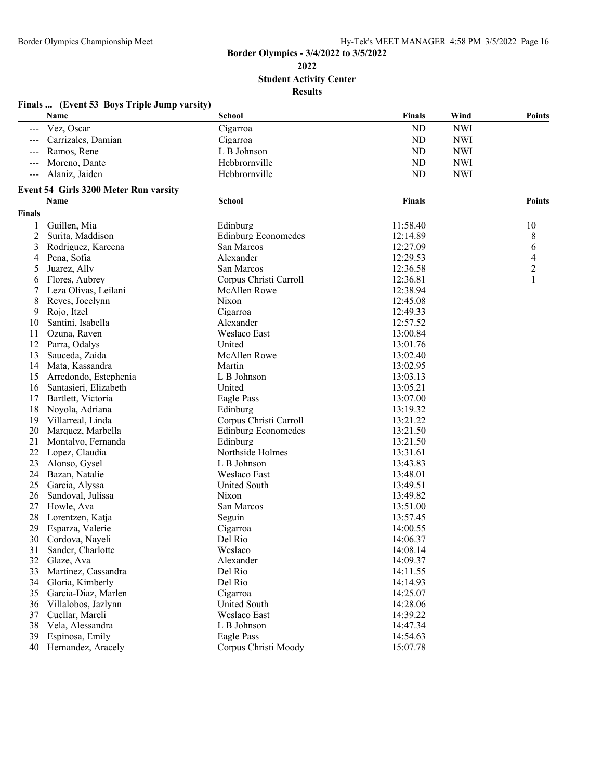**Student Activity Center**

|                     | Finals  (Event 53 Boys Triple Jump varsity)   |                                        |               |            |                |
|---------------------|-----------------------------------------------|----------------------------------------|---------------|------------|----------------|
|                     | Name                                          | <b>School</b>                          | <b>Finals</b> | Wind       | Points         |
| $\qquad \qquad - -$ | Vez, Oscar                                    | Cigarroa                               | ND            | <b>NWI</b> |                |
|                     | Carrizales, Damian                            | Cigarroa                               | <b>ND</b>     | <b>NWI</b> |                |
|                     | Ramos, Rene                                   | L B Johnson                            | ND            | <b>NWI</b> |                |
|                     | Moreno, Dante                                 | Hebbrornville                          | ND            | <b>NWI</b> |                |
|                     | Alaniz, Jaiden                                | Hebbrornville                          | ND            | <b>NWI</b> |                |
|                     |                                               |                                        |               |            |                |
|                     | Event 54 Girls 3200 Meter Run varsity<br>Name |                                        |               |            | Points         |
| <b>Finals</b>       |                                               | <b>School</b>                          | <b>Finals</b> |            |                |
|                     | Guillen, Mia                                  |                                        | 11:58.40      |            |                |
| 1<br>$\overline{c}$ | Surita, Maddison                              | Edinburg<br><b>Edinburg Economedes</b> | 12:14.89      |            | 10<br>8        |
| 3                   |                                               | San Marcos                             | 12:27.09      |            |                |
|                     | Rodriguez, Kareena<br>Pena, Sofia             | Alexander                              | 12:29.53      |            | 6<br>4         |
| 4<br>5              | Juarez, Ally                                  | San Marcos                             | 12:36.58      |            | $\overline{2}$ |
|                     | Flores, Aubrey                                | Corpus Christi Carroll                 | 12:36.81      |            | 1              |
| 6                   | Leza Olivas, Leilani                          | <b>McAllen Rowe</b>                    | 12:38.94      |            |                |
| 8                   | Reyes, Jocelynn                               | Nixon                                  | 12:45.08      |            |                |
| 9                   | Rojo, Itzel                                   | Cigarroa                               | 12:49.33      |            |                |
| 10                  | Santini, Isabella                             | Alexander                              | 12:57.52      |            |                |
| 11                  | Ozuna, Raven                                  | Weslaco East                           | 13:00.84      |            |                |
| 12                  | Parra, Odalys                                 | United                                 | 13:01.76      |            |                |
| 13                  | Sauceda, Zaida                                | McAllen Rowe                           | 13:02.40      |            |                |
| 14                  | Mata, Kassandra                               | Martin                                 | 13:02.95      |            |                |
| 15                  | Arredondo, Estephenia                         | L B Johnson                            | 13:03.13      |            |                |
| 16                  | Santasieri, Elizabeth                         | United                                 | 13:05.21      |            |                |
| 17                  | Bartlett, Victoria                            | Eagle Pass                             | 13:07.00      |            |                |
| 18                  | Noyola, Adriana                               | Edinburg                               | 13:19.32      |            |                |
| 19                  | Villarreal, Linda                             | Corpus Christi Carroll                 | 13:21.22      |            |                |
| 20                  | Marquez, Marbella                             | <b>Edinburg Economedes</b>             | 13:21.50      |            |                |
| 21                  | Montalvo, Fernanda                            | Edinburg                               | 13:21.50      |            |                |
| 22                  | Lopez, Claudia                                | Northside Holmes                       | 13:31.61      |            |                |
| 23                  | Alonso, Gysel                                 | L B Johnson                            | 13:43.83      |            |                |
| 24                  | Bazan, Natalie                                | Weslaco East                           | 13:48.01      |            |                |
| 25                  | Garcia, Alyssa                                | United South                           | 13:49.51      |            |                |
| 26                  | Sandoval, Julissa                             | Nixon                                  | 13:49.82      |            |                |
| 27                  | Howle, Ava                                    | San Marcos                             | 13:51.00      |            |                |
| 28                  | Lorentzen, Katja                              | Seguin                                 | 13:57.45      |            |                |
| 29                  | Esparza, Valerie                              | Cigarroa                               | 14:00.55      |            |                |
|                     | 30 Cordova, Nayeli                            | Del Rio                                | 14:06.37      |            |                |
| 31                  | Sander, Charlotte                             | Weslaco                                | 14:08.14      |            |                |
| 32                  | Glaze, Ava                                    | Alexander                              | 14:09.37      |            |                |
| 33                  | Martinez, Cassandra                           | Del Rio                                | 14:11.55      |            |                |
| 34                  | Gloria, Kimberly                              | Del Rio                                | 14:14.93      |            |                |
| 35                  | Garcia-Diaz, Marlen                           | Cigarroa                               | 14:25.07      |            |                |
| 36                  | Villalobos, Jazlynn                           | <b>United South</b>                    | 14:28.06      |            |                |
| 37                  | Cuellar, Mareli                               | Weslaco East                           | 14:39.22      |            |                |
| 38                  | Vela, Alessandra                              | L B Johnson                            | 14:47.34      |            |                |
| 39                  | Espinosa, Emily                               | Eagle Pass                             | 14:54.63      |            |                |
| 40                  | Hernandez, Aracely                            | Corpus Christi Moody                   | 15:07.78      |            |                |
|                     |                                               |                                        |               |            |                |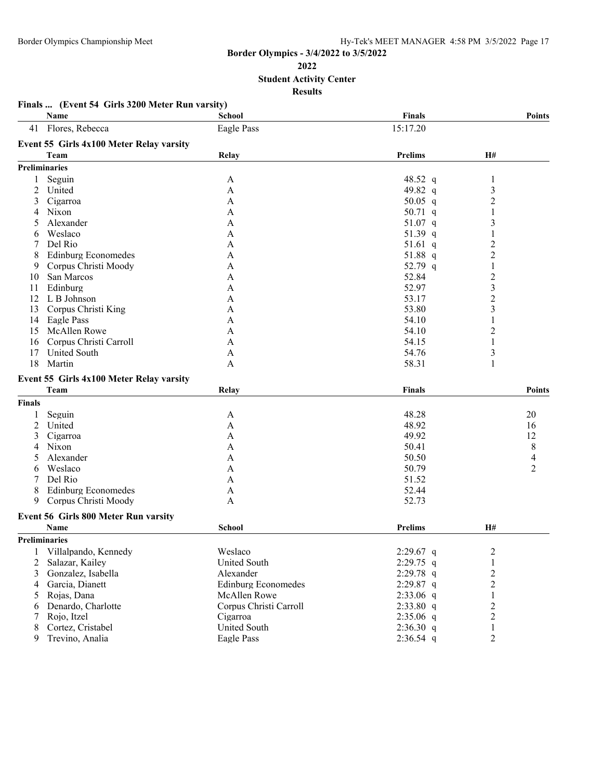**Finals ... (Event 54 Girls 3200 Meter Run varsity)**

#### **Border Olympics - 3/4/2022 to 3/5/2022**

**Student Activity Center**

| H#<br>1<br>3<br>$\overline{c}$<br>$\mathbf{1}$<br>3<br>1<br>$\overline{2}$<br>$\overline{2}$<br>$\,1\,$<br>$\overline{\mathbf{c}}$<br>3<br>$\overline{c}$<br>3 |                                                         |
|----------------------------------------------------------------------------------------------------------------------------------------------------------------|---------------------------------------------------------|
|                                                                                                                                                                |                                                         |
|                                                                                                                                                                |                                                         |
|                                                                                                                                                                |                                                         |
|                                                                                                                                                                |                                                         |
|                                                                                                                                                                |                                                         |
|                                                                                                                                                                |                                                         |
|                                                                                                                                                                |                                                         |
|                                                                                                                                                                |                                                         |
|                                                                                                                                                                |                                                         |
|                                                                                                                                                                |                                                         |
|                                                                                                                                                                |                                                         |
|                                                                                                                                                                |                                                         |
|                                                                                                                                                                |                                                         |
|                                                                                                                                                                |                                                         |
|                                                                                                                                                                |                                                         |
|                                                                                                                                                                |                                                         |
|                                                                                                                                                                |                                                         |
| 1                                                                                                                                                              |                                                         |
| $\overline{c}$                                                                                                                                                 |                                                         |
| $\mathbf{1}$                                                                                                                                                   |                                                         |
| 3                                                                                                                                                              |                                                         |
| 1                                                                                                                                                              |                                                         |
|                                                                                                                                                                |                                                         |
|                                                                                                                                                                | <b>Points</b>                                           |
|                                                                                                                                                                |                                                         |
|                                                                                                                                                                | 20                                                      |
|                                                                                                                                                                |                                                         |
|                                                                                                                                                                | 16<br>12                                                |
|                                                                                                                                                                | 8                                                       |
|                                                                                                                                                                |                                                         |
|                                                                                                                                                                | 4<br>2                                                  |
|                                                                                                                                                                |                                                         |
|                                                                                                                                                                |                                                         |
|                                                                                                                                                                |                                                         |
|                                                                                                                                                                |                                                         |
|                                                                                                                                                                |                                                         |
|                                                                                                                                                                |                                                         |
|                                                                                                                                                                |                                                         |
|                                                                                                                                                                |                                                         |
|                                                                                                                                                                |                                                         |
|                                                                                                                                                                |                                                         |
|                                                                                                                                                                |                                                         |
|                                                                                                                                                                |                                                         |
| 1                                                                                                                                                              |                                                         |
| 2                                                                                                                                                              |                                                         |
| 2                                                                                                                                                              |                                                         |
| 1<br>2                                                                                                                                                         |                                                         |
|                                                                                                                                                                | <b>H#</b><br>2<br>1<br>$\overline{2}$<br>$\overline{2}$ |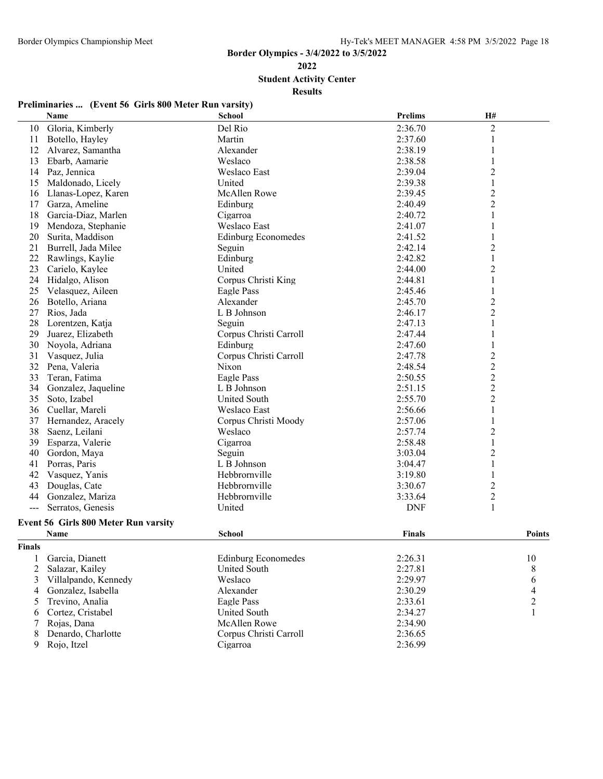**Student Activity Center**

**Results**

| Preliminaries  (Event 56 Girls 800 Meter Run varsity) |  |  |
|-------------------------------------------------------|--|--|
|                                                       |  |  |

|        | Name                                        | <b>School</b>              | <b>Prelims</b> | H#               |                |
|--------|---------------------------------------------|----------------------------|----------------|------------------|----------------|
| 10     | Gloria, Kimberly                            | Del Rio                    | 2:36.70        | $\mathfrak{2}$   |                |
| 11     | Botello, Hayley                             | Martin                     | 2:37.60        | $\mathbf{1}$     |                |
| 12     | Alvarez, Samantha                           | Alexander                  | 2:38.19        | $\mathbf{1}$     |                |
| 13     | Ebarb, Aamarie                              | Weslaco                    | 2:38.58        | $\mathbf{1}$     |                |
| 14     | Paz, Jennica                                | <b>Weslaco East</b>        | 2:39.04        | $\overline{c}$   |                |
| 15     | Maldonado, Licely                           | United                     | 2:39.38        | $\mathbf{1}$     |                |
| 16     | Llanas-Lopez, Karen                         | <b>McAllen Rowe</b>        | 2:39.45        | $\boldsymbol{2}$ |                |
| 17     | Garza, Ameline                              | Edinburg                   | 2:40.49        | $\overline{2}$   |                |
| 18     | Garcia-Diaz, Marlen                         | Cigarroa                   | 2:40.72        | 1                |                |
| 19     | Mendoza, Stephanie                          | Weslaco East               | 2:41.07        | 1                |                |
| 20     | Surita, Maddison                            | <b>Edinburg Economedes</b> | 2:41.52        | 1                |                |
| 21     | Burrell, Jada Milee                         | Seguin                     | 2:42.14        | $\overline{2}$   |                |
| 22     | Rawlings, Kaylie                            | Edinburg                   | 2:42.82        | $\,1$            |                |
| 23     | Carielo, Kaylee                             | United                     | 2:44.00        | $\overline{c}$   |                |
| 24     | Hidalgo, Alison                             | Corpus Christi King        | 2:44.81        | 1                |                |
| 25     | Velasquez, Aileen                           | Eagle Pass                 | 2:45.46        | 1                |                |
| 26     | Botello, Ariana                             | Alexander                  | 2:45.70        | $\overline{c}$   |                |
| 27     | Rios, Jada                                  | L B Johnson                | 2:46.17        | $\overline{c}$   |                |
| 28     | Lorentzen, Katja                            | Seguin                     | 2:47.13        | $\,1$            |                |
| 29     | Juarez, Elizabeth                           | Corpus Christi Carroll     | 2:47.44        | $\mathbf{1}$     |                |
| 30     | Noyola, Adriana                             | Edinburg                   | 2:47.60        |                  |                |
| 31     | Vasquez, Julia                              | Corpus Christi Carroll     | 2:47.78        | $\boldsymbol{2}$ |                |
| 32     | Pena, Valeria                               | Nixon                      | 2:48.54        | $\boldsymbol{2}$ |                |
| 33     | Teran, Fatima                               | Eagle Pass                 | 2:50.55        | $\overline{2}$   |                |
| 34     | Gonzalez, Jaqueline                         | L B Johnson                | 2:51.15        | $\overline{c}$   |                |
| 35     | Soto, Izabel                                | United South               | 2:55.70        | $\overline{c}$   |                |
| 36     | Cuellar, Mareli                             | Weslaco East               | 2:56.66        | 1                |                |
| 37     | Hernandez, Aracely                          | Corpus Christi Moody       | 2:57.06        | 1                |                |
| 38     | Saenz, Leilani                              | Weslaco                    | 2:57.74        | $\overline{2}$   |                |
| 39     | Esparza, Valerie                            | Cigarroa                   | 2:58.48        | $\mathbf{1}$     |                |
| 40     | Gordon, Maya                                | Seguin                     | 3:03.04        | $\overline{c}$   |                |
| 41     | Porras, Paris                               | L B Johnson                | 3:04.47        | $\,1\,$          |                |
| 42     | Vasquez, Yanis                              | Hebbrornville              | 3:19.80        | 1                |                |
| 43     | Douglas, Cate                               | Hebbrornville              | 3:30.67        | $\overline{2}$   |                |
| 44     | Gonzalez, Mariza                            | Hebbrornville              | 3:33.64        | $\overline{c}$   |                |
| $--$   | Serratos, Genesis                           | United                     | <b>DNF</b>     | $\mathbf{1}$     |                |
|        | <b>Event 56 Girls 800 Meter Run varsity</b> |                            |                |                  |                |
|        | Name                                        | <b>School</b>              | <b>Finals</b>  |                  | <b>Points</b>  |
| Finals |                                             |                            |                |                  |                |
| 1      | Garcia, Dianett                             | <b>Edinburg Economedes</b> | 2:26.31        |                  | 10             |
| 2      | Salazar, Kailey                             | United South               | 2:27.81        |                  | 8              |
| 3      | Villalpando, Kennedy                        | Weslaco                    | 2:29.97        |                  | 6              |
| 4      | Gonzalez, Isabella                          | Alexander                  | 2:30.29        |                  | 4              |
| 5      | Trevino, Analia                             | Eagle Pass                 | 2:33.61        |                  | $\overline{c}$ |
| 6      | Cortez, Cristabel                           | United South               | 2:34.27        |                  | 1              |
| 7      | Rojas, Dana                                 | <b>McAllen Rowe</b>        | 2:34.90        |                  |                |
| 8      | Denardo, Charlotte                          | Corpus Christi Carroll     | 2:36.65        |                  |                |
|        |                                             |                            |                |                  |                |

Rojo, Itzel Cigarroa 2:36.99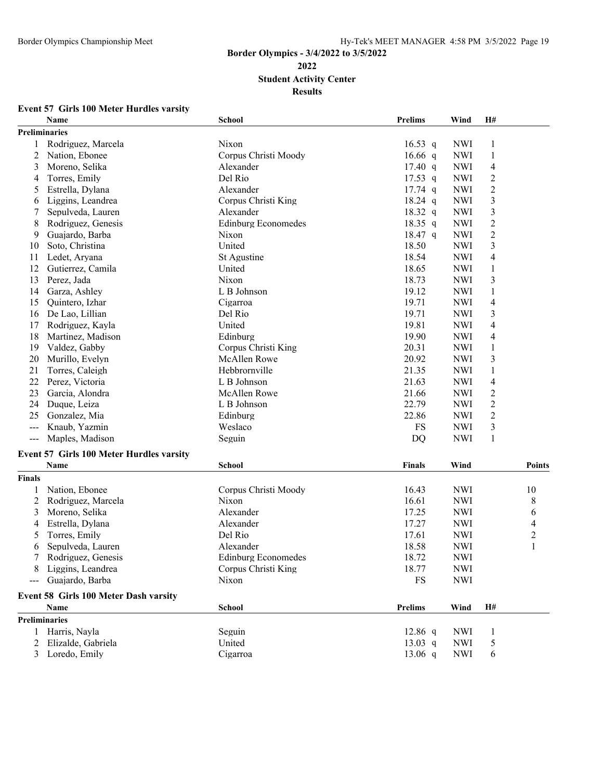## **Border Olympics - 3/4/2022 to 3/5/2022 Student Activity Center**

**Results**

## **Event 57 Girls 100 Meter Hurdles varsity**

|                            | 113 TOO BICKE HIGH GIKS VAN<br>Name              | <b>School</b>              | <b>Prelims</b>    | Wind       | Н#             |                          |
|----------------------------|--------------------------------------------------|----------------------------|-------------------|------------|----------------|--------------------------|
|                            | Preliminaries                                    |                            |                   |            |                |                          |
| 1                          | Rodriguez, Marcela                               | Nixon                      | $16.53$ q         | <b>NWI</b> | 1              |                          |
| 2                          | Nation, Ebonee                                   | Corpus Christi Moody       | 16.66 $q$         | <b>NWI</b> | $\mathbf{1}$   |                          |
| 3                          | Moreno, Selika                                   | Alexander                  | $17.40 \text{ q}$ | <b>NWI</b> | $\overline{4}$ |                          |
| 4                          | Torres, Emily                                    | Del Rio                    | $17.53$ q         | <b>NWI</b> | 2              |                          |
| 5                          | Estrella, Dylana                                 | Alexander                  | $17.74$ q         | <b>NWI</b> | 2              |                          |
| 6                          | Liggins, Leandrea                                | Corpus Christi King        | 18.24 q           | <b>NWI</b> | 3              |                          |
|                            | Sepulveda, Lauren                                | Alexander                  | 18.32 q           | <b>NWI</b> | 3              |                          |
| 8                          | Rodriguez, Genesis                               | <b>Edinburg Economedes</b> | 18.35 q           | <b>NWI</b> | $\overline{c}$ |                          |
| 9                          | Guajardo, Barba                                  | Nixon                      | 18.47 q           | <b>NWI</b> | $\overline{c}$ |                          |
| 10                         | Soto, Christina                                  | United                     | 18.50             | <b>NWI</b> | 3              |                          |
| 11                         | Ledet, Aryana                                    | St Agustine                | 18.54             | <b>NWI</b> | $\overline{4}$ |                          |
| 12                         | Gutierrez, Camila                                | United                     | 18.65             | <b>NWI</b> | $\mathbf{1}$   |                          |
| 13                         | Perez, Jada                                      | Nixon                      | 18.73             | <b>NWI</b> | 3              |                          |
| 14                         | Garza, Ashley                                    | L B Johnson                | 19.12             | <b>NWI</b> | 1              |                          |
| 15                         | Quintero, Izhar                                  | Cigarroa                   | 19.71             | <b>NWI</b> | $\overline{4}$ |                          |
| 16                         | De Lao, Lillian                                  | Del Rio                    | 19.71             | <b>NWI</b> | 3              |                          |
| 17                         | Rodriguez, Kayla                                 | United                     | 19.81             | <b>NWI</b> | 4              |                          |
| 18                         | Martinez, Madison                                | Edinburg                   | 19.90             | <b>NWI</b> | 4              |                          |
| 19                         | Valdez, Gabby                                    | Corpus Christi King        | 20.31             | <b>NWI</b> | $\mathbf{1}$   |                          |
| 20                         | Murillo, Evelyn                                  | McAllen Rowe               | 20.92             | <b>NWI</b> | 3              |                          |
| 21                         | Torres, Caleigh                                  | Hebbrornville              | 21.35             | <b>NWI</b> | $\mathbf{1}$   |                          |
| 22                         | Perez, Victoria                                  | L B Johnson                | 21.63             | <b>NWI</b> | $\overline{4}$ |                          |
| 23                         | Garcia, Alondra                                  | <b>McAllen Rowe</b>        | 21.66             | <b>NWI</b> | $\overline{c}$ |                          |
| 24                         | Duque, Leiza                                     | L B Johnson                | 22.79             | <b>NWI</b> | $\mathfrak{2}$ |                          |
| 25                         | Gonzalez, Mia                                    | Edinburg                   | 22.86             | <b>NWI</b> | $\mathfrak{2}$ |                          |
| $\qquad \qquad - -$        | Knaub, Yazmin                                    | Weslaco                    | <b>FS</b>         | <b>NWI</b> | 3              |                          |
| $\qquad \qquad - \qquad -$ | Maples, Madison                                  | Seguin                     | DQ                | <b>NWI</b> | $\mathbf{1}$   |                          |
|                            |                                                  |                            |                   |            |                |                          |
|                            | Event 57 Girls 100 Meter Hurdles varsity<br>Name | <b>School</b>              | Finals            | Wind       |                | <b>Points</b>            |
| <b>Finals</b>              |                                                  |                            |                   |            |                |                          |
|                            | Nation, Ebonee                                   | Corpus Christi Moody       | 16.43             | <b>NWI</b> |                | 10                       |
| 2                          | Rodriguez, Marcela                               | Nixon                      | 16.61             | <b>NWI</b> |                | 8                        |
| 3                          | Moreno, Selika                                   | Alexander                  | 17.25             | <b>NWI</b> |                | 6                        |
| 4                          | Estrella, Dylana                                 | Alexander                  | 17.27             | <b>NWI</b> |                | $\overline{\mathcal{A}}$ |
| 5                          | Torres, Emily                                    | Del Rio                    | 17.61             | <b>NWI</b> |                | $\overline{\mathbf{c}}$  |
| 6                          | Sepulveda, Lauren                                | Alexander                  | 18.58             | <b>NWI</b> |                | 1                        |
|                            | Rodriguez, Genesis                               | <b>Edinburg Economedes</b> | 18.72             | <b>NWI</b> |                |                          |
| 8                          | Liggins, Leandrea                                | Corpus Christi King        | 18.77             | <b>NWI</b> |                |                          |
|                            |                                                  | Nixon                      | FS                |            |                |                          |
|                            | Guajardo, Barba                                  |                            |                   | <b>NWI</b> |                |                          |
|                            | Event 58 Girls 100 Meter Dash varsity            |                            |                   |            |                |                          |
|                            | Name                                             | <b>School</b>              | <b>Prelims</b>    | Wind       | H#             |                          |
|                            | <b>Preliminaries</b>                             |                            |                   |            |                |                          |
|                            | Harris, Nayla                                    | Seguin                     | $12.86$ q         | <b>NWI</b> | 1              |                          |
|                            | Elizalde, Gabriela                               | United                     | 13.03 q           | <b>NWI</b> | 5              |                          |
| 3                          | Loredo, Emily                                    | Cigarroa                   | $13.06$ q         | <b>NWI</b> | 6              |                          |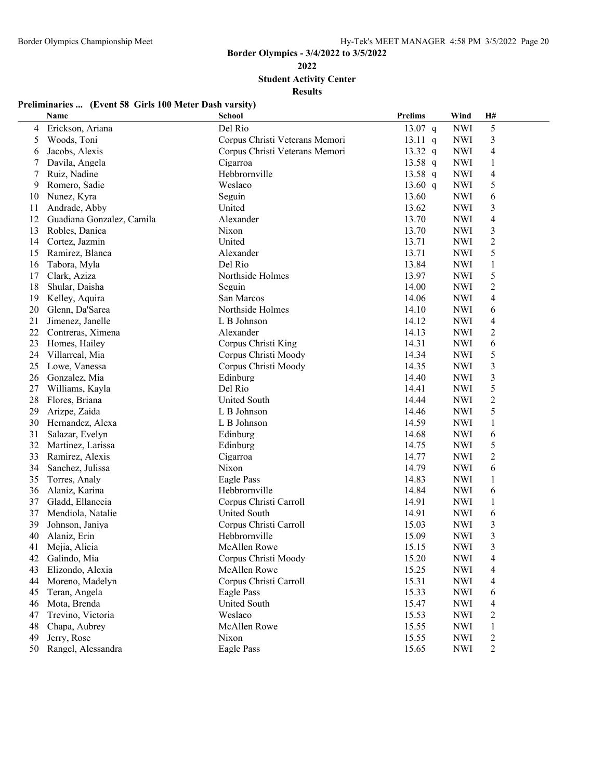**Student Activity Center**

**Results**

# **Preliminaries ... (Event 58 Girls 100 Meter Dash varsity)**

|                | Name                      | <b>School</b>                  | <b>Prelims</b> | Wind       | H#                    |  |
|----------------|---------------------------|--------------------------------|----------------|------------|-----------------------|--|
| 4              | Erickson, Ariana          | Del Rio                        | 13.07 q        | <b>NWI</b> | $\mathfrak s$         |  |
| 5              | Woods, Toni               | Corpus Christi Veterans Memori | $13.11$ q      | <b>NWI</b> | 3                     |  |
| 6              | Jacobs, Alexis            | Corpus Christi Veterans Memori | 13.32 $q$      | <b>NWI</b> | $\overline{4}$        |  |
| 7              | Davila, Angela            | Cigarroa                       | 13.58 q        | <b>NWI</b> | $\mathbf{1}$          |  |
| $\overline{7}$ | Ruiz, Nadine              | Hebbrornville                  | 13.58 $q$      | <b>NWI</b> | $\overline{4}$        |  |
| 9              | Romero, Sadie             | Weslaco                        | 13.60 $q$      | <b>NWI</b> | 5                     |  |
| 10             | Nunez, Kyra               | Seguin                         | 13.60          | <b>NWI</b> | 6                     |  |
| 11             | Andrade, Abby             | United                         | 13.62          | <b>NWI</b> | 3                     |  |
| 12             | Guadiana Gonzalez, Camila | Alexander                      | 13.70          | <b>NWI</b> | $\overline{4}$        |  |
| 13             | Robles, Danica            | Nixon                          | 13.70          | <b>NWI</b> | $\mathfrak{Z}$        |  |
| 14             | Cortez, Jazmin            | United                         | 13.71          | <b>NWI</b> | $\overline{2}$        |  |
| 15             | Ramirez, Blanca           | Alexander                      | 13.71          | <b>NWI</b> | 5                     |  |
| 16             | Tabora, Myla              | Del Rio                        | 13.84          | <b>NWI</b> | $\mathbf{1}$          |  |
| 17             | Clark, Aziza              | Northside Holmes               | 13.97          | <b>NWI</b> | 5                     |  |
| 18             | Shular, Daisha            | Seguin                         | 14.00          | <b>NWI</b> | $\mathfrak{2}$        |  |
| 19             | Kelley, Aquira            | San Marcos                     | 14.06          | <b>NWI</b> | $\overline{4}$        |  |
| 20             | Glenn, Da'Sarea           | Northside Holmes               | 14.10          | <b>NWI</b> | 6                     |  |
| 21             | Jimenez, Janelle          | L B Johnson                    | 14.12          | <b>NWI</b> | $\overline{4}$        |  |
| 22             | Contreras, Ximena         | Alexander                      | 14.13          | <b>NWI</b> | $\mathbf{2}$          |  |
| 23             | Homes, Hailey             | Corpus Christi King            | 14.31          | <b>NWI</b> | 6                     |  |
| 24             | Villarreal, Mia           | Corpus Christi Moody           | 14.34          | <b>NWI</b> | 5                     |  |
| 25             | Lowe, Vanessa             | Corpus Christi Moody           | 14.35          | <b>NWI</b> | $\mathfrak{Z}$        |  |
| 26             | Gonzalez, Mia             | Edinburg                       | 14.40          | <b>NWI</b> | 3                     |  |
| 27             | Williams, Kayla           | Del Rio                        | 14.41          | <b>NWI</b> | 5                     |  |
| 28             | Flores, Briana            | <b>United South</b>            | 14.44          | <b>NWI</b> | $\boldsymbol{2}$      |  |
| 29             | Arizpe, Zaida             | L B Johnson                    | 14.46          | <b>NWI</b> | 5                     |  |
| 30             | Hernandez, Alexa          | L B Johnson                    | 14.59          | <b>NWI</b> | $\mathbf{1}$          |  |
| 31             |                           | Edinburg                       | 14.68          | <b>NWI</b> |                       |  |
| 32             | Salazar, Evelyn           |                                | 14.75          |            | $\boldsymbol{6}$<br>5 |  |
| 33             | Martinez, Larissa         | Edinburg                       | 14.77          | <b>NWI</b> | $\overline{2}$        |  |
|                | Ramirez, Alexis           | Cigarroa                       |                | <b>NWI</b> |                       |  |
| 34             | Sanchez, Julissa          | Nixon                          | 14.79          | <b>NWI</b> | 6                     |  |
| 35             | Torres, Analy             | Eagle Pass                     | 14.83          | <b>NWI</b> | 1                     |  |
| 36             | Alaniz, Karina            | Hebbrornville                  | 14.84          | <b>NWI</b> | 6                     |  |
| 37             | Gladd, Ellanecia          | Corpus Christi Carroll         | 14.91          | <b>NWI</b> | $\mathbf{1}$          |  |
| 37             | Mendiola, Natalie         | <b>United South</b>            | 14.91          | <b>NWI</b> | 6                     |  |
| 39             | Johnson, Janiya           | Corpus Christi Carroll         | 15.03          | <b>NWI</b> | 3                     |  |
| 40             | Alaniz, Erin              | Hebbrornville                  | 15.09          | <b>NWI</b> | $\mathfrak{Z}$        |  |
| 41             | Mejia, Alicia             | <b>McAllen Rowe</b>            | 15.15          | <b>NWI</b> | 3                     |  |
| 42             | Galindo, Mia              | Corpus Christi Moody           | 15.20          | <b>NWI</b> | 4                     |  |
| 43             | Elizondo, Alexia          | McAllen Rowe                   | 15.25          | <b>NWI</b> | 4                     |  |
| 44             | Moreno, Madelyn           | Corpus Christi Carroll         | 15.31          | <b>NWI</b> | 4                     |  |
| 45             | Teran, Angela             | Eagle Pass                     | 15.33          | <b>NWI</b> | 6                     |  |
| 46             | Mota, Brenda              | <b>United South</b>            | 15.47          | <b>NWI</b> | 4                     |  |
| 47             | Trevino, Victoria         | Weslaco                        | 15.53          | <b>NWI</b> | $\overline{c}$        |  |
| 48             | Chapa, Aubrey             | McAllen Rowe                   | 15.55          | <b>NWI</b> | 1                     |  |
| 49             | Jerry, Rose               | Nixon                          | 15.55          | <b>NWI</b> | $\overline{c}$        |  |
| 50             | Rangel, Alessandra        | Eagle Pass                     | 15.65          | <b>NWI</b> | $\overline{2}$        |  |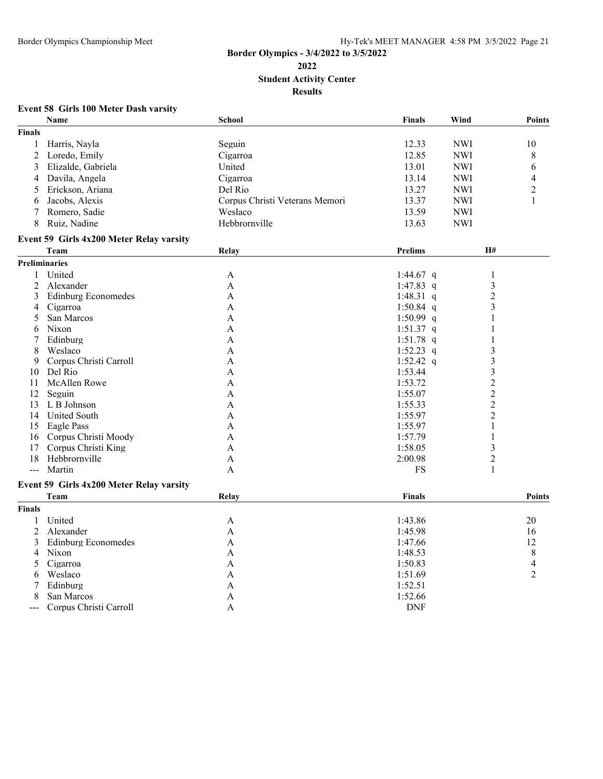## **Border Olympics - 3/4/2022 to 3/5/2022 Student Activity Center Results**

### **Event 58 Girls 100 Meter Dash varsity**

|                | Name                                     | School                         | <b>Finals</b>  | Wind                    | <b>Points</b>  |
|----------------|------------------------------------------|--------------------------------|----------------|-------------------------|----------------|
| <b>Finals</b>  |                                          |                                |                |                         |                |
| $\mathbf{1}$   | Harris, Nayla                            | Seguin                         | 12.33          | <b>NWI</b>              | 10             |
| $\overline{2}$ | Loredo, Emily                            | Cigarroa                       | 12.85          | <b>NWI</b>              | 8              |
| 3              | Elizalde, Gabriela                       | United                         | 13.01          | <b>NWI</b>              | 6              |
| 4              | Davila, Angela                           | Cigarroa                       | 13.14          | <b>NWI</b>              | $\overline{4}$ |
| 5              | Erickson, Ariana                         | Del Rio                        | 13.27          | <b>NWI</b>              | $\overline{c}$ |
| 6              | Jacobs, Alexis                           | Corpus Christi Veterans Memori | 13.37          | <b>NWI</b>              | $\mathbf{1}$   |
| 7              | Romero, Sadie                            | Weslaco                        | 13.59          | <b>NWI</b>              |                |
| 8              | Ruiz, Nadine                             | Hebbrornville                  | 13.63          | <b>NWI</b>              |                |
|                |                                          |                                |                |                         |                |
|                | Event 59 Girls 4x200 Meter Relay varsity |                                |                |                         |                |
|                | Team                                     | Relay                          | <b>Prelims</b> | H#                      |                |
|                | <b>Preliminaries</b>                     |                                |                |                         |                |
| 1              | United                                   | A                              | 1:44.67 $q$    | 1                       |                |
| $\overline{2}$ | Alexander                                | A                              | 1:47.83 q      | $\overline{\mathbf{3}}$ |                |
| 3              | <b>Edinburg Economedes</b>               | A                              | 1:48.31 q      | $\overline{2}$          |                |
| 4              | Cigarroa                                 | A                              | $1:50.84$ q    | $\overline{\mathbf{3}}$ |                |
| 5              | San Marcos                               | A                              | 1:50.99 $q$    | 1                       |                |
| 6              | Nixon                                    | A                              | $1:51.37$ q    | 1                       |                |
| 7              | Edinburg                                 | A                              | $1:51.78$ q    | 1                       |                |
| 8              | Weslaco                                  | A                              | 1:52.23 q      | 3                       |                |
| 9              | Corpus Christi Carroll                   | A                              | 1:52.42 q      | $\overline{\mathbf{3}}$ |                |
| 10             | Del Rio                                  | A                              | 1:53.44        | $\overline{\mathbf{3}}$ |                |
| 11             | McAllen Rowe                             | A                              | 1:53.72        | $\overline{c}$          |                |
| 12             | Seguin                                   | A                              | 1:55.07        | $\overline{c}$          |                |
| 13             | L B Johnson                              | A                              | 1:55.33        | $\overline{2}$          |                |
| 14             | <b>United South</b>                      | A                              | 1:55.97        | $\overline{c}$          |                |
|                | 15 Eagle Pass                            | A                              | 1:55.97        | 1                       |                |
|                | 16 Corpus Christi Moody                  | A                              | 1:57.79        | 1                       |                |
| 17             | Corpus Christi King                      | A                              | 1:58.05        | $\overline{\mathbf{3}}$ |                |
| 18             | Hebbrornville                            | A                              | 2:00.98        | $\overline{2}$          |                |
| $ -$           | Martin                                   | A                              | <b>FS</b>      | 1                       |                |
|                | Event 59 Girls 4x200 Meter Relay varsity |                                |                |                         |                |
|                | Team                                     | Relay                          | <b>Finals</b>  |                         | <b>Points</b>  |
| <b>Finals</b>  |                                          |                                |                |                         |                |
| 1              | United                                   | A                              | 1:43.86        |                         | 20             |
| $\overline{2}$ | Alexander                                | A                              | 1:45.98        |                         | 16             |
| 3              | <b>Edinburg Economedes</b>               | A                              | 1:47.66        |                         | 12             |
| 4              | Nixon                                    | A                              | 1:48.53        |                         | 8              |
| 5              | Cigarroa                                 | A                              | 1:50.83        |                         | $\overline{4}$ |
| 6              | Weslaco                                  | A                              | 1:51.69        |                         | $\overline{2}$ |
| 7              | Edinburg                                 | A                              | 1:52.51        |                         |                |
| 8              | San Marcos                               | A                              | 1:52.66        |                         |                |
|                | Corpus Christi Carroll                   | A                              | <b>DNF</b>     |                         |                |
| $---$          |                                          |                                |                |                         |                |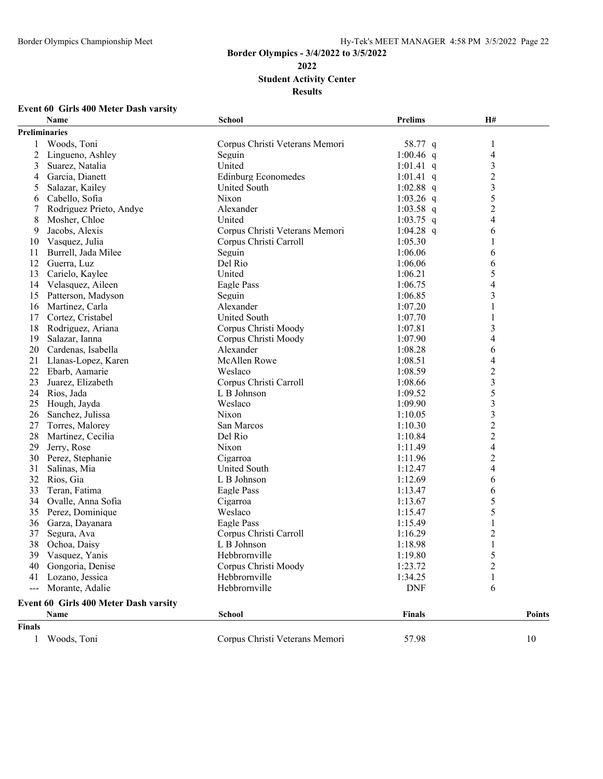# **Border Olympics - 3/4/2022 to 3/5/2022 Student Activity Center**

**Results**

### **Event 60 Girls 400 Meter Dash varsity**

|                | Name                                  | School                         | Prelims       | <b>H#</b>               |               |
|----------------|---------------------------------------|--------------------------------|---------------|-------------------------|---------------|
|                | <b>Preliminaries</b>                  |                                |               |                         |               |
| 1              | Woods, Toni                           | Corpus Christi Veterans Memori | 58.77 q       | 1                       |               |
| $\overline{c}$ | Lingueno, Ashley                      | Seguin                         | 1:00.46 q     | 4                       |               |
| 3              | Suarez, Natalia                       | United                         | 1:01.41 q     | 3                       |               |
| 4              | Garcia, Dianett                       | <b>Edinburg Economedes</b>     | 1:01.41 q     | $\overline{2}$          |               |
| 5              | Salazar, Kailey                       | United South                   | 1:02.88 $q$   | $\overline{\mathbf{3}}$ |               |
| 6              | Cabello, Sofia                        | Nixon                          | 1:03.26 $q$   | 5                       |               |
| 7              | Rodriguez Prieto, Andye               | Alexander                      | $1:03.58$ q   | 2                       |               |
| 8              | Mosher, Chloe                         | United                         | $1:03.75$ q   | 4                       |               |
| 9              | Jacobs, Alexis                        | Corpus Christi Veterans Memori | 1:04.28 q     | 6                       |               |
| 10             | Vasquez, Julia                        | Corpus Christi Carroll         | 1:05.30       | 1                       |               |
| 11             | Burrell, Jada Milee                   | Seguin                         | 1:06.06       | 6                       |               |
| 12             | Guerra, Luz                           | Del Rio                        | 1:06.06       | 6                       |               |
| 13             | Carielo, Kaylee                       | United                         | 1:06.21       | 5                       |               |
|                | 14 Velasquez, Aileen                  | Eagle Pass                     | 1:06.75       | 4                       |               |
| 15             | Patterson, Madyson                    | Seguin                         | 1:06.85       | 3                       |               |
| 16             | Martinez, Carla                       | Alexander                      | 1:07.20       | 1                       |               |
| 17             | Cortez, Cristabel                     | United South                   | 1:07.70       | 1                       |               |
| 18             | Rodriguez, Ariana                     | Corpus Christi Moody           | 1:07.81       | 3                       |               |
| 19             | Salazar, Ianna                        | Corpus Christi Moody           | 1:07.90       | 4                       |               |
| 20             | Cardenas, Isabella                    | Alexander                      | 1:08.28       | 6                       |               |
| 21             | Llanas-Lopez, Karen                   | McAllen Rowe                   | 1:08.51       | 4                       |               |
| 22             | Ebarb, Aamarie                        | Weslaco                        | 1:08.59       | $\overline{c}$          |               |
| 23             | Juarez, Elizabeth                     | Corpus Christi Carroll         | 1:08.66       | $\overline{\mathbf{3}}$ |               |
| 24             | Rios, Jada                            | L B Johnson                    | 1:09.52       | 5                       |               |
| 25             | Hough, Jayda                          | Weslaco                        | 1:09.90       | 3                       |               |
| 26             | Sanchez, Julissa                      | Nixon                          | 1:10.05       | 3                       |               |
| 27             | Torres, Malorey                       | San Marcos                     | 1:10.30       | $\overline{c}$          |               |
| 28             | Martinez, Cecilia                     | Del Rio                        | 1:10.84       | $\overline{2}$          |               |
| 29             | Jerry, Rose                           | Nixon                          | 1:11.49       | 4                       |               |
| 30             | Perez, Stephanie                      | Cigarroa                       | 1:11.96       | $\overline{c}$          |               |
| 31             | Salinas, Mia                          | <b>United South</b>            | 1:12.47       | 4                       |               |
| 32             | Rios, Gia                             | L B Johnson                    | 1:12.69       | 6                       |               |
| 33             | Teran, Fatima                         | Eagle Pass                     | 1:13.47       | 6                       |               |
| 34             | Ovalle, Anna Sofia                    | Cigarroa                       | 1:13.67       | 5                       |               |
| 35             | Perez, Dominique                      | Weslaco                        | 1:15.47       | 5                       |               |
| 36             | Garza, Dayanara                       | Eagle Pass                     | 1:15.49       | 1                       |               |
| 37             | Segura, Ava                           | Corpus Christi Carroll         | 1:16.29       | 2                       |               |
| 38             | Ochoa, Daisy                          | L B Johnson                    | 1:18.98       |                         |               |
|                | 39 Vasquez, Yanis                     | Hebbrornville                  | 1:19.80       | 5                       |               |
|                | 40 Gongoria, Denise                   | Corpus Christi Moody           | 1:23.72       | 2                       |               |
| 41             | Lozano, Jessica                       | Hebbrornville                  | 1:34.25       | 1                       |               |
|                | Morante, Adalie                       | Hebbrornville                  | <b>DNF</b>    | 6                       |               |
|                | Event 60 Girls 400 Meter Dash varsity |                                |               |                         |               |
|                | Name                                  | <b>School</b>                  | <b>Finals</b> |                         | <b>Points</b> |
| <b>Finals</b>  |                                       |                                |               |                         |               |
|                |                                       |                                |               |                         |               |
| $\mathbf{1}$   | Woods, Toni                           | Corpus Christi Veterans Memori | 57.98         |                         | 10            |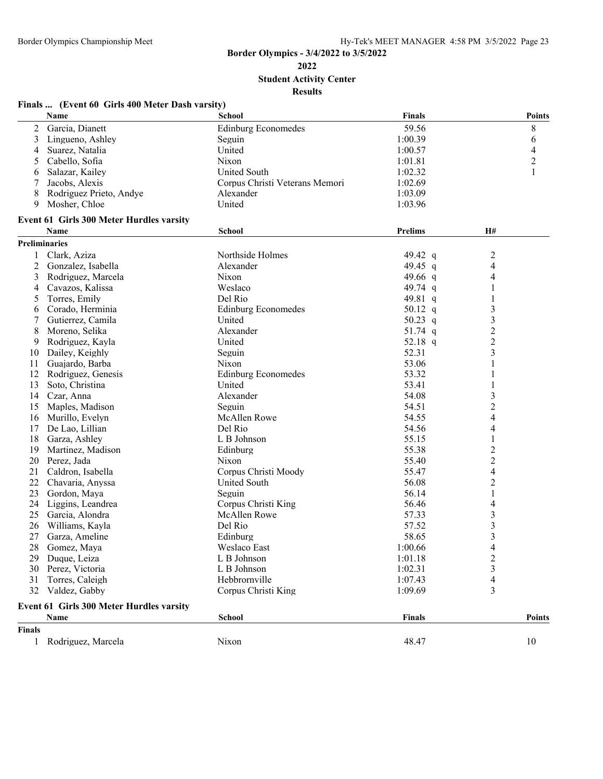**Student Activity Center**

|  | Finals  (Event 60 Girls 400 Meter Dash varsity) |  |
|--|-------------------------------------------------|--|
|  |                                                 |  |

|               | Name                                             | <b>School</b>                  | Finals    |                         | <b>Points</b> |
|---------------|--------------------------------------------------|--------------------------------|-----------|-------------------------|---------------|
| 2             | Garcia, Dianett                                  | <b>Edinburg Economedes</b>     | 59.56     | 8                       |               |
| 3             | Lingueno, Ashley                                 | Seguin                         | 1:00.39   | 6                       |               |
| 4             | Suarez, Natalia                                  | United                         | 1:00.57   | 4                       |               |
| 5             | Cabello, Sofia                                   | Nixon                          | 1:01.81   | 2                       |               |
| 6             | Salazar, Kailey                                  | <b>United South</b>            | 1:02.32   |                         |               |
| 7             | Jacobs, Alexis                                   | Corpus Christi Veterans Memori | 1:02.69   |                         |               |
| 8             | Rodriguez Prieto, Andye                          | Alexander                      | 1:03.09   |                         |               |
| 9             | Mosher, Chloe                                    | United                         | 1:03.96   |                         |               |
|               | Event 61 Girls 300 Meter Hurdles varsity         |                                |           |                         |               |
|               | Name                                             | School                         | Prelims   | H#                      |               |
|               | Preliminaries                                    |                                |           |                         |               |
| 1             | Clark, Aziza                                     | Northside Holmes               | 49.42 $q$ | 2                       |               |
| 2             | Gonzalez, Isabella                               | Alexander                      | 49.45 q   | 4                       |               |
| 3             | Rodriguez, Marcela                               | Nixon                          | 49.66 q   | 4                       |               |
| 4             | Cavazos, Kalissa                                 | Weslaco                        | 49.74 $q$ | 1                       |               |
| 5             | Torres, Emily                                    | Del Rio                        | 49.81 q   |                         |               |
| 6             | Corado, Herminia                                 | <b>Edinburg Economedes</b>     | 50.12 q   | 3                       |               |
| 7             | Gutierrez, Camila                                | United                         | 50.23 $q$ | 3                       |               |
| 8             | Moreno, Selika                                   | Alexander                      | 51.74 $q$ | $\overline{\mathbf{c}}$ |               |
| 9             | Rodriguez, Kayla                                 | United                         | 52.18 q   | $\overline{c}$          |               |
| 10            | Dailey, Keighly                                  | Seguin                         | 52.31     | 3                       |               |
| 11            | Guajardo, Barba                                  | Nixon                          | 53.06     | 1                       |               |
| 12            | Rodriguez, Genesis                               | <b>Edinburg Economedes</b>     | 53.32     |                         |               |
| 13            | Soto, Christina                                  | United                         | 53.41     |                         |               |
| 14            | Czar, Anna                                       | Alexander                      | 54.08     | 3                       |               |
| 15            | Maples, Madison                                  | Seguin                         | 54.51     | 2                       |               |
| 16            | Murillo, Evelyn                                  | McAllen Rowe                   | 54.55     | 4                       |               |
| 17            | De Lao, Lillian                                  | Del Rio                        | 54.56     | 4                       |               |
| 18            | Garza, Ashley                                    | L B Johnson                    | 55.15     |                         |               |
| 19            | Martinez, Madison                                | Edinburg                       | 55.38     | $\overline{\mathbf{c}}$ |               |
| 20            | Perez, Jada                                      | Nixon                          | 55.40     | $\overline{c}$          |               |
| 21            | Caldron, Isabella                                | Corpus Christi Moody           | 55.47     | 4                       |               |
| 22            | Chavaria, Anyssa                                 | <b>United South</b>            | 56.08     | 2                       |               |
| 23            | Gordon, Maya                                     | Seguin                         | 56.14     | 1                       |               |
| 24            | Liggins, Leandrea                                | Corpus Christi King            | 56.46     | 4                       |               |
| 25            | Garcia, Alondra                                  | <b>McAllen Rowe</b>            | 57.33     | 3                       |               |
| 26            | Williams, Kayla                                  | Del Rio                        | 57.52     | 3                       |               |
| 27            | Garza, Ameline                                   | Edinburg                       | 58.65     | 3                       |               |
| 28            | Gomez, Maya                                      | Weslaco East                   | 1:00.66   | $\overline{4}$          |               |
| 29            | Duque, Leiza                                     | L B Johnson                    | 1:01.18   | 2                       |               |
| 30            | Perez, Victoria                                  | L B Johnson                    | 1:02.31   | 3                       |               |
| 31            | Torres, Caleigh                                  | Hebbrornville                  | 1:07.43   | 4                       |               |
| 32            | Valdez, Gabby                                    | Corpus Christi King            | 1:09.69   | 3                       |               |
|               |                                                  |                                |           |                         |               |
|               | Event 61 Girls 300 Meter Hurdles varsity<br>Name | <b>School</b>                  | Finals    |                         | Points        |
| <b>Finals</b> |                                                  |                                |           |                         |               |
|               |                                                  |                                |           |                         |               |
| 1             | Rodriguez, Marcela                               | Nixon                          | 48.47     | 10                      |               |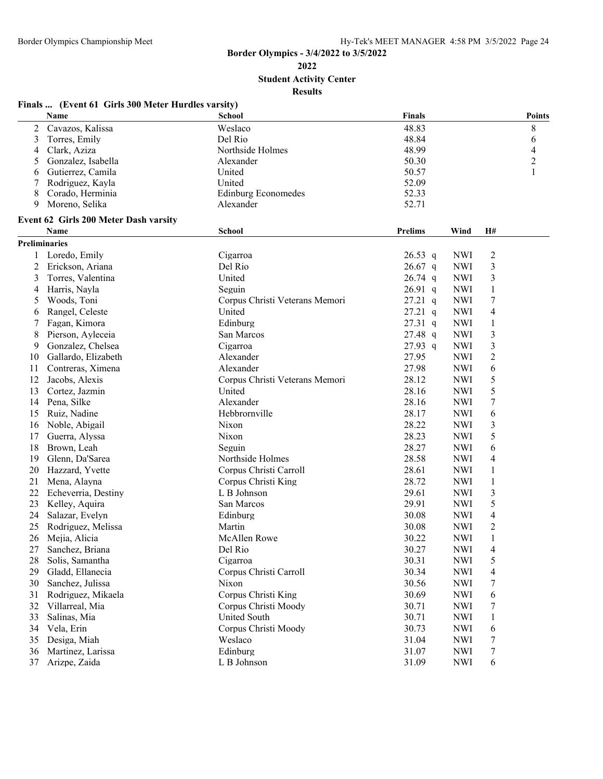**Student Activity Center**

#### **Results Finals ... (Event 61 Girls 300 Meter Hurdles varsity) Name School Finals Points** Cavazos, Kalissa Weslaco 48.83 8 3 Torres, Emily **Del Rio Del Rio** 48.84 6 4 Clark, Aziza 1 2022 - Northside Holmes 18.99 48.99 4 4 AM 2022 4 4 AM 48.99 4 4 AM 2022 4 4 AM 2022 4 4 AM 2022 4 4 AM 2022 4 4 AM 2022 4 4 AM 2022 4 4 AM 2022 4 4 AM 2022 4 AM 2022 4 4 AM 2022 4 AM 2022 4 AM 2022 4 AM 2 5 Gonzalez, Isabella 2 Alexander 2 Alexander 50.30 2 6 Gutierrez, Camila **1** United 50.57 1 Rodriguez, Kayla United 52.09 Corado, Herminia Edinburg Economedes 52.33 Moreno, Selika Alexander 52.71 **Event 62 Girls 200 Meter Dash varsity Name School Prelims Wind H# Preliminaries** Loredo, Emily Cigarroa 26.53 q NWI 2 Erickson, Ariana Del Rio 26.67 q NWI 3 Torres, Valentina United 26.74 q NWI 3 Harris, Nayla Seguin 26.91 q NWI 1 Woods, Toni Corpus Christi Veterans Memori 27.21 q NWI 7 Rangel, Celeste United 27.21 q NWI 4 Fagan, Kimora Edinburg 27.31 q NWI 1 Pierson, Ayleceia San Marcos 27.48 q NWI 3 Gonzalez, Chelsea Cigarroa 27.93 q NWI 3 Gallardo, Elizabeth Alexander 27.95 NWI 2 11 Contreras, Ximena **Alexander** 27.98 NWI 6 Jacobs, Alexis Corpus Christi Veterans Memori 28.12 NWI 5 Cortez, Jazmin United 28.16 NWI 5 14 Pena, Silke **Alexander** Alexander 28.16 NWI 7 Ruiz, Nadine Hebbrornville 28.17 NWI 6 16 Noble, Abigail 28.22 NWI 3 Guerra, Alyssa Nixon 28.23 NWI 5 18 Brown, Leah Seguin 28.27 NWI 6 19 Glenn, Da'Sarea **Northside Holmes** 28.58 NWI 4 Hazzard, Yvette Corpus Christi Carroll 28.61 NWI 1 Mena, Alayna Corpus Christi King 28.72 NWI 1 Echeverria, Destiny L B Johnson 29.61 NWI 3 23 Kelley, Aquira **29.91** San Marcos 29.91 NWI 5 Salazar, Evelyn Edinburg 30.08 NWI 4 25 Rodriguez, Melissa **Martin** Martin 30.08 NWI 2

26 Mejia, Alicia 120 McAllen Rowe 120.22 NWI 1 Sanchez, Briana Del Rio 30.27 NWI 4 Solis, Samantha Cigarroa 30.31 NWI 5 Gladd, Ellanecia Corpus Christi Carroll 30.34 NWI 4 Sanchez, Julissa Nixon 30.56 NWI 7 Rodriguez, Mikaela Corpus Christi King 30.69 NWI 6 Villarreal, Mia Corpus Christi Moody 30.71 NWI 7 Salinas, Mia United South 30.71 NWI 1 Vela, Erin Corpus Christi Moody 30.73 NWI 6 Desiga, Miah Weslaco 31.04 NWI 7 Martinez, Larissa Edinburg 31.07 NWI 7 Arizpe, Zaida L B Johnson 31.09 NWI 6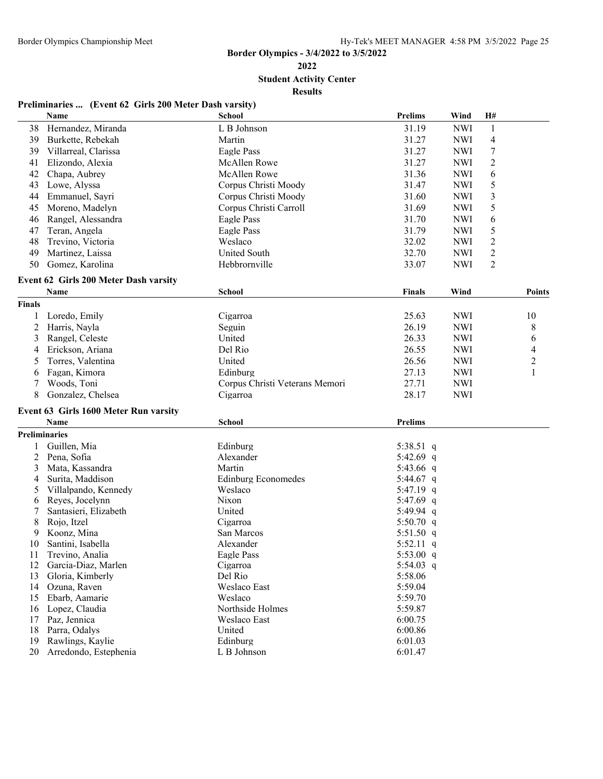**Student Activity Center**

**Results**

### **Preliminaries ... (Event 62 Girls 200 Meter Dash varsity)**

|                      | Name                                  | <b>School</b>                  | <b>Prelims</b> | Wind       | H#             |               |
|----------------------|---------------------------------------|--------------------------------|----------------|------------|----------------|---------------|
| 38                   | Hernandez, Miranda                    | L B Johnson                    | 31.19          | <b>NWI</b> | $\mathbf{1}$   |               |
| 39                   | Burkette, Rebekah                     | Martin                         | 31.27          | <b>NWI</b> | 4              |               |
| 39                   | Villarreal, Clarissa                  | Eagle Pass                     | 31.27          | <b>NWI</b> | 7              |               |
| 41                   | Elizondo, Alexia                      | <b>McAllen Rowe</b>            | 31.27          | <b>NWI</b> | 2              |               |
| 42                   | Chapa, Aubrey                         | <b>McAllen Rowe</b>            | 31.36          | <b>NWI</b> | 6              |               |
| 43                   | Lowe, Alyssa                          | Corpus Christi Moody           | 31.47          | <b>NWI</b> | 5              |               |
| 44                   | Emmanuel, Sayri                       | Corpus Christi Moody           | 31.60          | <b>NWI</b> | 3              |               |
| 45                   | Moreno, Madelyn                       | Corpus Christi Carroll         | 31.69          | <b>NWI</b> | 5              |               |
| 46                   | Rangel, Alessandra                    | Eagle Pass                     | 31.70          | <b>NWI</b> | 6              |               |
| 47                   | Teran, Angela                         | Eagle Pass                     | 31.79          | <b>NWI</b> | 5              |               |
| 48                   | Trevino, Victoria                     | Weslaco                        | 32.02          | <b>NWI</b> | $\overline{2}$ |               |
| 49                   | Martinez, Laissa                      | <b>United South</b>            | 32.70          | <b>NWI</b> | $\overline{c}$ |               |
| 50                   | Gomez, Karolina                       | Hebbrornville                  | 33.07          | <b>NWI</b> | $\overline{2}$ |               |
|                      |                                       |                                |                |            |                |               |
|                      | Event 62 Girls 200 Meter Dash varsity |                                |                |            |                |               |
|                      | Name                                  | <b>School</b>                  | <b>Finals</b>  | Wind       |                | <b>Points</b> |
| <b>Finals</b>        |                                       |                                |                |            |                |               |
| 1                    | Loredo, Emily                         | Cigarroa                       | 25.63          | <b>NWI</b> |                | 10            |
| 2                    | Harris, Nayla                         | Seguin                         | 26.19          | <b>NWI</b> |                | 8             |
| 3                    | Rangel, Celeste                       | United                         | 26.33          | <b>NWI</b> |                | 6             |
| 4                    | Erickson, Ariana                      | Del Rio                        | 26.55          | <b>NWI</b> |                | 4             |
| 5                    | Torres, Valentina                     | United                         | 26.56          | <b>NWI</b> |                | 2             |
| 6                    | Fagan, Kimora                         | Edinburg                       | 27.13          | <b>NWI</b> |                | 1             |
| 7                    | Woods, Toni                           | Corpus Christi Veterans Memori | 27.71          | <b>NWI</b> |                |               |
| 8                    | Gonzalez, Chelsea                     | Cigarroa                       | 28.17          | <b>NWI</b> |                |               |
|                      | Event 63 Girls 1600 Meter Run varsity |                                |                |            |                |               |
|                      | <b>Name</b>                           | <b>School</b>                  | Prelims        |            |                |               |
| <b>Preliminaries</b> |                                       |                                |                |            |                |               |
| 1                    | Guillen, Mia                          | Edinburg                       | 5:38.51 q      |            |                |               |
| $\overline{c}$       | Pena, Sofia                           | Alexander                      | 5:42.69 q      |            |                |               |
| 3                    | Mata, Kassandra                       | Martin                         | 5:43.66 q      |            |                |               |
| 4                    | Surita, Maddison                      | <b>Edinburg Economedes</b>     | 5:44.67 q      |            |                |               |
| 5                    | Villalpando, Kennedy                  | Weslaco                        | 5:47.19 q      |            |                |               |
| 6                    | Reyes, Jocelynn                       | Nixon                          | 5:47.69 $q$    |            |                |               |
| 7                    | Santasieri, Elizabeth                 | United                         | 5:49.94 q      |            |                |               |
| 8                    | Rojo, Itzel                           | Cigarroa                       | 5:50.70 $q$    |            |                |               |
| 9                    | Koonz, Mina                           | San Marcos                     | 5:51.50 q      |            |                |               |
| 10                   | Santini, Isabella                     | Alexander                      | 5:52.11 q      |            |                |               |
| 11                   | Trevino, Analia                       | Eagle Pass                     | 5:53.00 q      |            |                |               |
| 12                   | Garcia-Diaz, Marlen                   | Cigarroa                       | 5:54.03 $q$    |            |                |               |
| 13                   | Gloria, Kimberly                      | Del Rio                        | 5:58.06        |            |                |               |
| 14                   | Ozuna, Raven                          | Weslaco East                   | 5:59.04        |            |                |               |
| 15                   | Ebarb, Aamarie                        | Weslaco                        | 5:59.70        |            |                |               |
| 16                   | Lopez, Claudia                        | Northside Holmes               | 5:59.87        |            |                |               |
| 17                   | Paz, Jennica                          | Weslaco East                   | 6:00.75        |            |                |               |
| 18                   | Parra, Odalys                         | United                         | 6:00.86        |            |                |               |
| 19                   | Rawlings, Kaylie                      | Edinburg                       | 6:01.03        |            |                |               |
| 20                   | Arredondo, Estephenia                 | L B Johnson                    | 6:01.47        |            |                |               |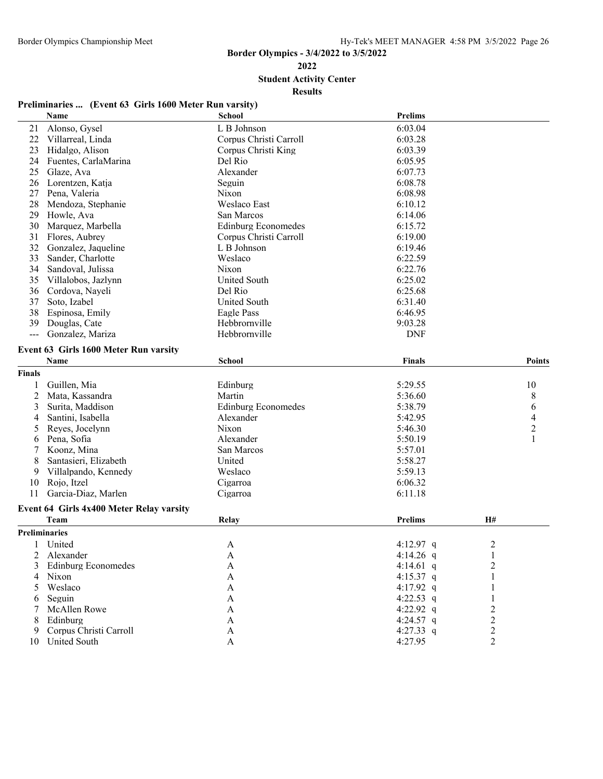**Student Activity Center**

**Results**

### **Preliminaries ... (Event 63 Girls 1600 Meter Run varsity)**

| 6:03.04<br>Alonso, Gysel<br>L B Johnson<br>21<br>22<br>Villarreal, Linda<br>Corpus Christi Carroll<br>6:03.28<br>23<br>Hidalgo, Alison<br>Corpus Christi King<br>6:03.39<br>Del Rio<br>24<br>Fuentes, CarlaMarina<br>6:05.95<br>25<br>Glaze, Ava<br>Alexander<br>6:07.73<br>6:08.78<br>26<br>Lorentzen, Katja<br>Seguin |                |                |
|-------------------------------------------------------------------------------------------------------------------------------------------------------------------------------------------------------------------------------------------------------------------------------------------------------------------------|----------------|----------------|
|                                                                                                                                                                                                                                                                                                                         |                |                |
|                                                                                                                                                                                                                                                                                                                         |                |                |
|                                                                                                                                                                                                                                                                                                                         |                |                |
|                                                                                                                                                                                                                                                                                                                         |                |                |
|                                                                                                                                                                                                                                                                                                                         |                |                |
|                                                                                                                                                                                                                                                                                                                         |                |                |
| Nixon<br>27<br>Pena, Valeria<br>6:08.98                                                                                                                                                                                                                                                                                 |                |                |
| Weslaco East<br>28<br>Mendoza, Stephanie<br>6:10.12                                                                                                                                                                                                                                                                     |                |                |
| 29<br>San Marcos<br>6:14.06<br>Howle, Ava                                                                                                                                                                                                                                                                               |                |                |
| 30<br>Marquez, Marbella<br><b>Edinburg Economedes</b><br>6:15.72                                                                                                                                                                                                                                                        |                |                |
| 31<br>Flores, Aubrey<br>Corpus Christi Carroll<br>6:19.00                                                                                                                                                                                                                                                               |                |                |
| 32<br>Gonzalez, Jaqueline<br>L B Johnson<br>6:19.46                                                                                                                                                                                                                                                                     |                |                |
| 33<br>Weslaco<br>Sander, Charlotte<br>6:22.59                                                                                                                                                                                                                                                                           |                |                |
| 34<br>6:22.76<br>Sandoval, Julissa<br>Nixon                                                                                                                                                                                                                                                                             |                |                |
| 6:25.02<br>35<br>Villalobos, Jazlynn<br>United South                                                                                                                                                                                                                                                                    |                |                |
| Del Rio<br>6:25.68<br>36<br>Cordova, Nayeli                                                                                                                                                                                                                                                                             |                |                |
| 37<br>Soto, Izabel<br>United South<br>6:31.40                                                                                                                                                                                                                                                                           |                |                |
| 38<br>Espinosa, Emily<br>Eagle Pass<br>6:46.95                                                                                                                                                                                                                                                                          |                |                |
| Hebbrornville<br>39<br>Douglas, Cate<br>9:03.28                                                                                                                                                                                                                                                                         |                |                |
| Hebbrornville<br>Gonzalez, Mariza<br><b>DNF</b>                                                                                                                                                                                                                                                                         |                |                |
|                                                                                                                                                                                                                                                                                                                         |                |                |
| Event 63 Girls 1600 Meter Run varsity<br>Name<br><b>School</b><br>Finals                                                                                                                                                                                                                                                |                | <b>Points</b>  |
| <b>Finals</b>                                                                                                                                                                                                                                                                                                           |                |                |
|                                                                                                                                                                                                                                                                                                                         |                |                |
| Guillen, Mia<br>Edinburg<br>5:29.55<br>1                                                                                                                                                                                                                                                                                |                | 10             |
| 2<br>Martin<br>5:36.60<br>Mata, Kassandra                                                                                                                                                                                                                                                                               |                | 8              |
| 3<br>Surita, Maddison<br><b>Edinburg Economedes</b><br>5:38.79                                                                                                                                                                                                                                                          |                | 6              |
| Santini, Isabella<br>Alexander<br>5:42.95<br>4                                                                                                                                                                                                                                                                          |                | $\overline{4}$ |
| Reyes, Jocelynn<br>Nixon<br>5:46.30<br>5                                                                                                                                                                                                                                                                                |                | $\overline{c}$ |
| 5:50.19<br>Pena, Sofia<br>Alexander<br>6                                                                                                                                                                                                                                                                                |                | $\mathbf{1}$   |
| 5:57.01<br>Koonz, Mina<br>San Marcos<br>7                                                                                                                                                                                                                                                                               |                |                |
| Santasieri, Elizabeth<br>United<br>5:58.27<br>8                                                                                                                                                                                                                                                                         |                |                |
| Villalpando, Kennedy<br>Weslaco<br>5:59.13<br>9                                                                                                                                                                                                                                                                         |                |                |
| Rojo, Itzel<br>Cigarroa<br>10<br>6:06.32                                                                                                                                                                                                                                                                                |                |                |
| 11<br>Garcia-Diaz, Marlen<br>Cigarroa<br>6:11.18                                                                                                                                                                                                                                                                        |                |                |
| Event 64 Girls 4x400 Meter Relay varsity                                                                                                                                                                                                                                                                                |                |                |
| Prelims<br>Team<br>Relay                                                                                                                                                                                                                                                                                                | H#             |                |
| <b>Preliminaries</b>                                                                                                                                                                                                                                                                                                    |                |                |
| 4:12.97 q<br>$\mathbf{1}$<br>United<br>A                                                                                                                                                                                                                                                                                | $\overline{2}$ |                |
| Alexander<br>4:14.26 $q$<br>2<br>A                                                                                                                                                                                                                                                                                      | 1              |                |
| <b>Edinburg Economedes</b><br>4:14.61 q<br>3<br>A                                                                                                                                                                                                                                                                       | $\overline{c}$ |                |
| Nixon<br>4:15.37 q<br>A<br>4                                                                                                                                                                                                                                                                                            | 1              |                |
| Weslaco<br>$\mathbf{A}$<br>4:17.92 q<br>5                                                                                                                                                                                                                                                                               |                |                |
| 4:22.53 $q$<br>Seguin<br>A<br>6                                                                                                                                                                                                                                                                                         |                |                |
| 4:22.92 q<br>McAllen Rowe<br>A                                                                                                                                                                                                                                                                                          | $\overline{c}$ |                |
| Edinburg<br>$\boldsymbol{\mathsf{A}}$<br>4:24.57 q<br>8                                                                                                                                                                                                                                                                 | $\overline{c}$ |                |
| Corpus Christi Carroll<br>4:27.33 q<br>A<br>9                                                                                                                                                                                                                                                                           | 2              |                |
| <b>United South</b><br>4:27.95<br>A<br>10                                                                                                                                                                                                                                                                               | 2              |                |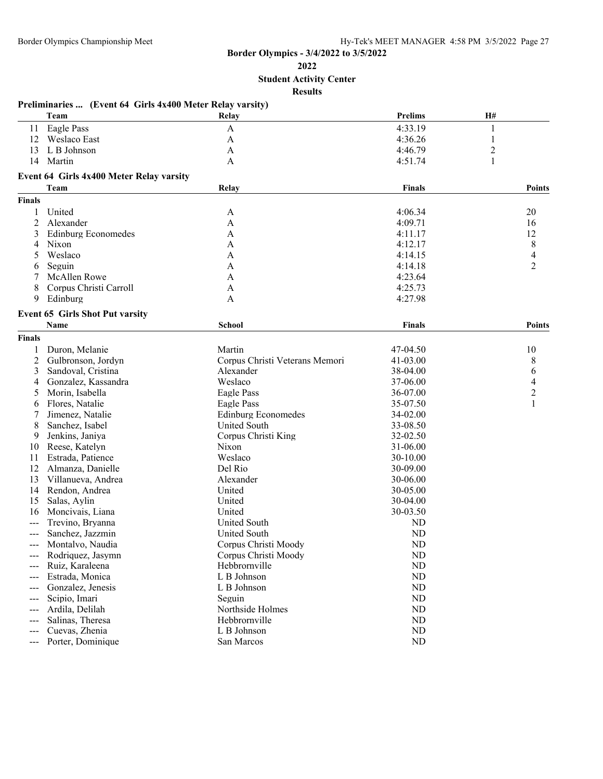**2022**

**Student Activity Center**

|               | Preliminaries  (Event 64 Girls 4x400 Meter Relay varsity)<br>Team | Relay                          | <b>Prelims</b> | H#             |
|---------------|-------------------------------------------------------------------|--------------------------------|----------------|----------------|
|               | 11 Eagle Pass                                                     | $\mathbf A$                    | 4:33.19        | $\mathbf{1}$   |
|               | 12 Weslaco East                                                   | A                              | 4:36.26        | 1              |
| 13            | L B Johnson                                                       | A                              | 4:46.79        | $\overline{2}$ |
| 14            | Martin                                                            | A                              | 4:51.74        | 1              |
|               | Event 64 Girls 4x400 Meter Relay varsity                          |                                |                |                |
|               | Team                                                              | Relay                          | Finals         | <b>Points</b>  |
| <b>Finals</b> |                                                                   |                                |                |                |
| 1             | United                                                            | A                              | 4:06.34        | 20             |
| 2             | Alexander                                                         | A                              | 4:09.71        | 16             |
| 3             | <b>Edinburg Economedes</b>                                        | A                              | 4:11.17        | 12             |
| 4             | Nixon                                                             | A                              | 4:12.17        | 8              |
| 5             | Weslaco                                                           | A                              | 4:14.15        | 4              |
| 6             | Seguin                                                            | A                              | 4:14.18        | $\overline{2}$ |
| 7             | <b>McAllen Rowe</b>                                               | A                              | 4:23.64        |                |
| 8             | Corpus Christi Carroll                                            | A                              | 4:25.73        |                |
| 9             | Edinburg                                                          | A                              | 4:27.98        |                |
|               | <b>Event 65 Girls Shot Put varsity</b>                            |                                |                |                |
|               | Name                                                              | School                         | Finals         | <b>Points</b>  |
| <b>Finals</b> |                                                                   |                                |                |                |
|               | Duron, Melanie                                                    | Martin                         | 47-04.50       | 10             |
| 2             | Gulbronson, Jordyn                                                | Corpus Christi Veterans Memori | 41-03.00       | 8              |
| 3             | Sandoval, Cristina                                                | Alexander                      | 38-04.00       | 6              |
| 4             | Gonzalez, Kassandra                                               | Weslaco                        | 37-06.00       | $\overline{4}$ |
| 5             | Morin, Isabella                                                   | Eagle Pass                     | 36-07.00       | $\overline{2}$ |
| 6             | Flores, Natalie                                                   | Eagle Pass                     | 35-07.50       | $\mathbf{1}$   |
|               | Jimenez, Natalie                                                  | <b>Edinburg Economedes</b>     | 34-02.00       |                |
| 8             | Sanchez, Isabel                                                   | <b>United South</b>            | 33-08.50       |                |
| 9             | Jenkins, Janiya                                                   | Corpus Christi King            | 32-02.50       |                |
| 10            | Reese, Katelyn                                                    | Nixon                          | 31-06.00       |                |
| 11            | Estrada, Patience                                                 | Weslaco                        | 30-10.00       |                |
| 12            | Almanza, Danielle                                                 | Del Rio                        | 30-09.00       |                |
| 13            | Villanueva, Andrea                                                | Alexander                      | 30-06.00       |                |
| 14            | Rendon, Andrea                                                    | United                         | 30-05.00       |                |
| 15            | Salas, Aylin                                                      | United                         | 30-04.00       |                |
| 16            | Moncivais, Liana                                                  | United                         | 30-03.50       |                |
|               |                                                                   | <b>United South</b>            |                |                |
| ---           | Trevino, Bryanna                                                  |                                | ND             |                |
| $---$         | Sanchez, Jazzmin                                                  | United South                   | ND             |                |
| ---           | Montalvo, Naudia                                                  | Corpus Christi Moody           | ND             |                |
| $---$         | Rodriquez, Jasymn                                                 | Corpus Christi Moody           | ND             |                |
| $---$         | Ruiz, Karaleena                                                   | Hebbrornville                  | ND             |                |
| $---$         | Estrada, Monica                                                   | L B Johnson                    | <b>ND</b>      |                |
| ---           | Gonzalez, Jenesis                                                 | L B Johnson                    | ND             |                |
| $---$         | Scipio, Imari                                                     | Seguin                         | ND             |                |
| $---$         | Ardila, Delilah                                                   | Northside Holmes               | <b>ND</b>      |                |
| ---           | Salinas, Theresa                                                  | Hebbrornville                  | $\rm ND$       |                |
| ---           | Cuevas, Zhenia                                                    | L B Johnson                    | $\rm ND$       |                |
| $---$         | Porter, Dominique                                                 | San Marcos                     | <b>ND</b>      |                |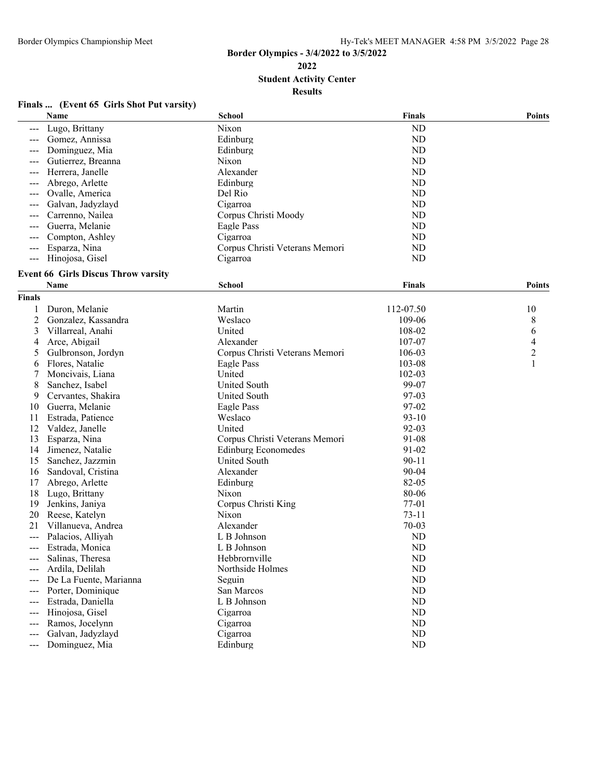**2022**

**Student Activity Center**

**Results**

### **Finals ... (Event 65 Girls Shot Put varsity)**

|                | Name                                       | <b>School</b>                  | <b>Finals</b> | <b>Points</b> |
|----------------|--------------------------------------------|--------------------------------|---------------|---------------|
|                | Lugo, Brittany                             | Nixon                          | ND            |               |
|                | Gomez, Annissa                             | Edinburg                       | <b>ND</b>     |               |
| ---            | Dominguez, Mia                             | Edinburg                       | <b>ND</b>     |               |
| ---            | Gutierrez, Breanna                         | Nixon                          | <b>ND</b>     |               |
| ---            | Herrera, Janelle                           | Alexander                      | <b>ND</b>     |               |
| ---            | Abrego, Arlette                            | Edinburg                       | <b>ND</b>     |               |
| ---            | Ovalle, America                            | Del Rio                        | <b>ND</b>     |               |
| ---            | Galvan, Jadyzlayd                          | Cigarroa                       | <b>ND</b>     |               |
| ---            | Carrenno, Nailea                           | Corpus Christi Moody           | <b>ND</b>     |               |
| $---$          | Guerra, Melanie                            | Eagle Pass                     | ND            |               |
| ---            | Compton, Ashley                            | Cigarroa                       | ND            |               |
| ---            | Esparza, Nina                              | Corpus Christi Veterans Memori | <b>ND</b>     |               |
| ---            | Hinojosa, Gisel                            | Cigarroa                       | <b>ND</b>     |               |
|                | <b>Event 66 Girls Discus Throw varsity</b> |                                |               |               |
|                | Name                                       | <b>School</b>                  | <b>Finals</b> | <b>Points</b> |
| <b>Finals</b>  |                                            |                                |               |               |
|                |                                            |                                |               |               |
| 1              | Duron, Melanie                             | Martin                         | 112-07.50     | 10            |
| $\overline{c}$ | Gonzalez, Kassandra                        | Weslaco                        | 109-06        | 8             |
| 3              | Villarreal, Anahi                          | United                         | 108-02        | 6             |
| 4              | Arce, Abigail                              | Alexander                      | 107-07        | 4             |
| 5              | Gulbronson, Jordyn                         | Corpus Christi Veterans Memori | 106-03        | $\mathbf{2}$  |
| 6              | Flores, Natalie                            | Eagle Pass                     | 103-08        | 1             |
| 7              | Moncivais, Liana                           | United                         | 102-03        |               |
| 8              | Sanchez, Isabel                            | <b>United South</b>            | 99-07         |               |
| 9              | Cervantes, Shakira                         | <b>United South</b>            | 97-03         |               |
| 10             | Guerra, Melanie                            | Eagle Pass                     | 97-02         |               |
| 11             | Estrada, Patience                          | Weslaco                        | $93 - 10$     |               |
| 12             | Valdez, Janelle                            | United                         | 92-03         |               |
| 13             | Esparza, Nina                              | Corpus Christi Veterans Memori | 91-08         |               |
| 14             | Jimenez, Natalie                           | <b>Edinburg Economedes</b>     | 91-02         |               |
| 15             | Sanchez, Jazzmin                           | <b>United South</b>            | $90 - 11$     |               |
| 16             | Sandoval, Cristina                         | Alexander                      | 90-04         |               |
| 17             | Abrego, Arlette                            | Edinburg                       | 82-05         |               |
| 18             | Lugo, Brittany                             | Nixon                          | 80-06         |               |
| 19             | Jenkins, Janiya                            | Corpus Christi King            | 77-01         |               |
| 20             | Reese, Katelyn                             | Nixon                          | $73 - 11$     |               |
| 21             | Villanueva, Andrea                         | Alexander                      | $70 - 03$     |               |
| ---            | Palacios, Alliyah                          | L B Johnson                    | <b>ND</b>     |               |
| ---            | Estrada, Monica                            | L B Johnson                    | <b>ND</b>     |               |
|                | Salinas, Theresa                           | Hebbrornville                  | <b>ND</b>     |               |
|                | Ardila, Delilah                            | Northside Holmes               | ND            |               |
|                | De La Fuente, Marianna                     | Seguin                         | <b>ND</b>     |               |
| ---            | Porter, Dominique                          | San Marcos                     | <b>ND</b>     |               |
| ---            | Estrada, Daniella                          | L B Johnson                    | <b>ND</b>     |               |
| ---            | Hinojosa, Gisel                            | Cigarroa                       | <b>ND</b>     |               |
| ---            | Ramos, Jocelynn                            | Cigarroa                       | <b>ND</b>     |               |
| $---$          | Galvan, Jadyzlayd                          | Cigarroa                       | <b>ND</b>     |               |
| $---$          | Dominguez, Mia                             | Edinburg                       | <b>ND</b>     |               |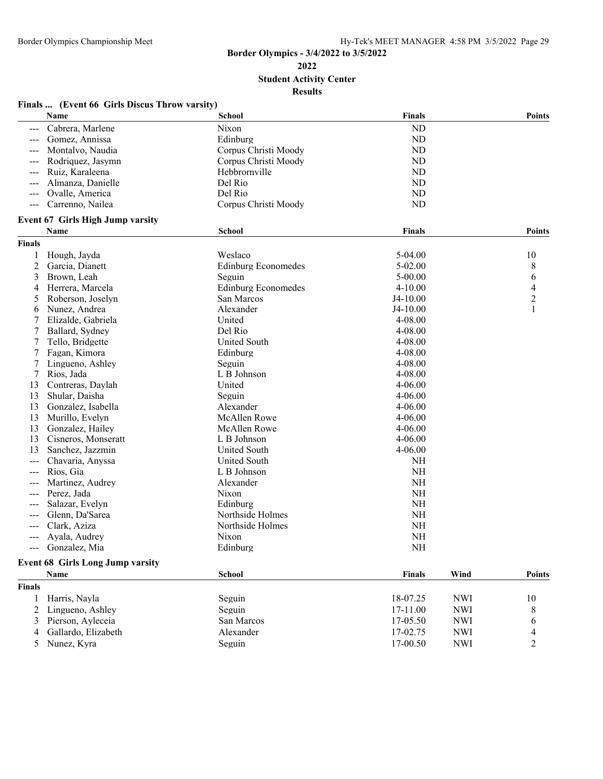**2022**

**Student Activity Center**

|                     | Finals  (Event 66 Girls Discus Throw varsity)<br>Name | <b>School</b>              | <b>Finals</b> |            | <b>Points</b>            |
|---------------------|-------------------------------------------------------|----------------------------|---------------|------------|--------------------------|
| $\qquad \qquad - -$ | Cabrera, Marlene                                      | Nixon                      | ND            |            |                          |
|                     | Gomez, Annissa                                        | Edinburg                   | ND            |            |                          |
|                     | Montalvo, Naudia                                      | Corpus Christi Moody       | <b>ND</b>     |            |                          |
| ---                 | Rodriquez, Jasymn                                     | Corpus Christi Moody       | <b>ND</b>     |            |                          |
| ---                 | Ruiz, Karaleena                                       | Hebbrornville              | <b>ND</b>     |            |                          |
|                     | Almanza, Danielle                                     | Del Rio                    | <b>ND</b>     |            |                          |
| ---                 | Ovalle, America                                       | Del Rio                    | <b>ND</b>     |            |                          |
| $\qquad \qquad - -$ | Carrenno, Nailea                                      | Corpus Christi Moody       | <b>ND</b>     |            |                          |
|                     | Event 67 Girls High Jump varsity                      |                            |               |            |                          |
|                     | Name                                                  | School                     | <b>Finals</b> |            | <b>Points</b>            |
| <b>Finals</b>       |                                                       |                            |               |            |                          |
| 1                   | Hough, Jayda                                          | Weslaco                    | $5-04.00$     |            | 10                       |
| 2                   | Garcia, Dianett                                       | <b>Edinburg Economedes</b> | $5 - 02.00$   |            | 8                        |
| 3                   | Brown, Leah                                           | Seguin                     | $5 - 00.00$   |            | 6                        |
| 4                   | Herrera, Marcela                                      | <b>Edinburg Economedes</b> | $4 - 10.00$   |            | $\overline{\mathcal{A}}$ |
| 5                   | Roberson, Joselyn                                     | San Marcos                 | $J4-10.00$    |            | $\overline{2}$           |
| 6                   | Nunez, Andrea                                         | Alexander                  | $J4-10.00$    |            | 1                        |
|                     | Elizalde, Gabriela                                    | United                     | 4-08.00       |            |                          |
| 7                   | Ballard, Sydney                                       | Del Rio                    | 4-08.00       |            |                          |
| 7                   | Tello, Bridgette                                      | <b>United South</b>        | 4-08.00       |            |                          |
| 7                   | Fagan, Kimora                                         | Edinburg                   | 4-08.00       |            |                          |
| 7                   | Lingueno, Ashley                                      | Seguin                     | 4-08.00       |            |                          |
| 7                   | Rios, Jada                                            | L B Johnson                | 4-08.00       |            |                          |
| 13                  | Contreras, Daylah                                     | United                     | $4 - 06.00$   |            |                          |
| 13                  | Shular, Daisha                                        | Seguin                     | $4 - 06.00$   |            |                          |
| 13                  | Gonzalez, Isabella                                    | Alexander                  | $4 - 06.00$   |            |                          |
| 13                  | Murillo, Evelyn                                       | <b>McAllen Rowe</b>        | $4 - 06.00$   |            |                          |
| 13                  | Gonzalez, Hailey                                      | McAllen Rowe               | $4 - 06.00$   |            |                          |
| 13                  | Cisneros, Monseratt                                   | L B Johnson                | $4 - 06.00$   |            |                          |
| 13                  | Sanchez, Jazzmin                                      | United South               | $4 - 06.00$   |            |                          |
| ---                 | Chavaria, Anyssa                                      | United South               | <b>NH</b>     |            |                          |
| ---                 | Rios, Gia                                             | L B Johnson                | <b>NH</b>     |            |                          |
|                     | Martinez, Audrey                                      | Alexander                  | <b>NH</b>     |            |                          |
| $---$               | Perez, Jada                                           | Nixon                      | <b>NH</b>     |            |                          |
|                     | Salazar, Evelyn                                       | Edinburg                   | <b>NH</b>     |            |                          |
|                     | Glenn, Da'Sarea                                       | Northside Holmes           | <b>NH</b>     |            |                          |
| ---                 | Clark, Aziza                                          | Northside Holmes           | <b>NH</b>     |            |                          |
| $\qquad \qquad - -$ | Ayala, Audrey                                         | Nixon                      | <b>NH</b>     |            |                          |
|                     | Gonzalez, Mia                                         | Edinburg                   | <b>NH</b>     |            |                          |
|                     | <b>Event 68 Girls Long Jump varsity</b>               |                            |               |            |                          |
|                     | Name                                                  | <b>School</b>              | <b>Finals</b> | Wind       | Points                   |
| <b>Finals</b>       |                                                       |                            |               |            |                          |
| 1                   | Harris, Nayla                                         | Seguin                     | 18-07.25      | <b>NWI</b> | 10                       |
| $\overline{2}$      | Lingueno, Ashley                                      | Seguin                     | 17-11.00      | <b>NWI</b> | 8                        |
| 3                   | Pierson, Ayleceia                                     | San Marcos                 | 17-05.50      | <b>NWI</b> | 6                        |
| 4                   | Gallardo, Elizabeth                                   | Alexander                  | 17-02.75      | <b>NWI</b> | 4                        |
| 5                   | Nunez, Kyra                                           | Seguin                     | 17-00.50      | <b>NWI</b> | $\overline{2}$           |
|                     |                                                       |                            |               |            |                          |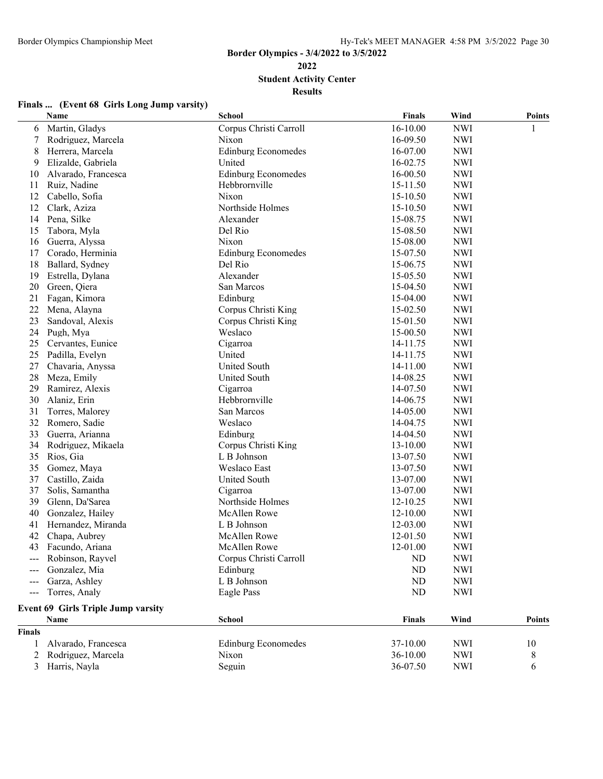**Student Activity Center**

|  | Finals  (Event 68 Girls Long Jump varsity) |
|--|--------------------------------------------|
|  |                                            |

| 16-10.00<br><b>NWI</b><br>Martin, Gladys<br>Corpus Christi Carroll<br>6<br>1<br><b>NWI</b><br>Rodriguez, Marcela<br>Nixon<br>16-09.50<br>7<br>Herrera, Marcela<br><b>Edinburg Economedes</b><br><b>NWI</b><br>8<br>16-07.00<br>Elizalde, Gabriela<br>United<br><b>NWI</b><br>9<br>16-02.75<br><b>Edinburg Economedes</b><br><b>NWI</b><br>Alvarado, Francesca<br>16-00.50<br>10<br>Ruiz, Nadine<br>Hebbrornville<br>15-11.50<br><b>NWI</b><br>11<br>12<br>Cabello, Sofia<br>Nixon<br>15-10.50<br><b>NWI</b><br>Northside Holmes<br>12<br>Clark, Aziza<br>15-10.50<br><b>NWI</b><br>Pena, Silke<br>Alexander<br><b>NWI</b><br>14<br>15-08.75<br>Tabora, Myla<br>Del Rio<br><b>NWI</b><br>15<br>15-08.50<br><b>NWI</b><br>Guerra, Alyssa<br>Nixon<br>15-08.00<br>16<br><b>NWI</b><br>17<br>Corado, Herminia<br><b>Edinburg Economedes</b><br>15-07.50<br><b>NWI</b><br>18<br>Ballard, Sydney<br>Del Rio<br>15-06.75<br>Alexander<br><b>NWI</b><br>Estrella, Dylana<br>15-05.50<br>19<br>20<br>San Marcos<br><b>NWI</b><br>Green, Qiera<br>15-04.50<br>21<br>Fagan, Kimora<br>Edinburg<br><b>NWI</b><br>15-04.00<br>22<br><b>NWI</b><br>Mena, Alayna<br>Corpus Christi King<br>15-02.50<br>23<br>Corpus Christi King<br>Sandoval, Alexis<br>15-01.50<br><b>NWI</b><br>24<br>Weslaco<br><b>NWI</b><br>Pugh, Mya<br>15-00.50<br>25<br>Cervantes, Eunice<br>Cigarroa<br>14-11.75<br><b>NWI</b><br>25<br>United<br>Padilla, Evelyn<br>14-11.75<br><b>NWI</b><br>27<br>United South<br><b>NWI</b><br>Chavaria, Anyssa<br>14-11.00<br>United South<br><b>NWI</b><br>28<br>Meza, Emily<br>14-08.25<br>29<br>Ramirez, Alexis<br>Cigarroa<br>14-07.50<br><b>NWI</b><br>30<br>Alaniz, Erin<br>Hebbrornville<br><b>NWI</b><br>14-06.75<br>San Marcos<br><b>NWI</b><br>31<br>Torres, Malorey<br>14-05.00<br>32<br>Romero, Sadie<br>Weslaco<br><b>NWI</b><br>14-04.75<br>33<br>Guerra, Arianna<br>Edinburg<br><b>NWI</b><br>14-04.50<br>34<br>Corpus Christi King<br><b>NWI</b><br>Rodriguez, Mikaela<br>13-10.00<br>35<br>L B Johnson<br>Rios, Gia<br>13-07.50<br><b>NWI</b><br>35<br>Gomez, Maya<br>Weslaco East<br><b>NWI</b><br>13-07.50<br>37<br><b>NWI</b><br>Castillo, Zaida<br>United South<br>13-07.00<br>37<br><b>NWI</b><br>Solis, Samantha<br>Cigarroa<br>13-07.00<br>39<br>Glenn, Da'Sarea<br>Northside Holmes<br><b>NWI</b><br>12-10.25<br><b>NWI</b><br>40<br>Gonzalez, Hailey<br>McAllen Rowe<br>12-10.00<br>41<br>Hernandez, Miranda<br>L B Johnson<br>12-03.00<br><b>NWI</b><br>Chapa, Aubrey<br>McAllen Rowe<br><b>NWI</b><br>42<br>12-01.50<br>43<br><b>NWI</b><br>Facundo, Ariana<br>McAllen Rowe<br>12-01.00<br>Corpus Christi Carroll<br><b>ND</b><br>Robinson, Rayvel<br><b>NWI</b><br>Gonzalez, Mia<br>Edinburg<br><b>ND</b><br><b>NWI</b><br>Garza, Ashley<br><b>ND</b><br><b>NWI</b><br>L B Johnson<br>Torres, Analy<br>Eagle Pass<br><b>ND</b><br><b>NWI</b><br>$\qquad \qquad - -$<br>Event 69 Girls Triple Jump varsity<br>Name<br>Wind<br><b>School</b><br><b>Finals</b><br><b>Points</b><br><b>Finals</b><br>Alvarado, Francesca<br><b>Edinburg Economedes</b><br>37-10.00<br><b>NWI</b><br>10<br>1<br>Rodriguez, Marcela<br><b>NWI</b><br>2<br>Nixon<br>36-10.00<br>8<br>Seguin<br>36-07.50<br><b>NWI</b><br>3<br>Harris, Nayla<br>6 | Name | <b>School</b> | <b>Finals</b> | Wind | <b>Points</b> |
|-------------------------------------------------------------------------------------------------------------------------------------------------------------------------------------------------------------------------------------------------------------------------------------------------------------------------------------------------------------------------------------------------------------------------------------------------------------------------------------------------------------------------------------------------------------------------------------------------------------------------------------------------------------------------------------------------------------------------------------------------------------------------------------------------------------------------------------------------------------------------------------------------------------------------------------------------------------------------------------------------------------------------------------------------------------------------------------------------------------------------------------------------------------------------------------------------------------------------------------------------------------------------------------------------------------------------------------------------------------------------------------------------------------------------------------------------------------------------------------------------------------------------------------------------------------------------------------------------------------------------------------------------------------------------------------------------------------------------------------------------------------------------------------------------------------------------------------------------------------------------------------------------------------------------------------------------------------------------------------------------------------------------------------------------------------------------------------------------------------------------------------------------------------------------------------------------------------------------------------------------------------------------------------------------------------------------------------------------------------------------------------------------------------------------------------------------------------------------------------------------------------------------------------------------------------------------------------------------------------------------------------------------------------------------------------------------------------------------------------------------------------------------------------------------------------------------------------------------------------------------------------------------------------------------------------------------------------------------------------------------------------------------------------------------------------------------------------------------------------------------------------------------------------------------------------------------------------------------------------------------------|------|---------------|---------------|------|---------------|
|                                                                                                                                                                                                                                                                                                                                                                                                                                                                                                                                                                                                                                                                                                                                                                                                                                                                                                                                                                                                                                                                                                                                                                                                                                                                                                                                                                                                                                                                                                                                                                                                                                                                                                                                                                                                                                                                                                                                                                                                                                                                                                                                                                                                                                                                                                                                                                                                                                                                                                                                                                                                                                                                                                                                                                                                                                                                                                                                                                                                                                                                                                                                                                                                                                                       |      |               |               |      |               |
|                                                                                                                                                                                                                                                                                                                                                                                                                                                                                                                                                                                                                                                                                                                                                                                                                                                                                                                                                                                                                                                                                                                                                                                                                                                                                                                                                                                                                                                                                                                                                                                                                                                                                                                                                                                                                                                                                                                                                                                                                                                                                                                                                                                                                                                                                                                                                                                                                                                                                                                                                                                                                                                                                                                                                                                                                                                                                                                                                                                                                                                                                                                                                                                                                                                       |      |               |               |      |               |
|                                                                                                                                                                                                                                                                                                                                                                                                                                                                                                                                                                                                                                                                                                                                                                                                                                                                                                                                                                                                                                                                                                                                                                                                                                                                                                                                                                                                                                                                                                                                                                                                                                                                                                                                                                                                                                                                                                                                                                                                                                                                                                                                                                                                                                                                                                                                                                                                                                                                                                                                                                                                                                                                                                                                                                                                                                                                                                                                                                                                                                                                                                                                                                                                                                                       |      |               |               |      |               |
|                                                                                                                                                                                                                                                                                                                                                                                                                                                                                                                                                                                                                                                                                                                                                                                                                                                                                                                                                                                                                                                                                                                                                                                                                                                                                                                                                                                                                                                                                                                                                                                                                                                                                                                                                                                                                                                                                                                                                                                                                                                                                                                                                                                                                                                                                                                                                                                                                                                                                                                                                                                                                                                                                                                                                                                                                                                                                                                                                                                                                                                                                                                                                                                                                                                       |      |               |               |      |               |
|                                                                                                                                                                                                                                                                                                                                                                                                                                                                                                                                                                                                                                                                                                                                                                                                                                                                                                                                                                                                                                                                                                                                                                                                                                                                                                                                                                                                                                                                                                                                                                                                                                                                                                                                                                                                                                                                                                                                                                                                                                                                                                                                                                                                                                                                                                                                                                                                                                                                                                                                                                                                                                                                                                                                                                                                                                                                                                                                                                                                                                                                                                                                                                                                                                                       |      |               |               |      |               |
|                                                                                                                                                                                                                                                                                                                                                                                                                                                                                                                                                                                                                                                                                                                                                                                                                                                                                                                                                                                                                                                                                                                                                                                                                                                                                                                                                                                                                                                                                                                                                                                                                                                                                                                                                                                                                                                                                                                                                                                                                                                                                                                                                                                                                                                                                                                                                                                                                                                                                                                                                                                                                                                                                                                                                                                                                                                                                                                                                                                                                                                                                                                                                                                                                                                       |      |               |               |      |               |
|                                                                                                                                                                                                                                                                                                                                                                                                                                                                                                                                                                                                                                                                                                                                                                                                                                                                                                                                                                                                                                                                                                                                                                                                                                                                                                                                                                                                                                                                                                                                                                                                                                                                                                                                                                                                                                                                                                                                                                                                                                                                                                                                                                                                                                                                                                                                                                                                                                                                                                                                                                                                                                                                                                                                                                                                                                                                                                                                                                                                                                                                                                                                                                                                                                                       |      |               |               |      |               |
|                                                                                                                                                                                                                                                                                                                                                                                                                                                                                                                                                                                                                                                                                                                                                                                                                                                                                                                                                                                                                                                                                                                                                                                                                                                                                                                                                                                                                                                                                                                                                                                                                                                                                                                                                                                                                                                                                                                                                                                                                                                                                                                                                                                                                                                                                                                                                                                                                                                                                                                                                                                                                                                                                                                                                                                                                                                                                                                                                                                                                                                                                                                                                                                                                                                       |      |               |               |      |               |
|                                                                                                                                                                                                                                                                                                                                                                                                                                                                                                                                                                                                                                                                                                                                                                                                                                                                                                                                                                                                                                                                                                                                                                                                                                                                                                                                                                                                                                                                                                                                                                                                                                                                                                                                                                                                                                                                                                                                                                                                                                                                                                                                                                                                                                                                                                                                                                                                                                                                                                                                                                                                                                                                                                                                                                                                                                                                                                                                                                                                                                                                                                                                                                                                                                                       |      |               |               |      |               |
|                                                                                                                                                                                                                                                                                                                                                                                                                                                                                                                                                                                                                                                                                                                                                                                                                                                                                                                                                                                                                                                                                                                                                                                                                                                                                                                                                                                                                                                                                                                                                                                                                                                                                                                                                                                                                                                                                                                                                                                                                                                                                                                                                                                                                                                                                                                                                                                                                                                                                                                                                                                                                                                                                                                                                                                                                                                                                                                                                                                                                                                                                                                                                                                                                                                       |      |               |               |      |               |
|                                                                                                                                                                                                                                                                                                                                                                                                                                                                                                                                                                                                                                                                                                                                                                                                                                                                                                                                                                                                                                                                                                                                                                                                                                                                                                                                                                                                                                                                                                                                                                                                                                                                                                                                                                                                                                                                                                                                                                                                                                                                                                                                                                                                                                                                                                                                                                                                                                                                                                                                                                                                                                                                                                                                                                                                                                                                                                                                                                                                                                                                                                                                                                                                                                                       |      |               |               |      |               |
|                                                                                                                                                                                                                                                                                                                                                                                                                                                                                                                                                                                                                                                                                                                                                                                                                                                                                                                                                                                                                                                                                                                                                                                                                                                                                                                                                                                                                                                                                                                                                                                                                                                                                                                                                                                                                                                                                                                                                                                                                                                                                                                                                                                                                                                                                                                                                                                                                                                                                                                                                                                                                                                                                                                                                                                                                                                                                                                                                                                                                                                                                                                                                                                                                                                       |      |               |               |      |               |
|                                                                                                                                                                                                                                                                                                                                                                                                                                                                                                                                                                                                                                                                                                                                                                                                                                                                                                                                                                                                                                                                                                                                                                                                                                                                                                                                                                                                                                                                                                                                                                                                                                                                                                                                                                                                                                                                                                                                                                                                                                                                                                                                                                                                                                                                                                                                                                                                                                                                                                                                                                                                                                                                                                                                                                                                                                                                                                                                                                                                                                                                                                                                                                                                                                                       |      |               |               |      |               |
|                                                                                                                                                                                                                                                                                                                                                                                                                                                                                                                                                                                                                                                                                                                                                                                                                                                                                                                                                                                                                                                                                                                                                                                                                                                                                                                                                                                                                                                                                                                                                                                                                                                                                                                                                                                                                                                                                                                                                                                                                                                                                                                                                                                                                                                                                                                                                                                                                                                                                                                                                                                                                                                                                                                                                                                                                                                                                                                                                                                                                                                                                                                                                                                                                                                       |      |               |               |      |               |
|                                                                                                                                                                                                                                                                                                                                                                                                                                                                                                                                                                                                                                                                                                                                                                                                                                                                                                                                                                                                                                                                                                                                                                                                                                                                                                                                                                                                                                                                                                                                                                                                                                                                                                                                                                                                                                                                                                                                                                                                                                                                                                                                                                                                                                                                                                                                                                                                                                                                                                                                                                                                                                                                                                                                                                                                                                                                                                                                                                                                                                                                                                                                                                                                                                                       |      |               |               |      |               |
|                                                                                                                                                                                                                                                                                                                                                                                                                                                                                                                                                                                                                                                                                                                                                                                                                                                                                                                                                                                                                                                                                                                                                                                                                                                                                                                                                                                                                                                                                                                                                                                                                                                                                                                                                                                                                                                                                                                                                                                                                                                                                                                                                                                                                                                                                                                                                                                                                                                                                                                                                                                                                                                                                                                                                                                                                                                                                                                                                                                                                                                                                                                                                                                                                                                       |      |               |               |      |               |
|                                                                                                                                                                                                                                                                                                                                                                                                                                                                                                                                                                                                                                                                                                                                                                                                                                                                                                                                                                                                                                                                                                                                                                                                                                                                                                                                                                                                                                                                                                                                                                                                                                                                                                                                                                                                                                                                                                                                                                                                                                                                                                                                                                                                                                                                                                                                                                                                                                                                                                                                                                                                                                                                                                                                                                                                                                                                                                                                                                                                                                                                                                                                                                                                                                                       |      |               |               |      |               |
|                                                                                                                                                                                                                                                                                                                                                                                                                                                                                                                                                                                                                                                                                                                                                                                                                                                                                                                                                                                                                                                                                                                                                                                                                                                                                                                                                                                                                                                                                                                                                                                                                                                                                                                                                                                                                                                                                                                                                                                                                                                                                                                                                                                                                                                                                                                                                                                                                                                                                                                                                                                                                                                                                                                                                                                                                                                                                                                                                                                                                                                                                                                                                                                                                                                       |      |               |               |      |               |
|                                                                                                                                                                                                                                                                                                                                                                                                                                                                                                                                                                                                                                                                                                                                                                                                                                                                                                                                                                                                                                                                                                                                                                                                                                                                                                                                                                                                                                                                                                                                                                                                                                                                                                                                                                                                                                                                                                                                                                                                                                                                                                                                                                                                                                                                                                                                                                                                                                                                                                                                                                                                                                                                                                                                                                                                                                                                                                                                                                                                                                                                                                                                                                                                                                                       |      |               |               |      |               |
|                                                                                                                                                                                                                                                                                                                                                                                                                                                                                                                                                                                                                                                                                                                                                                                                                                                                                                                                                                                                                                                                                                                                                                                                                                                                                                                                                                                                                                                                                                                                                                                                                                                                                                                                                                                                                                                                                                                                                                                                                                                                                                                                                                                                                                                                                                                                                                                                                                                                                                                                                                                                                                                                                                                                                                                                                                                                                                                                                                                                                                                                                                                                                                                                                                                       |      |               |               |      |               |
|                                                                                                                                                                                                                                                                                                                                                                                                                                                                                                                                                                                                                                                                                                                                                                                                                                                                                                                                                                                                                                                                                                                                                                                                                                                                                                                                                                                                                                                                                                                                                                                                                                                                                                                                                                                                                                                                                                                                                                                                                                                                                                                                                                                                                                                                                                                                                                                                                                                                                                                                                                                                                                                                                                                                                                                                                                                                                                                                                                                                                                                                                                                                                                                                                                                       |      |               |               |      |               |
|                                                                                                                                                                                                                                                                                                                                                                                                                                                                                                                                                                                                                                                                                                                                                                                                                                                                                                                                                                                                                                                                                                                                                                                                                                                                                                                                                                                                                                                                                                                                                                                                                                                                                                                                                                                                                                                                                                                                                                                                                                                                                                                                                                                                                                                                                                                                                                                                                                                                                                                                                                                                                                                                                                                                                                                                                                                                                                                                                                                                                                                                                                                                                                                                                                                       |      |               |               |      |               |
|                                                                                                                                                                                                                                                                                                                                                                                                                                                                                                                                                                                                                                                                                                                                                                                                                                                                                                                                                                                                                                                                                                                                                                                                                                                                                                                                                                                                                                                                                                                                                                                                                                                                                                                                                                                                                                                                                                                                                                                                                                                                                                                                                                                                                                                                                                                                                                                                                                                                                                                                                                                                                                                                                                                                                                                                                                                                                                                                                                                                                                                                                                                                                                                                                                                       |      |               |               |      |               |
|                                                                                                                                                                                                                                                                                                                                                                                                                                                                                                                                                                                                                                                                                                                                                                                                                                                                                                                                                                                                                                                                                                                                                                                                                                                                                                                                                                                                                                                                                                                                                                                                                                                                                                                                                                                                                                                                                                                                                                                                                                                                                                                                                                                                                                                                                                                                                                                                                                                                                                                                                                                                                                                                                                                                                                                                                                                                                                                                                                                                                                                                                                                                                                                                                                                       |      |               |               |      |               |
|                                                                                                                                                                                                                                                                                                                                                                                                                                                                                                                                                                                                                                                                                                                                                                                                                                                                                                                                                                                                                                                                                                                                                                                                                                                                                                                                                                                                                                                                                                                                                                                                                                                                                                                                                                                                                                                                                                                                                                                                                                                                                                                                                                                                                                                                                                                                                                                                                                                                                                                                                                                                                                                                                                                                                                                                                                                                                                                                                                                                                                                                                                                                                                                                                                                       |      |               |               |      |               |
|                                                                                                                                                                                                                                                                                                                                                                                                                                                                                                                                                                                                                                                                                                                                                                                                                                                                                                                                                                                                                                                                                                                                                                                                                                                                                                                                                                                                                                                                                                                                                                                                                                                                                                                                                                                                                                                                                                                                                                                                                                                                                                                                                                                                                                                                                                                                                                                                                                                                                                                                                                                                                                                                                                                                                                                                                                                                                                                                                                                                                                                                                                                                                                                                                                                       |      |               |               |      |               |
|                                                                                                                                                                                                                                                                                                                                                                                                                                                                                                                                                                                                                                                                                                                                                                                                                                                                                                                                                                                                                                                                                                                                                                                                                                                                                                                                                                                                                                                                                                                                                                                                                                                                                                                                                                                                                                                                                                                                                                                                                                                                                                                                                                                                                                                                                                                                                                                                                                                                                                                                                                                                                                                                                                                                                                                                                                                                                                                                                                                                                                                                                                                                                                                                                                                       |      |               |               |      |               |
|                                                                                                                                                                                                                                                                                                                                                                                                                                                                                                                                                                                                                                                                                                                                                                                                                                                                                                                                                                                                                                                                                                                                                                                                                                                                                                                                                                                                                                                                                                                                                                                                                                                                                                                                                                                                                                                                                                                                                                                                                                                                                                                                                                                                                                                                                                                                                                                                                                                                                                                                                                                                                                                                                                                                                                                                                                                                                                                                                                                                                                                                                                                                                                                                                                                       |      |               |               |      |               |
|                                                                                                                                                                                                                                                                                                                                                                                                                                                                                                                                                                                                                                                                                                                                                                                                                                                                                                                                                                                                                                                                                                                                                                                                                                                                                                                                                                                                                                                                                                                                                                                                                                                                                                                                                                                                                                                                                                                                                                                                                                                                                                                                                                                                                                                                                                                                                                                                                                                                                                                                                                                                                                                                                                                                                                                                                                                                                                                                                                                                                                                                                                                                                                                                                                                       |      |               |               |      |               |
|                                                                                                                                                                                                                                                                                                                                                                                                                                                                                                                                                                                                                                                                                                                                                                                                                                                                                                                                                                                                                                                                                                                                                                                                                                                                                                                                                                                                                                                                                                                                                                                                                                                                                                                                                                                                                                                                                                                                                                                                                                                                                                                                                                                                                                                                                                                                                                                                                                                                                                                                                                                                                                                                                                                                                                                                                                                                                                                                                                                                                                                                                                                                                                                                                                                       |      |               |               |      |               |
|                                                                                                                                                                                                                                                                                                                                                                                                                                                                                                                                                                                                                                                                                                                                                                                                                                                                                                                                                                                                                                                                                                                                                                                                                                                                                                                                                                                                                                                                                                                                                                                                                                                                                                                                                                                                                                                                                                                                                                                                                                                                                                                                                                                                                                                                                                                                                                                                                                                                                                                                                                                                                                                                                                                                                                                                                                                                                                                                                                                                                                                                                                                                                                                                                                                       |      |               |               |      |               |
|                                                                                                                                                                                                                                                                                                                                                                                                                                                                                                                                                                                                                                                                                                                                                                                                                                                                                                                                                                                                                                                                                                                                                                                                                                                                                                                                                                                                                                                                                                                                                                                                                                                                                                                                                                                                                                                                                                                                                                                                                                                                                                                                                                                                                                                                                                                                                                                                                                                                                                                                                                                                                                                                                                                                                                                                                                                                                                                                                                                                                                                                                                                                                                                                                                                       |      |               |               |      |               |
|                                                                                                                                                                                                                                                                                                                                                                                                                                                                                                                                                                                                                                                                                                                                                                                                                                                                                                                                                                                                                                                                                                                                                                                                                                                                                                                                                                                                                                                                                                                                                                                                                                                                                                                                                                                                                                                                                                                                                                                                                                                                                                                                                                                                                                                                                                                                                                                                                                                                                                                                                                                                                                                                                                                                                                                                                                                                                                                                                                                                                                                                                                                                                                                                                                                       |      |               |               |      |               |
|                                                                                                                                                                                                                                                                                                                                                                                                                                                                                                                                                                                                                                                                                                                                                                                                                                                                                                                                                                                                                                                                                                                                                                                                                                                                                                                                                                                                                                                                                                                                                                                                                                                                                                                                                                                                                                                                                                                                                                                                                                                                                                                                                                                                                                                                                                                                                                                                                                                                                                                                                                                                                                                                                                                                                                                                                                                                                                                                                                                                                                                                                                                                                                                                                                                       |      |               |               |      |               |
|                                                                                                                                                                                                                                                                                                                                                                                                                                                                                                                                                                                                                                                                                                                                                                                                                                                                                                                                                                                                                                                                                                                                                                                                                                                                                                                                                                                                                                                                                                                                                                                                                                                                                                                                                                                                                                                                                                                                                                                                                                                                                                                                                                                                                                                                                                                                                                                                                                                                                                                                                                                                                                                                                                                                                                                                                                                                                                                                                                                                                                                                                                                                                                                                                                                       |      |               |               |      |               |
|                                                                                                                                                                                                                                                                                                                                                                                                                                                                                                                                                                                                                                                                                                                                                                                                                                                                                                                                                                                                                                                                                                                                                                                                                                                                                                                                                                                                                                                                                                                                                                                                                                                                                                                                                                                                                                                                                                                                                                                                                                                                                                                                                                                                                                                                                                                                                                                                                                                                                                                                                                                                                                                                                                                                                                                                                                                                                                                                                                                                                                                                                                                                                                                                                                                       |      |               |               |      |               |
|                                                                                                                                                                                                                                                                                                                                                                                                                                                                                                                                                                                                                                                                                                                                                                                                                                                                                                                                                                                                                                                                                                                                                                                                                                                                                                                                                                                                                                                                                                                                                                                                                                                                                                                                                                                                                                                                                                                                                                                                                                                                                                                                                                                                                                                                                                                                                                                                                                                                                                                                                                                                                                                                                                                                                                                                                                                                                                                                                                                                                                                                                                                                                                                                                                                       |      |               |               |      |               |
|                                                                                                                                                                                                                                                                                                                                                                                                                                                                                                                                                                                                                                                                                                                                                                                                                                                                                                                                                                                                                                                                                                                                                                                                                                                                                                                                                                                                                                                                                                                                                                                                                                                                                                                                                                                                                                                                                                                                                                                                                                                                                                                                                                                                                                                                                                                                                                                                                                                                                                                                                                                                                                                                                                                                                                                                                                                                                                                                                                                                                                                                                                                                                                                                                                                       |      |               |               |      |               |
|                                                                                                                                                                                                                                                                                                                                                                                                                                                                                                                                                                                                                                                                                                                                                                                                                                                                                                                                                                                                                                                                                                                                                                                                                                                                                                                                                                                                                                                                                                                                                                                                                                                                                                                                                                                                                                                                                                                                                                                                                                                                                                                                                                                                                                                                                                                                                                                                                                                                                                                                                                                                                                                                                                                                                                                                                                                                                                                                                                                                                                                                                                                                                                                                                                                       |      |               |               |      |               |
|                                                                                                                                                                                                                                                                                                                                                                                                                                                                                                                                                                                                                                                                                                                                                                                                                                                                                                                                                                                                                                                                                                                                                                                                                                                                                                                                                                                                                                                                                                                                                                                                                                                                                                                                                                                                                                                                                                                                                                                                                                                                                                                                                                                                                                                                                                                                                                                                                                                                                                                                                                                                                                                                                                                                                                                                                                                                                                                                                                                                                                                                                                                                                                                                                                                       |      |               |               |      |               |
|                                                                                                                                                                                                                                                                                                                                                                                                                                                                                                                                                                                                                                                                                                                                                                                                                                                                                                                                                                                                                                                                                                                                                                                                                                                                                                                                                                                                                                                                                                                                                                                                                                                                                                                                                                                                                                                                                                                                                                                                                                                                                                                                                                                                                                                                                                                                                                                                                                                                                                                                                                                                                                                                                                                                                                                                                                                                                                                                                                                                                                                                                                                                                                                                                                                       |      |               |               |      |               |
|                                                                                                                                                                                                                                                                                                                                                                                                                                                                                                                                                                                                                                                                                                                                                                                                                                                                                                                                                                                                                                                                                                                                                                                                                                                                                                                                                                                                                                                                                                                                                                                                                                                                                                                                                                                                                                                                                                                                                                                                                                                                                                                                                                                                                                                                                                                                                                                                                                                                                                                                                                                                                                                                                                                                                                                                                                                                                                                                                                                                                                                                                                                                                                                                                                                       |      |               |               |      |               |
|                                                                                                                                                                                                                                                                                                                                                                                                                                                                                                                                                                                                                                                                                                                                                                                                                                                                                                                                                                                                                                                                                                                                                                                                                                                                                                                                                                                                                                                                                                                                                                                                                                                                                                                                                                                                                                                                                                                                                                                                                                                                                                                                                                                                                                                                                                                                                                                                                                                                                                                                                                                                                                                                                                                                                                                                                                                                                                                                                                                                                                                                                                                                                                                                                                                       |      |               |               |      |               |
|                                                                                                                                                                                                                                                                                                                                                                                                                                                                                                                                                                                                                                                                                                                                                                                                                                                                                                                                                                                                                                                                                                                                                                                                                                                                                                                                                                                                                                                                                                                                                                                                                                                                                                                                                                                                                                                                                                                                                                                                                                                                                                                                                                                                                                                                                                                                                                                                                                                                                                                                                                                                                                                                                                                                                                                                                                                                                                                                                                                                                                                                                                                                                                                                                                                       |      |               |               |      |               |
|                                                                                                                                                                                                                                                                                                                                                                                                                                                                                                                                                                                                                                                                                                                                                                                                                                                                                                                                                                                                                                                                                                                                                                                                                                                                                                                                                                                                                                                                                                                                                                                                                                                                                                                                                                                                                                                                                                                                                                                                                                                                                                                                                                                                                                                                                                                                                                                                                                                                                                                                                                                                                                                                                                                                                                                                                                                                                                                                                                                                                                                                                                                                                                                                                                                       |      |               |               |      |               |
|                                                                                                                                                                                                                                                                                                                                                                                                                                                                                                                                                                                                                                                                                                                                                                                                                                                                                                                                                                                                                                                                                                                                                                                                                                                                                                                                                                                                                                                                                                                                                                                                                                                                                                                                                                                                                                                                                                                                                                                                                                                                                                                                                                                                                                                                                                                                                                                                                                                                                                                                                                                                                                                                                                                                                                                                                                                                                                                                                                                                                                                                                                                                                                                                                                                       |      |               |               |      |               |
|                                                                                                                                                                                                                                                                                                                                                                                                                                                                                                                                                                                                                                                                                                                                                                                                                                                                                                                                                                                                                                                                                                                                                                                                                                                                                                                                                                                                                                                                                                                                                                                                                                                                                                                                                                                                                                                                                                                                                                                                                                                                                                                                                                                                                                                                                                                                                                                                                                                                                                                                                                                                                                                                                                                                                                                                                                                                                                                                                                                                                                                                                                                                                                                                                                                       |      |               |               |      |               |
|                                                                                                                                                                                                                                                                                                                                                                                                                                                                                                                                                                                                                                                                                                                                                                                                                                                                                                                                                                                                                                                                                                                                                                                                                                                                                                                                                                                                                                                                                                                                                                                                                                                                                                                                                                                                                                                                                                                                                                                                                                                                                                                                                                                                                                                                                                                                                                                                                                                                                                                                                                                                                                                                                                                                                                                                                                                                                                                                                                                                                                                                                                                                                                                                                                                       |      |               |               |      |               |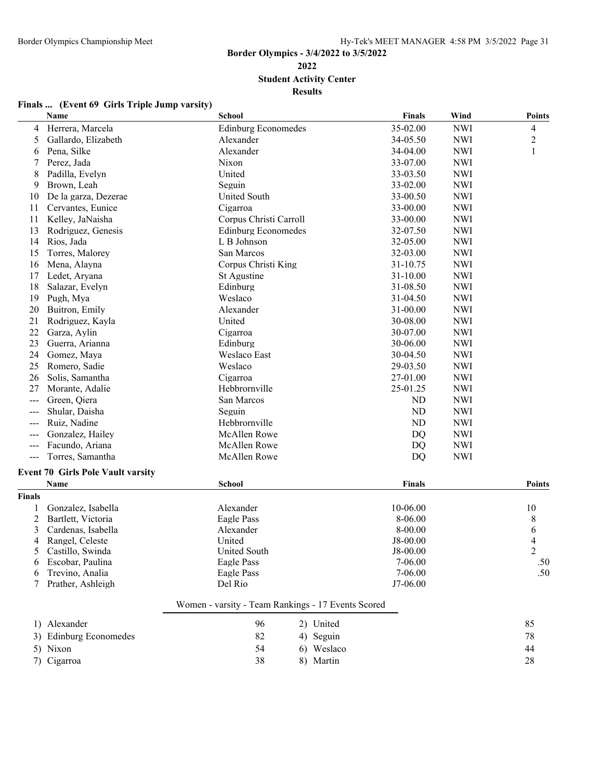**Student Activity Center**

|                | Finals  (Event 69 Girls Triple Jump varsity) |
|----------------|----------------------------------------------|
| $\blacksquare$ |                                              |

|                            | Name                                             | <b>School</b>                                      |            | Finals     | Wind       | <b>Points</b>  |
|----------------------------|--------------------------------------------------|----------------------------------------------------|------------|------------|------------|----------------|
| 4                          | Herrera, Marcela                                 | <b>Edinburg Economedes</b>                         |            | 35-02.00   | <b>NWI</b> | 4              |
| 5                          | Gallardo, Elizabeth                              | Alexander                                          |            | 34-05.50   | <b>NWI</b> | $\overline{c}$ |
| 6                          | Pena, Silke                                      | Alexander                                          |            | 34-04.00   | <b>NWI</b> | 1              |
| 7                          | Perez, Jada                                      | Nixon                                              |            | 33-07.00   | <b>NWI</b> |                |
| 8                          | Padilla, Evelyn                                  | United                                             |            | 33-03.50   | <b>NWI</b> |                |
| 9                          | Brown, Leah                                      | Seguin                                             |            | 33-02.00   | <b>NWI</b> |                |
| 10                         | De la garza, Dezerae                             | <b>United South</b>                                |            | 33-00.50   | <b>NWI</b> |                |
| 11                         | Cervantes, Eunice                                | Cigarroa                                           |            | 33-00.00   | <b>NWI</b> |                |
| 11                         | Kelley, JaNaisha                                 | Corpus Christi Carroll                             |            | 33-00.00   | <b>NWI</b> |                |
| 13                         | Rodriguez, Genesis                               | <b>Edinburg Economedes</b>                         |            | 32-07.50   | <b>NWI</b> |                |
| 14                         | Rios, Jada                                       | L B Johnson                                        |            | 32-05.00   | <b>NWI</b> |                |
| 15                         | Torres, Malorey                                  | San Marcos                                         |            | 32-03.00   | <b>NWI</b> |                |
| 16                         | Mena, Alayna                                     | Corpus Christi King                                |            | 31-10.75   | <b>NWI</b> |                |
| 17                         | Ledet, Aryana                                    | St Agustine                                        |            | 31-10.00   | <b>NWI</b> |                |
| 18                         | Salazar, Evelyn                                  | Edinburg                                           |            | 31-08.50   | <b>NWI</b> |                |
| 19                         | Pugh, Mya                                        | Weslaco                                            |            | 31-04.50   | <b>NWI</b> |                |
| 20                         | Buitron, Emily                                   | Alexander                                          |            | 31-00.00   | <b>NWI</b> |                |
| 21                         | Rodriguez, Kayla                                 | United                                             |            | 30-08.00   | <b>NWI</b> |                |
| 22                         | Garza, Aylin                                     | Cigarroa                                           |            | 30-07.00   | <b>NWI</b> |                |
| 23                         | Guerra, Arianna                                  | Edinburg                                           |            | 30-06.00   | <b>NWI</b> |                |
| 24                         | Gomez, Maya                                      | Weslaco East                                       |            | 30-04.50   | <b>NWI</b> |                |
| 25                         | Romero, Sadie                                    | Weslaco                                            |            | 29-03.50   | <b>NWI</b> |                |
| 26                         | Solis, Samantha                                  | Cigarroa                                           |            | 27-01.00   | <b>NWI</b> |                |
| 27                         | Morante, Adalie                                  | Hebbrornville                                      |            | 25-01.25   | <b>NWI</b> |                |
|                            | Green, Qiera                                     | San Marcos                                         |            | ND         | <b>NWI</b> |                |
| $\qquad \qquad -$          | Shular, Daisha                                   | Seguin                                             |            | ND         | <b>NWI</b> |                |
| $---$                      | Ruiz, Nadine                                     | Hebbrornville                                      |            | ND         | <b>NWI</b> |                |
|                            | Gonzalez, Hailey                                 | <b>McAllen Rowe</b>                                |            | <b>DQ</b>  | <b>NWI</b> |                |
| $\qquad \qquad \text{---}$ | Facundo, Ariana                                  | McAllen Rowe                                       |            | <b>DQ</b>  | <b>NWI</b> |                |
| $---$                      | Torres, Samantha                                 | McAllen Rowe                                       |            | DQ         | <b>NWI</b> |                |
|                            |                                                  |                                                    |            |            |            |                |
|                            | <b>Event 70 Girls Pole Vault varsity</b><br>Name | <b>School</b>                                      |            | Finals     |            | <b>Points</b>  |
| Finals                     |                                                  |                                                    |            |            |            |                |
|                            | Gonzalez, Isabella                               | Alexander                                          |            | 10-06.00   |            | 10             |
| 1<br>2                     | Bartlett, Victoria                               | Eagle Pass                                         |            | 8-06.00    |            | 8              |
| 3                          | Cardenas, Isabella                               | Alexander                                          |            | 8-00.00    |            | 6              |
| 4                          | Rangel, Celeste                                  | United                                             |            | J8-00.00   |            | 4              |
|                            | 5 Castillo, Swinda                               | United South                                       |            | $J8-00.00$ |            |                |
| 6                          | Escobar, Paulina                                 | Eagle Pass                                         |            | $7-06.00$  |            | .50            |
|                            | Trevino, Analia                                  | Eagle Pass                                         |            | 7-06.00    |            | .50            |
| 7                          | Prather, Ashleigh                                | Del Rio                                            |            | J7-06.00   |            |                |
|                            |                                                  | Women - varsity - Team Rankings - 17 Events Scored |            |            |            |                |
|                            |                                                  |                                                    |            |            |            |                |
|                            | 1) Alexander                                     | 96                                                 | 2) United  |            |            | 85             |
|                            | 3) Edinburg Economedes                           | 82                                                 | 4) Seguin  |            |            | 78             |
|                            | 5) Nixon                                         | 54                                                 | 6) Weslaco |            |            | 44             |
|                            | 7) Cigarroa                                      | 38                                                 | 8) Martin  |            |            | 28             |